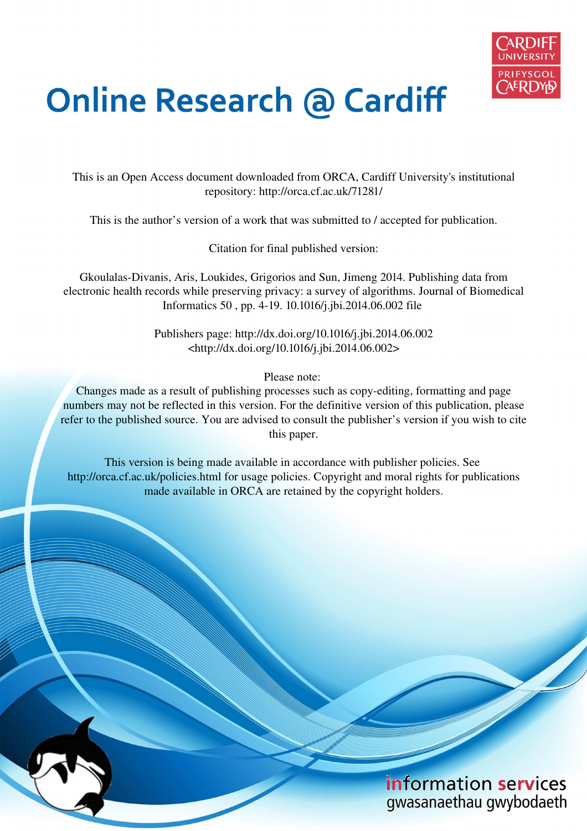

# **Online Research @ Cardiff**

This is an Open Access document downloaded from ORCA, Cardiff University's institutional repository: http://orca.cf.ac.uk/71281/

This is the author's version of a work that was submitted to / accepted for publication.

Citation for final published version:

Gkoulalas-Divanis, Aris, Loukides, Grigorios and Sun, Jimeng 2014. Publishing data from electronic health records while preserving privacy: a survey of algorithms. Journal of Biomedical Informatics 50 , pp. 4-19. 10.1016/j.jbi.2014.06.002 file

> Publishers page: http://dx.doi.org/10.1016/j.jbi.2014.06.002 <http://dx.doi.org/10.1016/j.jbi.2014.06.002>

> > Please note:

Changes made as a result of publishing processes such as copy-editing, formatting and page numbers may not be reflected in this version. For the definitive version of this publication, please refer to the published source. You are advised to consult the publisher's version if you wish to cite this paper.

This version is being made available in accordance with publisher policies. See http://orca.cf.ac.uk/policies.html for usage policies. Copyright and moral rights for publications made available in ORCA are retained by the copyright holders.

# information services gwasanaethau gwybodaeth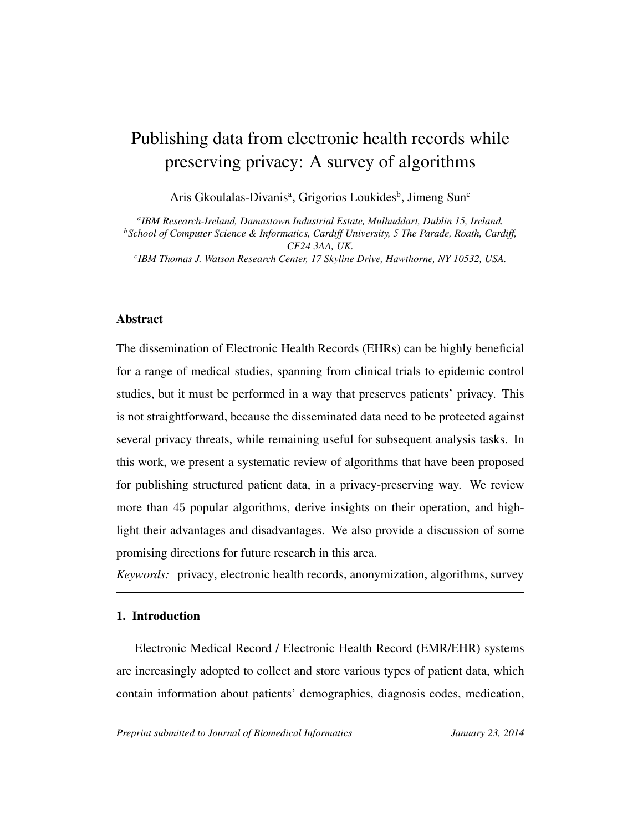# <span id="page-1-0"></span>Publishing data from electronic health records while preserving privacy: A survey of algorithms

Aris Gkoulalas-Divanis<sup>a</sup>, Grigorios Loukides<sup>b</sup>, Jimeng Sun<sup>c</sup>

*a IBM Research-Ireland, Damastown Industrial Estate, Mulhuddart, Dublin 15, Ireland. <sup>b</sup>School of Computer Science & Informatics, Cardiff University, 5 The Parade, Roath, Cardiff, CF24 3AA, UK. c IBM Thomas J. Watson Research Center, 17 Skyline Drive, Hawthorne, NY 10532, USA.*

# Abstract

The dissemination of Electronic Health Records (EHRs) can be highly beneficial for a range of medical studies, spanning from clinical trials to epidemic control studies, but it must be performed in a way that preserves patients' privacy. This is not straightforward, because the disseminated data need to be protected against several privacy threats, while remaining useful for subsequent analysis tasks. In this work, we present a systematic review of algorithms that have been proposed for publishing structured patient data, in a privacy-preserving way. We review more than 45 popular algorithms, derive insights on their operation, and highlight their advantages and disadvantages. We also provide a discussion of some promising directions for future research in this area.

*Keywords:* privacy, electronic health records, anonymization, algorithms, survey

# 1. Introduction

Electronic Medical Record / Electronic Health Record (EMR/EHR) systems are increasingly adopted to collect and store various types of patient data, which contain information about patients' demographics, diagnosis codes, medication,

*Preprint submitted to Journal of Biomedical Informatics January 23, 2014*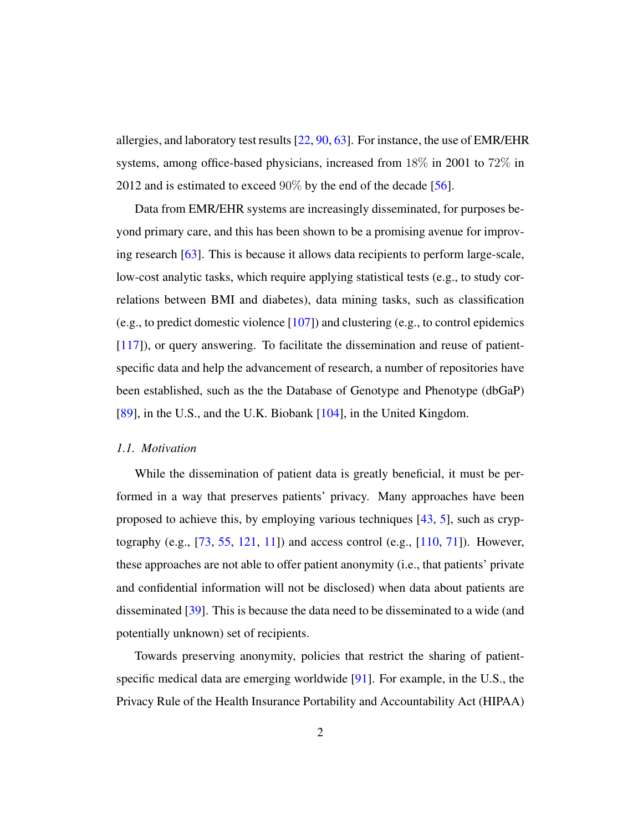allergies, and laboratory test results [\[22,](#page-51-0) [90,](#page-60-0) [63\]](#page-56-0). For instance, the use of EMR/EHR systems, among office-based physicians, increased from 18% in 2001 to 72% in 2012 and is estimated to exceed  $90\%$  by the end of the decade [\[56\]](#page-56-1).

Data from EMR/EHR systems are increasingly disseminated, for purposes beyond primary care, and this has been shown to be a promising avenue for improving research [\[63\]](#page-56-0). This is because it allows data recipients to perform large-scale, low-cost analytic tasks, which require applying statistical tests (e.g., to study correlations between BMI and diabetes), data mining tasks, such as classification (e.g., to predict domestic violence [\[107\]](#page-62-0)) and clustering (e.g., to control epidemics [\[117\]](#page-63-0)), or query answering. To facilitate the dissemination and reuse of patientspecific data and help the advancement of research, a number of repositories have been established, such as the the Database of Genotype and Phenotype (dbGaP) [\[89\]](#page-60-1), in the U.S., and the U.K. Biobank [\[104\]](#page-62-1), in the United Kingdom.

#### *1.1. Motivation*

While the dissemination of patient data is greatly beneficial, it must be performed in a way that preserves patients' privacy. Many approaches have been proposed to achieve this, by employing various techniques [\[43,](#page-54-0) [5\]](#page-49-0), such as cryptography (e.g., [\[73,](#page-58-0) [55,](#page-55-0) [121,](#page-64-0) [11\]](#page-50-0)) and access control (e.g., [\[110,](#page-62-2) [71\]](#page-57-0)). However, these approaches are not able to offer patient anonymity (i.e., that patients' private and confidential information will not be disclosed) when data about patients are disseminated [\[39\]](#page-53-0). This is because the data need to be disseminated to a wide (and potentially unknown) set of recipients.

Towards preserving anonymity, policies that restrict the sharing of patientspecific medical data are emerging worldwide [\[91\]](#page-60-2). For example, in the U.S., the Privacy Rule of the Health Insurance Portability and Accountability Act (HIPAA)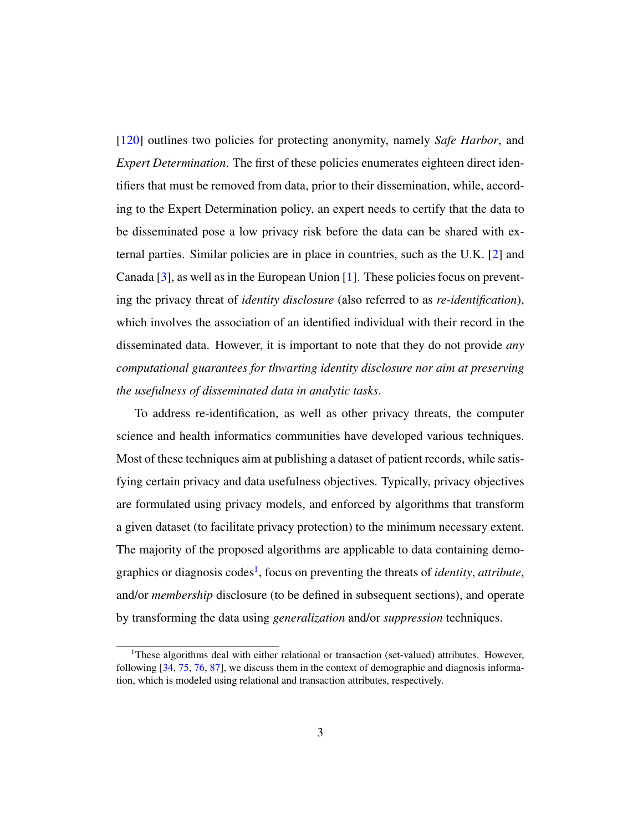[\[120\]](#page-63-1) outlines two policies for protecting anonymity, namely *Safe Harbor*, and *Expert Determination*. The first of these policies enumerates eighteen direct identifiers that must be removed from data, prior to their dissemination, while, according to the Expert Determination policy, an expert needs to certify that the data to be disseminated pose a low privacy risk before the data can be shared with external parties. Similar policies are in place in countries, such as the U.K. [\[2\]](#page-49-1) and Canada  $[3]$ , as well as in the European Union  $[1]$ . These policies focus on preventing the privacy threat of *identity disclosure* (also referred to as *re-identification*), which involves the association of an identified individual with their record in the disseminated data. However, it is important to note that they do not provide *any computational guarantees for thwarting identity disclosure nor aim at preserving the usefulness of disseminated data in analytic tasks*.

To address re-identification, as well as other privacy threats, the computer science and health informatics communities have developed various techniques. Most of these techniques aim at publishing a dataset of patient records, while satisfying certain privacy and data usefulness objectives. Typically, privacy objectives are formulated using privacy models, and enforced by algorithms that transform a given dataset (to facilitate privacy protection) to the minimum necessary extent. The majority of the proposed algorithms are applicable to data containing demo-graphics or diagnosis codes<sup>[1](#page-1-0)</sup>, focus on preventing the threats of *identity*, *attribute*, and/or *membership* disclosure (to be defined in subsequent sections), and operate by transforming the data using *generalization* and/or *suppression* techniques.

<sup>&</sup>lt;sup>1</sup>These algorithms deal with either relational or transaction (set-valued) attributes. However, following [\[34,](#page-53-1) [75,](#page-58-1) [76,](#page-58-2) [87\]](#page-59-0), we discuss them in the context of demographic and diagnosis information, which is modeled using relational and transaction attributes, respectively.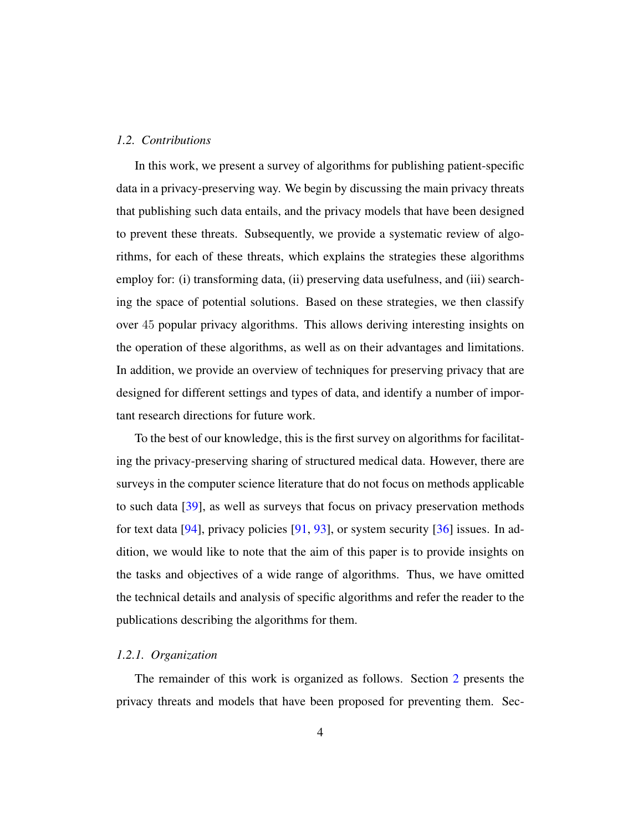#### *1.2. Contributions*

In this work, we present a survey of algorithms for publishing patient-specific data in a privacy-preserving way. We begin by discussing the main privacy threats that publishing such data entails, and the privacy models that have been designed to prevent these threats. Subsequently, we provide a systematic review of algorithms, for each of these threats, which explains the strategies these algorithms employ for: (i) transforming data, (ii) preserving data usefulness, and (iii) searching the space of potential solutions. Based on these strategies, we then classify over 45 popular privacy algorithms. This allows deriving interesting insights on the operation of these algorithms, as well as on their advantages and limitations. In addition, we provide an overview of techniques for preserving privacy that are designed for different settings and types of data, and identify a number of important research directions for future work.

To the best of our knowledge, this is the first survey on algorithms for facilitating the privacy-preserving sharing of structured medical data. However, there are surveys in the computer science literature that do not focus on methods applicable to such data [\[39\]](#page-53-0), as well as surveys that focus on privacy preservation methods for text data [\[94\]](#page-60-3), privacy policies [\[91,](#page-60-2) [93\]](#page-60-4), or system security [\[36\]](#page-53-2) issues. In addition, we would like to note that the aim of this paper is to provide insights on the tasks and objectives of a wide range of algorithms. Thus, we have omitted the technical details and analysis of specific algorithms and refer the reader to the publications describing the algorithms for them.

#### *1.2.1. Organization*

The remainder of this work is organized as follows. Section [2](#page-5-0) presents the privacy threats and models that have been proposed for preventing them. Sec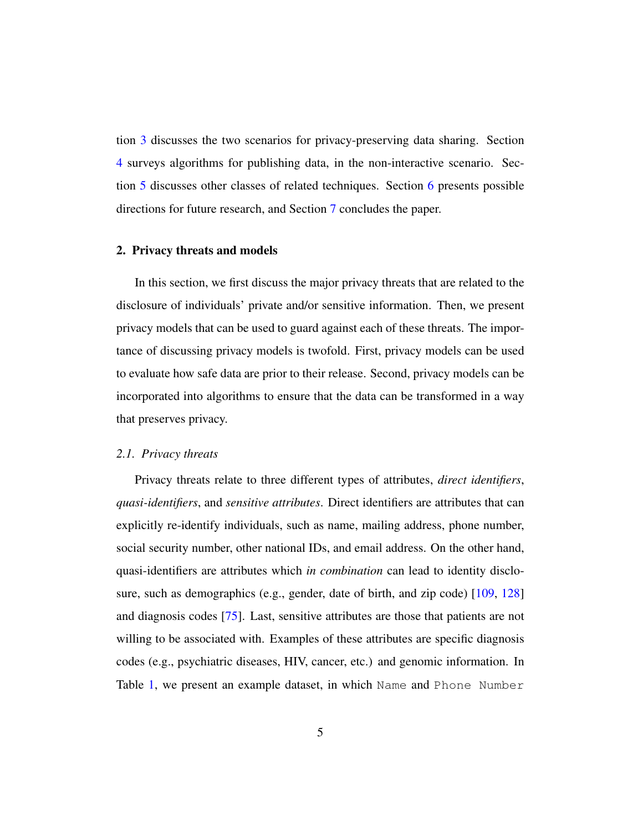tion [3](#page-15-0) discusses the two scenarios for privacy-preserving data sharing. Section [4](#page-18-0) surveys algorithms for publishing data, in the non-interactive scenario. Section [5](#page-40-0) discusses other classes of related techniques. Section [6](#page-46-0) presents possible directions for future research, and Section [7](#page-49-4) concludes the paper.

# <span id="page-5-0"></span>2. Privacy threats and models

In this section, we first discuss the major privacy threats that are related to the disclosure of individuals' private and/or sensitive information. Then, we present privacy models that can be used to guard against each of these threats. The importance of discussing privacy models is twofold. First, privacy models can be used to evaluate how safe data are prior to their release. Second, privacy models can be incorporated into algorithms to ensure that the data can be transformed in a way that preserves privacy.

#### *2.1. Privacy threats*

Privacy threats relate to three different types of attributes, *direct identifiers*, *quasi-identifiers*, and *sensitive attributes*. Direct identifiers are attributes that can explicitly re-identify individuals, such as name, mailing address, phone number, social security number, other national IDs, and email address. On the other hand, quasi-identifiers are attributes which *in combination* can lead to identity disclo-sure, such as demographics (e.g., gender, date of birth, and zip code) [\[109,](#page-62-3) [128\]](#page-64-1) and diagnosis codes [\[75\]](#page-58-1). Last, sensitive attributes are those that patients are not willing to be associated with. Examples of these attributes are specific diagnosis codes (e.g., psychiatric diseases, HIV, cancer, etc.) and genomic information. In Table [1,](#page-6-0) we present an example dataset, in which Name and Phone Number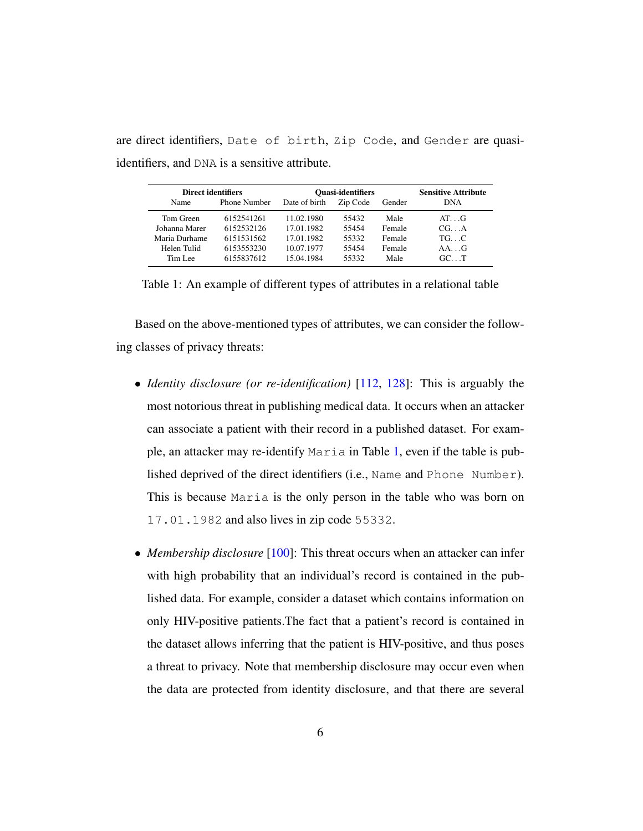are direct identifiers, Date of birth, Zip Code, and Gender are quasiidentifiers, and DNA is a sensitive attribute.

<span id="page-6-0"></span>

| <b>Direct identifiers</b> |                     | <b>Quasi-identifiers</b> |          |        | <b>Sensitive Attribute</b> |
|---------------------------|---------------------|--------------------------|----------|--------|----------------------------|
| Name                      | <b>Phone Number</b> | Date of birth            | Zip Code | Gender | <b>DNA</b>                 |
| Tom Green                 | 6152541261          | 11.02.1980               | 55432    | Male   | $AT \cdot G$               |
| Johanna Marer             | 6152532126          | 17.01.1982               | 55454    | Female | CG. A                      |
| Maria Durhame             | 6151531562          | 17.01.1982               | 55332    | Female | $TG.$ $C$                  |
| Helen Tulid               | 6153553230          | 10.07.1977               | 55454    | Female | $AA$ G                     |
| Tim Lee                   | 6155837612          | 15.04.1984               | 55332    | Male   | $GC.$ T                    |

Table 1: An example of different types of attributes in a relational table

Based on the above-mentioned types of attributes, we can consider the following classes of privacy threats:

- *Identity disclosure (or re-identification)* [\[112,](#page-63-2) [128\]](#page-64-1): This is arguably the most notorious threat in publishing medical data. It occurs when an attacker can associate a patient with their record in a published dataset. For example, an attacker may re-identify Maria in Table [1,](#page-6-0) even if the table is published deprived of the direct identifiers (i.e., Name and Phone Number). This is because Maria is the only person in the table who was born on 17.01.1982 and also lives in zip code 55332.
- *Membership disclosure* [\[100\]](#page-61-0): This threat occurs when an attacker can infer with high probability that an individual's record is contained in the published data. For example, consider a dataset which contains information on only HIV-positive patients.The fact that a patient's record is contained in the dataset allows inferring that the patient is HIV-positive, and thus poses a threat to privacy. Note that membership disclosure may occur even when the data are protected from identity disclosure, and that there are several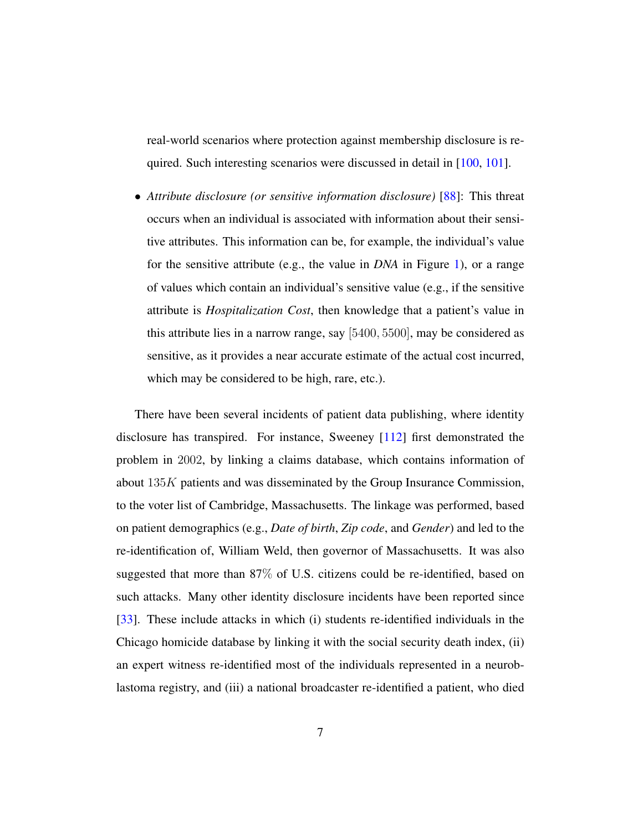real-world scenarios where protection against membership disclosure is re-quired. Such interesting scenarios were discussed in detail in [\[100,](#page-61-0) [101\]](#page-61-1).

• *Attribute disclosure (or sensitive information disclosure)* [\[88\]](#page-59-1): This threat occurs when an individual is associated with information about their sensitive attributes. This information can be, for example, the individual's value for the sensitive attribute (e.g., the value in *DNA* in Figure [1\)](#page-6-0), or a range of values which contain an individual's sensitive value (e.g., if the sensitive attribute is *Hospitalization Cost*, then knowledge that a patient's value in this attribute lies in a narrow range, say [5400, 5500], may be considered as sensitive, as it provides a near accurate estimate of the actual cost incurred, which may be considered to be high, rare, etc.).

There have been several incidents of patient data publishing, where identity disclosure has transpired. For instance, Sweeney [\[112\]](#page-63-2) first demonstrated the problem in 2002, by linking a claims database, which contains information of about 135K patients and was disseminated by the Group Insurance Commission, to the voter list of Cambridge, Massachusetts. The linkage was performed, based on patient demographics (e.g., *Date of birth*, *Zip code*, and *Gender*) and led to the re-identification of, William Weld, then governor of Massachusetts. It was also suggested that more than 87% of U.S. citizens could be re-identified, based on such attacks. Many other identity disclosure incidents have been reported since [\[33\]](#page-53-3). These include attacks in which (i) students re-identified individuals in the Chicago homicide database by linking it with the social security death index, (ii) an expert witness re-identified most of the individuals represented in a neuroblastoma registry, and (iii) a national broadcaster re-identified a patient, who died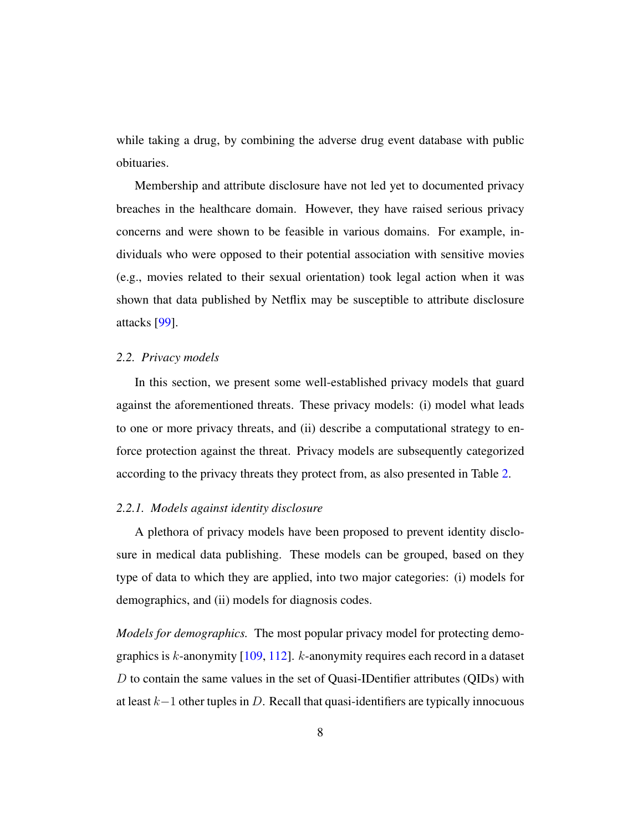while taking a drug, by combining the adverse drug event database with public obituaries.

Membership and attribute disclosure have not led yet to documented privacy breaches in the healthcare domain. However, they have raised serious privacy concerns and were shown to be feasible in various domains. For example, individuals who were opposed to their potential association with sensitive movies (e.g., movies related to their sexual orientation) took legal action when it was shown that data published by Netflix may be susceptible to attribute disclosure attacks [\[99\]](#page-61-2).

#### <span id="page-8-0"></span>*2.2. Privacy models*

In this section, we present some well-established privacy models that guard against the aforementioned threats. These privacy models: (i) model what leads to one or more privacy threats, and (ii) describe a computational strategy to enforce protection against the threat. Privacy models are subsequently categorized according to the privacy threats they protect from, as also presented in Table [2.](#page-9-0)

#### *2.2.1. Models against identity disclosure*

A plethora of privacy models have been proposed to prevent identity disclosure in medical data publishing. These models can be grouped, based on they type of data to which they are applied, into two major categories: (i) models for demographics, and (ii) models for diagnosis codes.

*Models for demographics.* The most popular privacy model for protecting demographics is  $k$ -anonymity [\[109,](#page-62-3) [112\]](#page-63-2).  $k$ -anonymity requires each record in a dataset D to contain the same values in the set of Quasi-IDentifier attributes (QIDs) with at least k−1 other tuples in D. Recall that quasi-identifiers are typically innocuous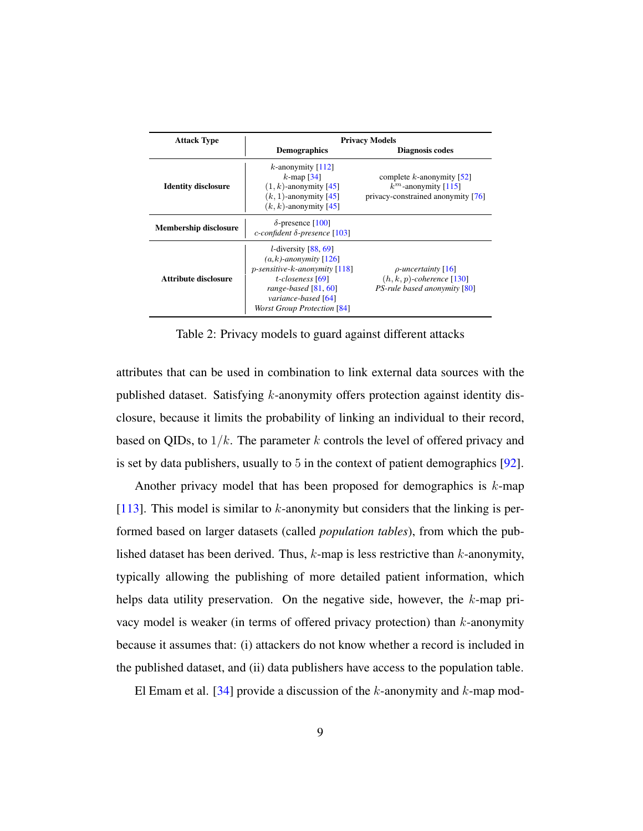<span id="page-9-0"></span>

| <b>Attack Type</b>           | <b>Privacy Models</b>                                                                                                                                                                                         |                                                                                              |  |  |
|------------------------------|---------------------------------------------------------------------------------------------------------------------------------------------------------------------------------------------------------------|----------------------------------------------------------------------------------------------|--|--|
|                              | <b>Demographics</b>                                                                                                                                                                                           | Diagnosis codes                                                                              |  |  |
| <b>Identity disclosure</b>   | <i>k</i> -anonymity $\lceil 112 \rceil$<br>$k$ -map [34]<br>$(1, k)$ -anonymity [45]<br>$(k, 1)$ -anonymity [45]<br>$(k, k)$ -anonymity [45]                                                                  | complete $k$ -anonymity [52]<br>$k^m$ -anonymity [115]<br>privacy-constrained anonymity [76] |  |  |
| <b>Membership disclosure</b> | $\delta$ -presence [100]<br>c-confident $\delta$ -presence [103]                                                                                                                                              |                                                                                              |  |  |
| Attribute disclosure         | <i>l</i> -diversity $[88, 69]$<br>$(a,k)$ -anonymity [126]<br>$p$ -sensitive- $k$ -anonymity [118]<br>t-closeness [69]<br>range-based $[81, 60]$<br>variance-based [64]<br><b>Worst Group Protection [84]</b> | $\rho$ -uncertainty [16]<br>$(h, k, p)$ -coherence [130]<br>PS-rule based anonymity [80]     |  |  |

Table 2: Privacy models to guard against different attacks

attributes that can be used in combination to link external data sources with the published dataset. Satisfying k-anonymity offers protection against identity disclosure, because it limits the probability of linking an individual to their record, based on QIDs, to  $1/k$ . The parameter k controls the level of offered privacy and is set by data publishers, usually to 5 in the context of patient demographics [\[92\]](#page-60-5).

Another privacy model that has been proposed for demographics is  $k$ -map [\[113\]](#page-63-5). This model is similar to  $k$ -anonymity but considers that the linking is performed based on larger datasets (called *population tables*), from which the published dataset has been derived. Thus,  $k$ -map is less restrictive than  $k$ -anonymity, typically allowing the publishing of more detailed patient information, which helps data utility preservation. On the negative side, however, the k-map privacy model is weaker (in terms of offered privacy protection) than  $k$ -anonymity because it assumes that: (i) attackers do not know whether a record is included in the published dataset, and (ii) data publishers have access to the population table.

El Emam et al. [\[34\]](#page-53-1) provide a discussion of the  $k$ -anonymity and  $k$ -map mod-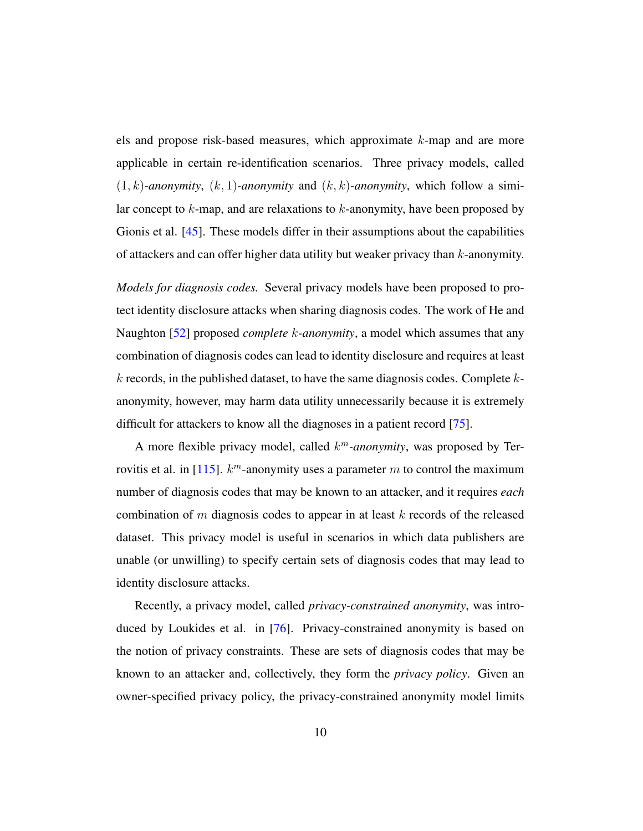els and propose risk-based measures, which approximate k-map and are more applicable in certain re-identification scenarios. Three privacy models, called  $(1, k)$ -anonymity,  $(k, 1)$ -anonymity and  $(k, k)$ -anonymity, which follow a similar concept to  $k$ -map, and are relaxations to  $k$ -anonymity, have been proposed by Gionis et al. [\[45\]](#page-54-1). These models differ in their assumptions about the capabilities of attackers and can offer higher data utility but weaker privacy than k-anonymity.

*Models for diagnosis codes.* Several privacy models have been proposed to protect identity disclosure attacks when sharing diagnosis codes. The work of He and Naughton [\[52\]](#page-55-1) proposed *complete* k*-anonymity*, a model which assumes that any combination of diagnosis codes can lead to identity disclosure and requires at least  $k$  records, in the published dataset, to have the same diagnosis codes. Complete  $k$ anonymity, however, may harm data utility unnecessarily because it is extremely difficult for attackers to know all the diagnoses in a patient record [\[75\]](#page-58-1).

A more flexible privacy model, called k <sup>m</sup>*-anonymity*, was proposed by Ter-rovitis et al. in [\[115\]](#page-63-3).  $k^m$ -anonymity uses a parameter m to control the maximum number of diagnosis codes that may be known to an attacker, and it requires *each* combination of m diagnosis codes to appear in at least  $k$  records of the released dataset. This privacy model is useful in scenarios in which data publishers are unable (or unwilling) to specify certain sets of diagnosis codes that may lead to identity disclosure attacks.

Recently, a privacy model, called *privacy-constrained anonymity*, was introduced by Loukides et al. in [\[76\]](#page-58-2). Privacy-constrained anonymity is based on the notion of privacy constraints. These are sets of diagnosis codes that may be known to an attacker and, collectively, they form the *privacy policy*. Given an owner-specified privacy policy, the privacy-constrained anonymity model limits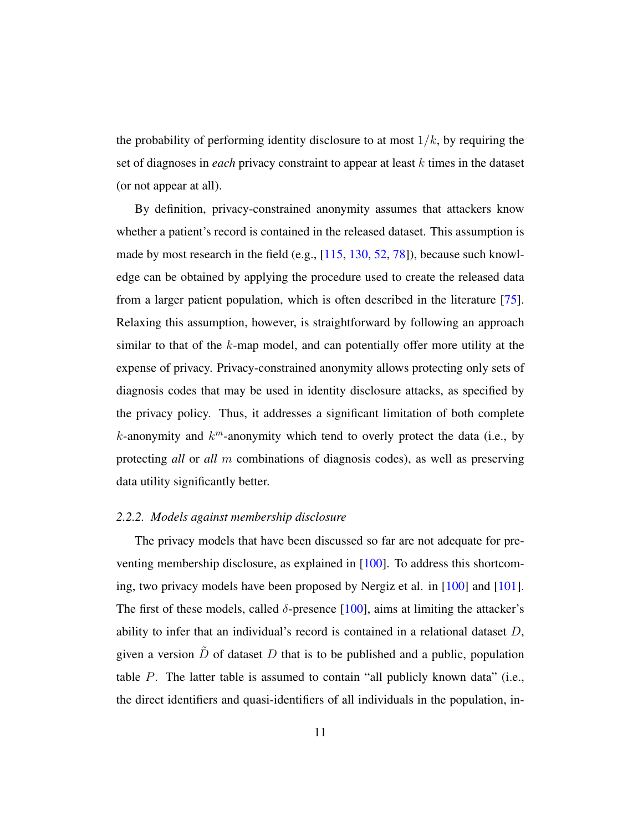the probability of performing identity disclosure to at most  $1/k$ , by requiring the set of diagnoses in *each* privacy constraint to appear at least k times in the dataset (or not appear at all).

By definition, privacy-constrained anonymity assumes that attackers know whether a patient's record is contained in the released dataset. This assumption is made by most research in the field (e.g., [\[115,](#page-63-3) [130,](#page-65-0) [52,](#page-55-1) [78\]](#page-58-3)), because such knowledge can be obtained by applying the procedure used to create the released data from a larger patient population, which is often described in the literature [\[75\]](#page-58-1). Relaxing this assumption, however, is straightforward by following an approach similar to that of the  $k$ -map model, and can potentially offer more utility at the expense of privacy. Privacy-constrained anonymity allows protecting only sets of diagnosis codes that may be used in identity disclosure attacks, as specified by the privacy policy. Thus, it addresses a significant limitation of both complete  $k$ -anonymity and  $k^m$ -anonymity which tend to overly protect the data (i.e., by protecting *all* or *all* m combinations of diagnosis codes), as well as preserving data utility significantly better.

#### *2.2.2. Models against membership disclosure*

The privacy models that have been discussed so far are not adequate for preventing membership disclosure, as explained in [\[100\]](#page-61-0). To address this shortcoming, two privacy models have been proposed by Nergiz et al. in [\[100\]](#page-61-0) and [\[101\]](#page-61-1). The first of these models, called  $\delta$ -presence [\[100\]](#page-61-0), aims at limiting the attacker's ability to infer that an individual's record is contained in a relational dataset  $D$ , given a version  $\ddot{D}$  of dataset  $D$  that is to be published and a public, population table P. The latter table is assumed to contain "all publicly known data" (i.e., the direct identifiers and quasi-identifiers of all individuals in the population, in-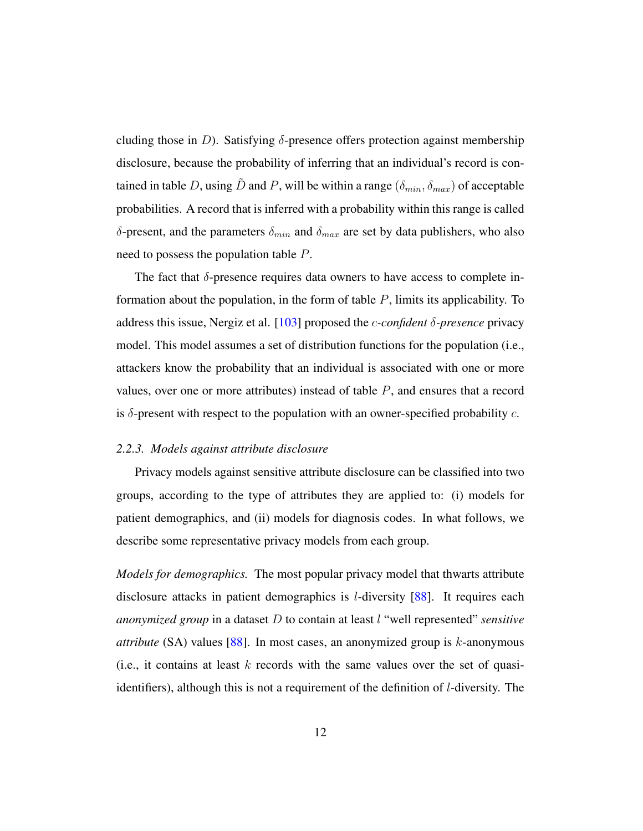cluding those in D). Satisfying  $\delta$ -presence offers protection against membership disclosure, because the probability of inferring that an individual's record is contained in table D, using  $\tilde{D}$  and P, will be within a range  $(\delta_{min}, \delta_{max})$  of acceptable probabilities. A record that is inferred with a probability within this range is called  $\delta$ -present, and the parameters  $\delta_{min}$  and  $\delta_{max}$  are set by data publishers, who also need to possess the population table P.

The fact that  $\delta$ -presence requires data owners to have access to complete information about the population, in the form of table  $P$ , limits its applicability. To address this issue, Nergiz et al. [\[103\]](#page-61-3) proposed the c*-confident* δ*-presence* privacy model. This model assumes a set of distribution functions for the population (i.e., attackers know the probability that an individual is associated with one or more values, over one or more attributes) instead of table P, and ensures that a record is  $\delta$ -present with respect to the population with an owner-specified probability c.

# *2.2.3. Models against attribute disclosure*

Privacy models against sensitive attribute disclosure can be classified into two groups, according to the type of attributes they are applied to: (i) models for patient demographics, and (ii) models for diagnosis codes. In what follows, we describe some representative privacy models from each group.

*Models for demographics.* The most popular privacy model that thwarts attribute disclosure attacks in patient demographics is l-diversity [\[88\]](#page-59-1). It requires each *anonymized group* in a dataset D to contain at least l "well represented" *sensitive attribute* (SA) values [\[88\]](#page-59-1). In most cases, an anonymized group is k-anonymous (i.e., it contains at least  $k$  records with the same values over the set of quasiidentifiers), although this is not a requirement of the definition of l-diversity. The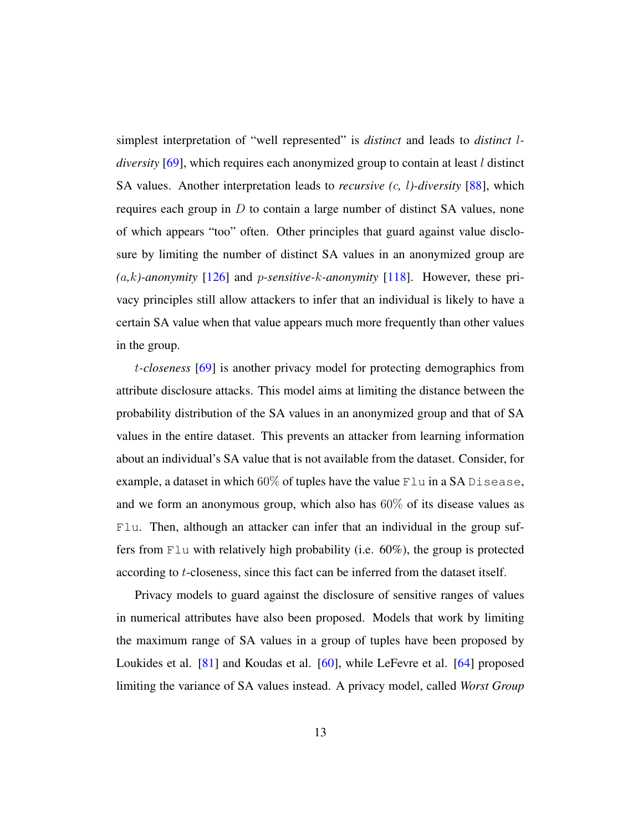simplest interpretation of "well represented" is *distinct* and leads to *distinct* l*diversity* [\[69\]](#page-57-1), which requires each anonymized group to contain at least l distinct SA values. Another interpretation leads to *recursive (*c*,* l*)-diversity* [\[88\]](#page-59-1), which requires each group in  $D$  to contain a large number of distinct SA values, none of which appears "too" often. Other principles that guard against value disclosure by limiting the number of distinct SA values in an anonymized group are *(*a*,*k*)-anonymity* [\[126\]](#page-64-2) and p*-sensitive-*k*-anonymity* [\[118\]](#page-63-4). However, these privacy principles still allow attackers to infer that an individual is likely to have a certain SA value when that value appears much more frequently than other values in the group.

t*-closeness* [\[69\]](#page-57-1) is another privacy model for protecting demographics from attribute disclosure attacks. This model aims at limiting the distance between the probability distribution of the SA values in an anonymized group and that of SA values in the entire dataset. This prevents an attacker from learning information about an individual's SA value that is not available from the dataset. Consider, for example, a dataset in which  $60\%$  of tuples have the value Flu in a SA Disease, and we form an anonymous group, which also has 60% of its disease values as Flu. Then, although an attacker can infer that an individual in the group suffers from Flu with relatively high probability (i.e. 60%), the group is protected according to t-closeness, since this fact can be inferred from the dataset itself.

Privacy models to guard against the disclosure of sensitive ranges of values in numerical attributes have also been proposed. Models that work by limiting the maximum range of SA values in a group of tuples have been proposed by Loukides et al. [\[81\]](#page-59-2) and Koudas et al. [\[60\]](#page-56-2), while LeFevre et al. [\[64\]](#page-57-2) proposed limiting the variance of SA values instead. A privacy model, called *Worst Group*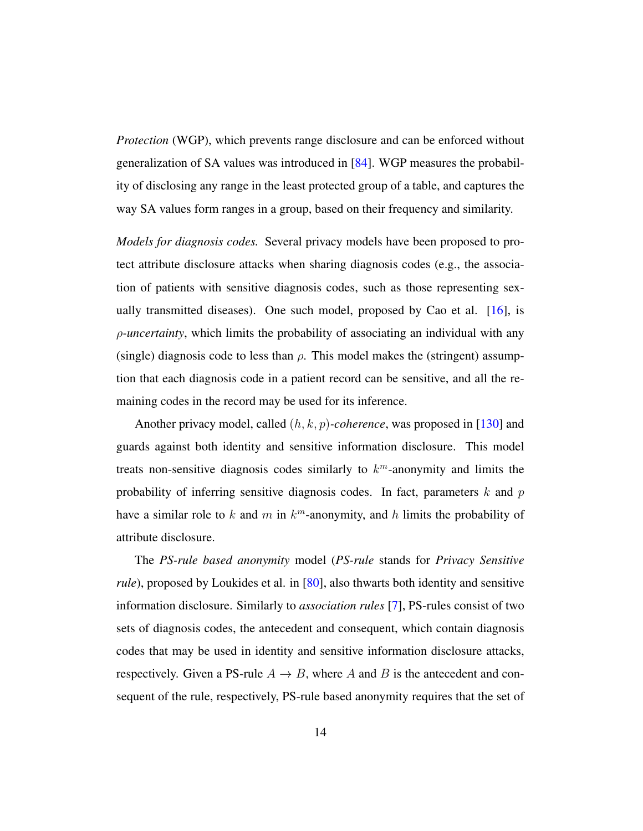*Protection* (WGP), which prevents range disclosure and can be enforced without generalization of SA values was introduced in [\[84\]](#page-59-4). WGP measures the probability of disclosing any range in the least protected group of a table, and captures the way SA values form ranges in a group, based on their frequency and similarity.

*Models for diagnosis codes.* Several privacy models have been proposed to protect attribute disclosure attacks when sharing diagnosis codes (e.g., the association of patients with sensitive diagnosis codes, such as those representing sexually transmitted diseases). One such model, proposed by Cao et al.  $[16]$ , is ρ*-uncertainty*, which limits the probability of associating an individual with any (single) diagnosis code to less than  $\rho$ . This model makes the (stringent) assumption that each diagnosis code in a patient record can be sensitive, and all the remaining codes in the record may be used for its inference.

Another privacy model, called (h, k, p)*-coherence*, was proposed in [\[130\]](#page-65-0) and guards against both identity and sensitive information disclosure. This model treats non-sensitive diagnosis codes similarly to  $k^m$ -anonymity and limits the probability of inferring sensitive diagnosis codes. In fact, parameters  $k$  and  $p$ have a similar role to k and m in  $k^m$ -anonymity, and h limits the probability of attribute disclosure.

The *PS-rule based anonymity* model (*PS-rule* stands for *Privacy Sensitive rule*), proposed by Loukides et al. in [\[80\]](#page-59-3), also thwarts both identity and sensitive information disclosure. Similarly to *association rules* [\[7\]](#page-49-5), PS-rules consist of two sets of diagnosis codes, the antecedent and consequent, which contain diagnosis codes that may be used in identity and sensitive information disclosure attacks, respectively. Given a PS-rule  $A \rightarrow B$ , where A and B is the antecedent and consequent of the rule, respectively, PS-rule based anonymity requires that the set of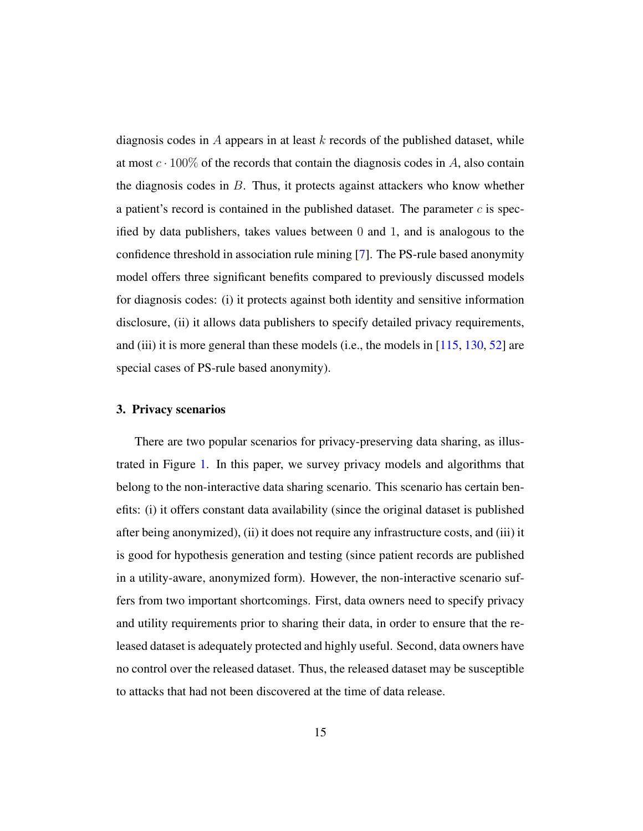diagnosis codes in A appears in at least  $k$  records of the published dataset, while at most  $c \cdot 100\%$  of the records that contain the diagnosis codes in A, also contain the diagnosis codes in  $B$ . Thus, it protects against attackers who know whether a patient's record is contained in the published dataset. The parameter  $c$  is specified by data publishers, takes values between 0 and 1, and is analogous to the confidence threshold in association rule mining [\[7\]](#page-49-5). The PS-rule based anonymity model offers three significant benefits compared to previously discussed models for diagnosis codes: (i) it protects against both identity and sensitive information disclosure, (ii) it allows data publishers to specify detailed privacy requirements, and (iii) it is more general than these models (i.e., the models in  $[115, 130, 52]$  $[115, 130, 52]$  $[115, 130, 52]$  $[115, 130, 52]$  $[115, 130, 52]$  are special cases of PS-rule based anonymity).

# <span id="page-15-0"></span>3. Privacy scenarios

There are two popular scenarios for privacy-preserving data sharing, as illustrated in Figure [1.](#page-16-0) In this paper, we survey privacy models and algorithms that belong to the non-interactive data sharing scenario. This scenario has certain benefits: (i) it offers constant data availability (since the original dataset is published after being anonymized), (ii) it does not require any infrastructure costs, and (iii) it is good for hypothesis generation and testing (since patient records are published in a utility-aware, anonymized form). However, the non-interactive scenario suffers from two important shortcomings. First, data owners need to specify privacy and utility requirements prior to sharing their data, in order to ensure that the released dataset is adequately protected and highly useful. Second, data owners have no control over the released dataset. Thus, the released dataset may be susceptible to attacks that had not been discovered at the time of data release.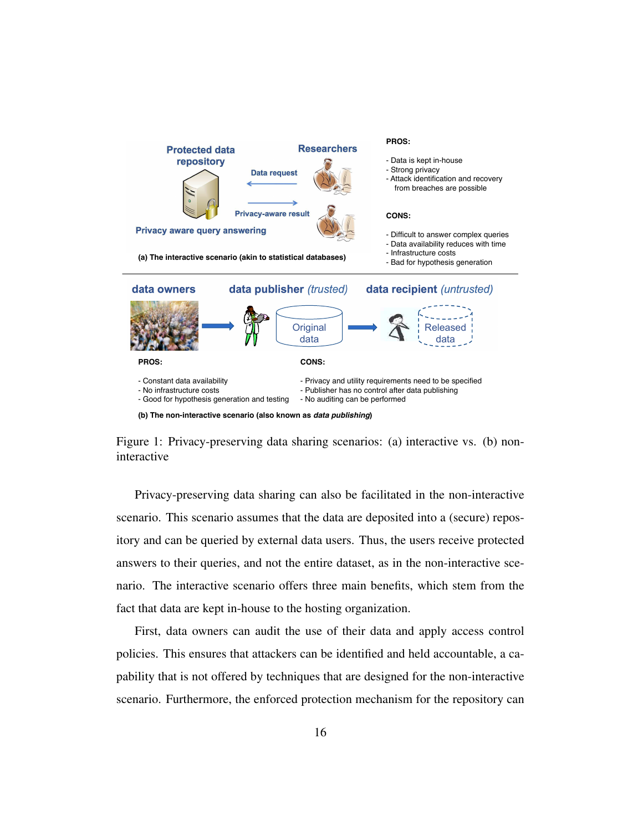<span id="page-16-0"></span>



Privacy-preserving data sharing can also be facilitated in the non-interactive scenario. This scenario assumes that the data are deposited into a (secure) repository and can be queried by external data users. Thus, the users receive protected answers to their queries, and not the entire dataset, as in the non-interactive scenario. The interactive scenario offers three main benefits, which stem from the fact that data are kept in-house to the hosting organization.

First, data owners can audit the use of their data and apply access control policies. This ensures that attackers can be identified and held accountable, a capability that is not offered by techniques that are designed for the non-interactive scenario. Furthermore, the enforced protection mechanism for the repository can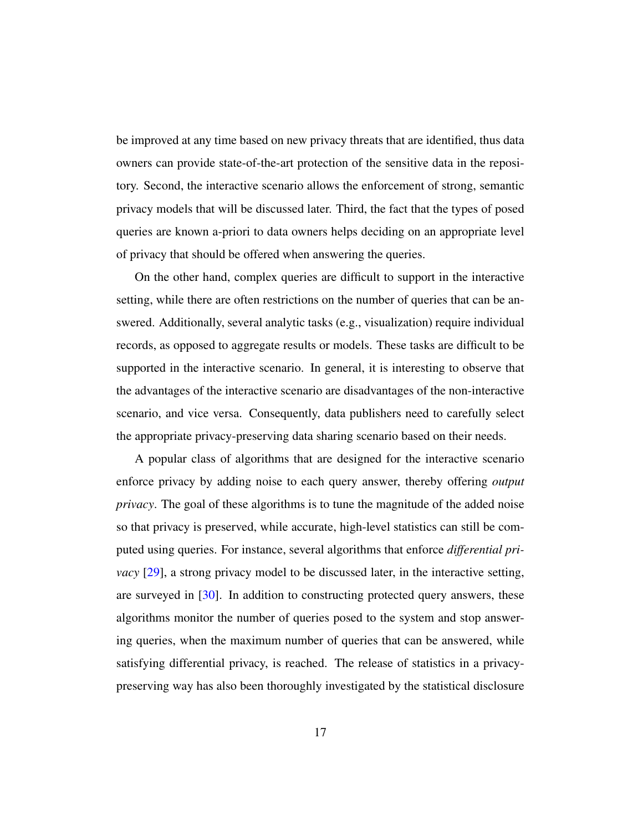be improved at any time based on new privacy threats that are identified, thus data owners can provide state-of-the-art protection of the sensitive data in the repository. Second, the interactive scenario allows the enforcement of strong, semantic privacy models that will be discussed later. Third, the fact that the types of posed queries are known a-priori to data owners helps deciding on an appropriate level of privacy that should be offered when answering the queries.

On the other hand, complex queries are difficult to support in the interactive setting, while there are often restrictions on the number of queries that can be answered. Additionally, several analytic tasks (e.g., visualization) require individual records, as opposed to aggregate results or models. These tasks are difficult to be supported in the interactive scenario. In general, it is interesting to observe that the advantages of the interactive scenario are disadvantages of the non-interactive scenario, and vice versa. Consequently, data publishers need to carefully select the appropriate privacy-preserving data sharing scenario based on their needs.

A popular class of algorithms that are designed for the interactive scenario enforce privacy by adding noise to each query answer, thereby offering *output privacy*. The goal of these algorithms is to tune the magnitude of the added noise so that privacy is preserved, while accurate, high-level statistics can still be computed using queries. For instance, several algorithms that enforce *differential privacy* [\[29\]](#page-52-0), a strong privacy model to be discussed later, in the interactive setting, are surveyed in [\[30\]](#page-52-1). In addition to constructing protected query answers, these algorithms monitor the number of queries posed to the system and stop answering queries, when the maximum number of queries that can be answered, while satisfying differential privacy, is reached. The release of statistics in a privacypreserving way has also been thoroughly investigated by the statistical disclosure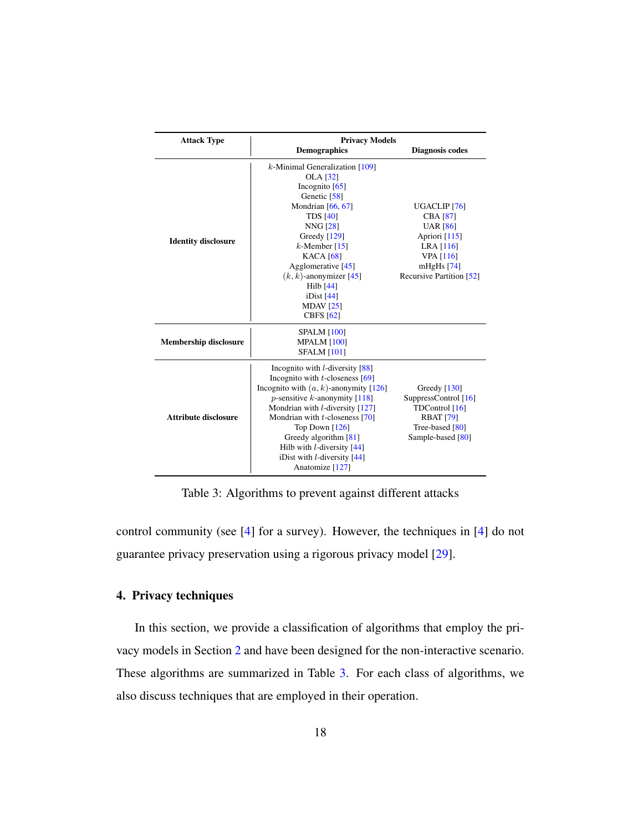<span id="page-18-1"></span>

| <b>Attack Type</b>           | <b>Privacy Models</b>                                                                                                                                                                                                                                                                                                                                                                       |                                                                                                                                                               |
|------------------------------|---------------------------------------------------------------------------------------------------------------------------------------------------------------------------------------------------------------------------------------------------------------------------------------------------------------------------------------------------------------------------------------------|---------------------------------------------------------------------------------------------------------------------------------------------------------------|
|                              | <b>Demographics</b>                                                                                                                                                                                                                                                                                                                                                                         | Diagnosis codes                                                                                                                                               |
| <b>Identity disclosure</b>   | $k$ -Minimal Generalization [109]<br><b>OLA</b> [32]<br>Incognito $[65]$<br>Genetic [58]<br>Mondrian $[66, 67]$<br><b>TDS</b> [40]<br><b>NNG</b> [28]<br>Greedy $[129]$<br>$k$ -Member [15]<br><b>KACA</b> [68]<br>Agglomerative [45]<br>$(k, k)$ -anonymizer [45]<br>Hilb [44]<br>iDist $[44]$<br>MDAV $[25]$<br><b>CBFS</b> [62]                                                          | UGACLIP <sub>[76]</sub><br><b>CBA</b> [87]<br><b>UAR</b> [86]<br>Apriori $[115]$<br>LRA [116]<br><b>VPA</b> [116]<br>mHgHs $[74]$<br>Recursive Partition [52] |
| <b>Membership disclosure</b> | <b>SPALM</b> [100]<br><b>MPALM [100]</b><br><b>SFALM [101]</b>                                                                                                                                                                                                                                                                                                                              |                                                                                                                                                               |
| <b>Attribute disclosure</b>  | Incognito with $l$ -diversity $[88]$<br>Incognito with $t$ -closeness [69]<br>Incognito with $(a, k)$ -anonymity [126]<br><i>p</i> -sensitive <i>k</i> -anonymity $[118]$<br>Mondrian with $l$ -diversity [127]<br>Mondrian with $t$ -closeness [70]<br>Top Down $[126]$<br>Greedy algorithm [81]<br>Hilb with $l$ -diversity $[44]$<br>iDist with $l$ -diversity $[44]$<br>Anatomize [127] | Greedy $[130]$<br>SuppressControl [16]<br>TDControl [16]<br><b>RBAT [79]</b><br>Tree-based [80]<br>Sample-based [80]                                          |

Table 3: Algorithms to prevent against different attacks

control community (see [\[4\]](#page-49-6) for a survey). However, the techniques in [\[4\]](#page-49-6) do not guarantee privacy preservation using a rigorous privacy model [\[29\]](#page-52-0).

# <span id="page-18-0"></span>4. Privacy techniques

In this section, we provide a classification of algorithms that employ the privacy models in Section [2](#page-5-0) and have been designed for the non-interactive scenario. These algorithms are summarized in Table [3.](#page-18-1) For each class of algorithms, we also discuss techniques that are employed in their operation.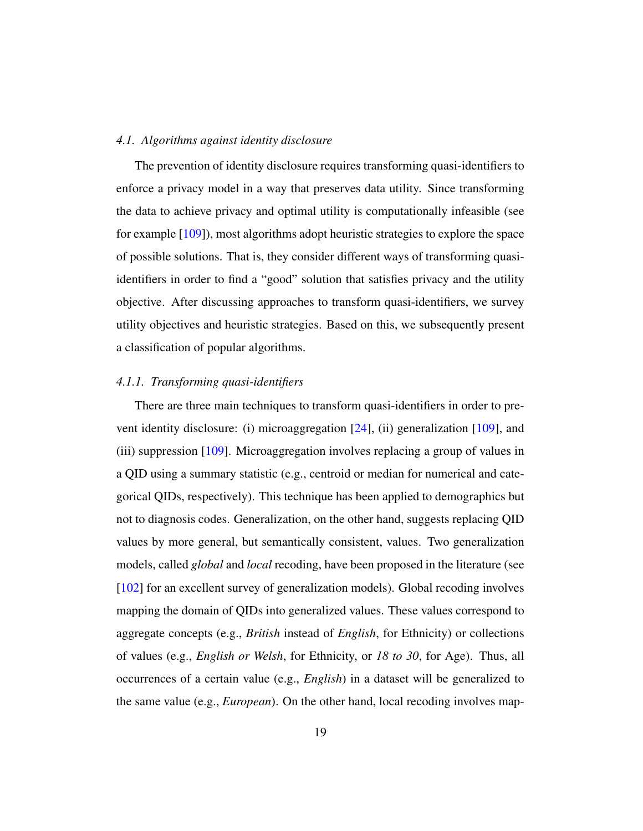#### *4.1. Algorithms against identity disclosure*

The prevention of identity disclosure requires transforming quasi-identifiers to enforce a privacy model in a way that preserves data utility. Since transforming the data to achieve privacy and optimal utility is computationally infeasible (see for example [\[109\]](#page-62-3)), most algorithms adopt heuristic strategies to explore the space of possible solutions. That is, they consider different ways of transforming quasiidentifiers in order to find a "good" solution that satisfies privacy and the utility objective. After discussing approaches to transform quasi-identifiers, we survey utility objectives and heuristic strategies. Based on this, we subsequently present a classification of popular algorithms.

#### *4.1.1. Transforming quasi-identifiers*

There are three main techniques to transform quasi-identifiers in order to prevent identity disclosure: (i) microaggregation [\[24\]](#page-52-5), (ii) generalization [\[109\]](#page-62-3), and (iii) suppression [\[109\]](#page-62-3). Microaggregation involves replacing a group of values in a QID using a summary statistic (e.g., centroid or median for numerical and categorical QIDs, respectively). This technique has been applied to demographics but not to diagnosis codes. Generalization, on the other hand, suggests replacing QID values by more general, but semantically consistent, values. Two generalization models, called *global* and *local* recoding, have been proposed in the literature (see [\[102\]](#page-61-4) for an excellent survey of generalization models). Global recoding involves mapping the domain of QIDs into generalized values. These values correspond to aggregate concepts (e.g., *British* instead of *English*, for Ethnicity) or collections of values (e.g., *English or Welsh*, for Ethnicity, or *18 to 30*, for Age). Thus, all occurrences of a certain value (e.g., *English*) in a dataset will be generalized to the same value (e.g., *European*). On the other hand, local recoding involves map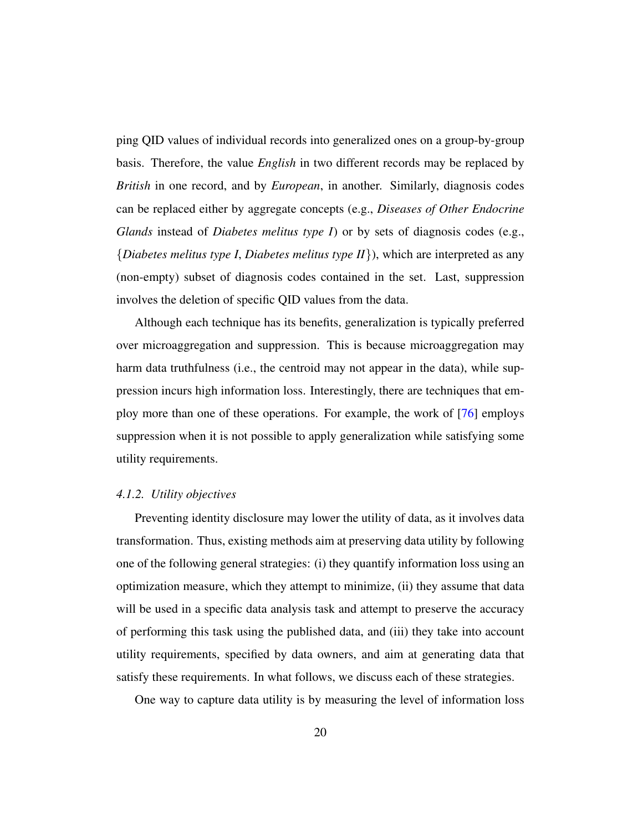ping QID values of individual records into generalized ones on a group-by-group basis. Therefore, the value *English* in two different records may be replaced by *British* in one record, and by *European*, in another. Similarly, diagnosis codes can be replaced either by aggregate concepts (e.g., *Diseases of Other Endocrine Glands* instead of *Diabetes melitus type I*) or by sets of diagnosis codes (e.g., {*Diabetes melitus type I*, *Diabetes melitus type II*}), which are interpreted as any (non-empty) subset of diagnosis codes contained in the set. Last, suppression involves the deletion of specific QID values from the data.

Although each technique has its benefits, generalization is typically preferred over microaggregation and suppression. This is because microaggregation may harm data truthfulness (i.e., the centroid may not appear in the data), while suppression incurs high information loss. Interestingly, there are techniques that employ more than one of these operations. For example, the work of [\[76\]](#page-58-2) employs suppression when it is not possible to apply generalization while satisfying some utility requirements.

#### *4.1.2. Utility objectives*

Preventing identity disclosure may lower the utility of data, as it involves data transformation. Thus, existing methods aim at preserving data utility by following one of the following general strategies: (i) they quantify information loss using an optimization measure, which they attempt to minimize, (ii) they assume that data will be used in a specific data analysis task and attempt to preserve the accuracy of performing this task using the published data, and (iii) they take into account utility requirements, specified by data owners, and aim at generating data that satisfy these requirements. In what follows, we discuss each of these strategies.

One way to capture data utility is by measuring the level of information loss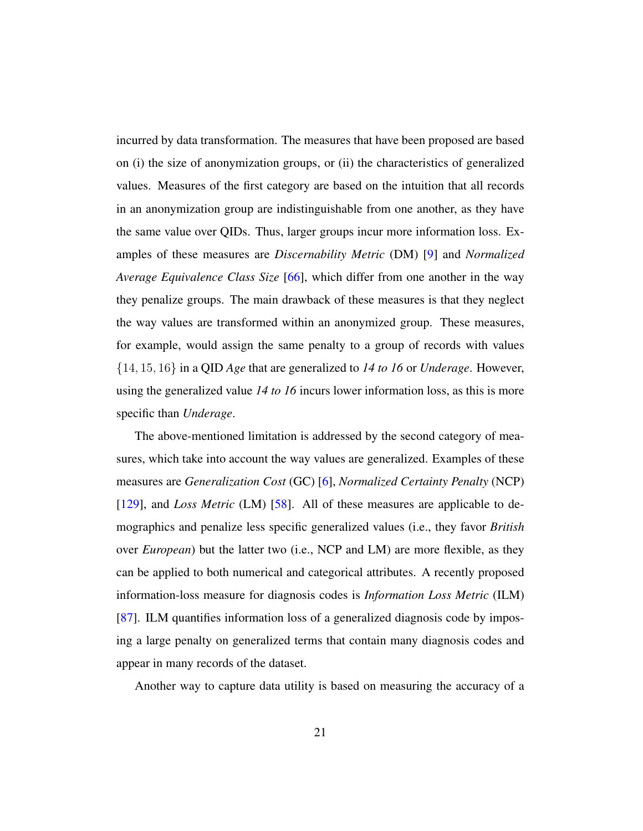incurred by data transformation. The measures that have been proposed are based on (i) the size of anonymization groups, or (ii) the characteristics of generalized values. Measures of the first category are based on the intuition that all records in an anonymization group are indistinguishable from one another, as they have the same value over QIDs. Thus, larger groups incur more information loss. Examples of these measures are *Discernability Metric* (DM) [\[9\]](#page-50-2) and *Normalized Average Equivalence Class Size* [\[66\]](#page-57-4), which differ from one another in the way they penalize groups. The main drawback of these measures is that they neglect the way values are transformed within an anonymized group. These measures, for example, would assign the same penalty to a group of records with values {14, 15, 16} in a QID *Age* that are generalized to *14 to 16* or *Underage*. However, using the generalized value *14 to 16* incurs lower information loss, as this is more specific than *Underage*.

The above-mentioned limitation is addressed by the second category of measures, which take into account the way values are generalized. Examples of these measures are *Generalization Cost* (GC) [\[6\]](#page-49-7), *Normalized Certainty Penalty* (NCP) [\[129\]](#page-64-3), and *Loss Metric* (LM) [\[58\]](#page-56-3). All of these measures are applicable to demographics and penalize less specific generalized values (i.e., they favor *British* over *European*) but the latter two (i.e., NCP and LM) are more flexible, as they can be applied to both numerical and categorical attributes. A recently proposed information-loss measure for diagnosis codes is *Information Loss Metric* (ILM) [\[87\]](#page-59-0). ILM quantifies information loss of a generalized diagnosis code by imposing a large penalty on generalized terms that contain many diagnosis codes and appear in many records of the dataset.

Another way to capture data utility is based on measuring the accuracy of a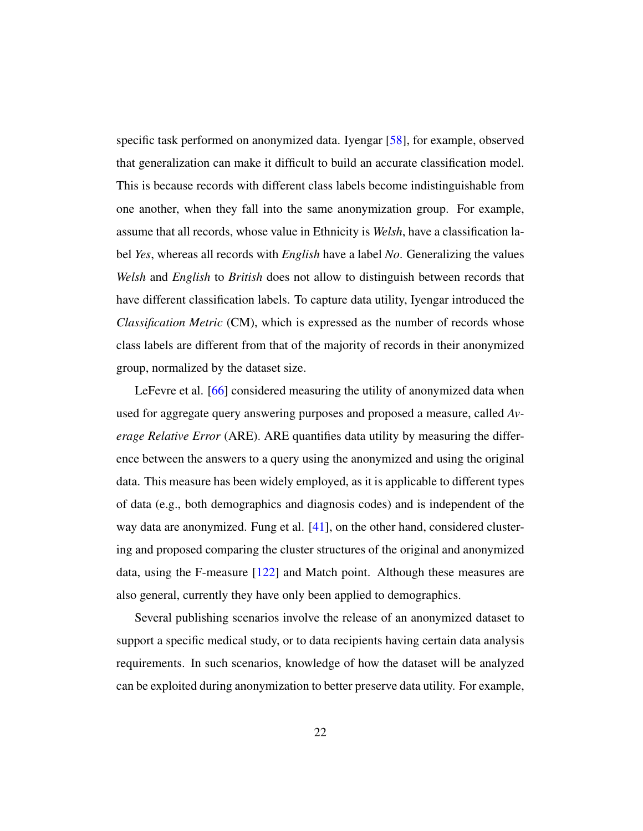specific task performed on anonymized data. Iyengar [\[58\]](#page-56-3), for example, observed that generalization can make it difficult to build an accurate classification model. This is because records with different class labels become indistinguishable from one another, when they fall into the same anonymization group. For example, assume that all records, whose value in Ethnicity is *Welsh*, have a classification label *Yes*, whereas all records with *English* have a label *No*. Generalizing the values *Welsh* and *English* to *British* does not allow to distinguish between records that have different classification labels. To capture data utility, Iyengar introduced the *Classification Metric* (CM), which is expressed as the number of records whose class labels are different from that of the majority of records in their anonymized group, normalized by the dataset size.

LeFevre et al. [\[66\]](#page-57-4) considered measuring the utility of anonymized data when used for aggregate query answering purposes and proposed a measure, called *Average Relative Error* (ARE). ARE quantifies data utility by measuring the difference between the answers to a query using the anonymized and using the original data. This measure has been widely employed, as it is applicable to different types of data (e.g., both demographics and diagnosis codes) and is independent of the way data are anonymized. Fung et al. [\[41\]](#page-54-4), on the other hand, considered clustering and proposed comparing the cluster structures of the original and anonymized data, using the F-measure [\[122\]](#page-64-5) and Match point. Although these measures are also general, currently they have only been applied to demographics.

Several publishing scenarios involve the release of an anonymized dataset to support a specific medical study, or to data recipients having certain data analysis requirements. In such scenarios, knowledge of how the dataset will be analyzed can be exploited during anonymization to better preserve data utility. For example,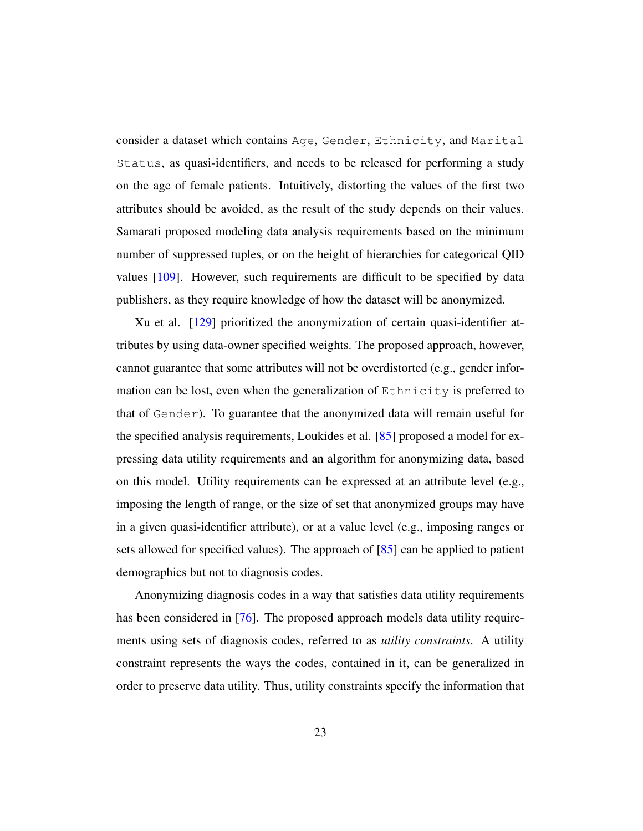consider a dataset which contains Age, Gender, Ethnicity, and Marital Status, as quasi-identifiers, and needs to be released for performing a study on the age of female patients. Intuitively, distorting the values of the first two attributes should be avoided, as the result of the study depends on their values. Samarati proposed modeling data analysis requirements based on the minimum number of suppressed tuples, or on the height of hierarchies for categorical QID values [\[109\]](#page-62-3). However, such requirements are difficult to be specified by data publishers, as they require knowledge of how the dataset will be anonymized.

Xu et al. [\[129\]](#page-64-3) prioritized the anonymization of certain quasi-identifier attributes by using data-owner specified weights. The proposed approach, however, cannot guarantee that some attributes will not be overdistorted (e.g., gender information can be lost, even when the generalization of Ethnicity is preferred to that of Gender). To guarantee that the anonymized data will remain useful for the specified analysis requirements, Loukides et al. [\[85\]](#page-59-6) proposed a model for expressing data utility requirements and an algorithm for anonymizing data, based on this model. Utility requirements can be expressed at an attribute level (e.g., imposing the length of range, or the size of set that anonymized groups may have in a given quasi-identifier attribute), or at a value level (e.g., imposing ranges or sets allowed for specified values). The approach of [\[85\]](#page-59-6) can be applied to patient demographics but not to diagnosis codes.

Anonymizing diagnosis codes in a way that satisfies data utility requirements has been considered in [\[76\]](#page-58-2). The proposed approach models data utility requirements using sets of diagnosis codes, referred to as *utility constraints*. A utility constraint represents the ways the codes, contained in it, can be generalized in order to preserve data utility. Thus, utility constraints specify the information that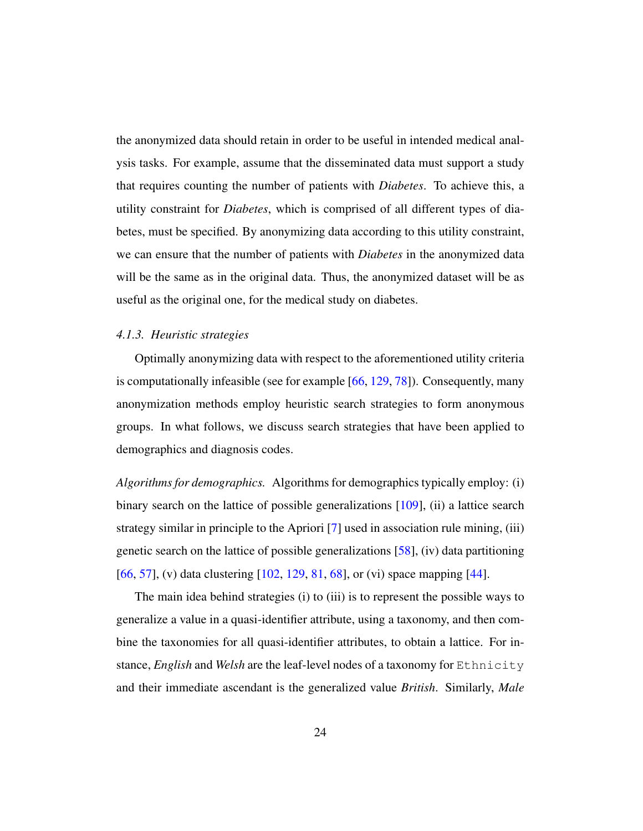the anonymized data should retain in order to be useful in intended medical analysis tasks. For example, assume that the disseminated data must support a study that requires counting the number of patients with *Diabetes*. To achieve this, a utility constraint for *Diabetes*, which is comprised of all different types of diabetes, must be specified. By anonymizing data according to this utility constraint, we can ensure that the number of patients with *Diabetes* in the anonymized data will be the same as in the original data. Thus, the anonymized dataset will be as useful as the original one, for the medical study on diabetes.

#### *4.1.3. Heuristic strategies*

Optimally anonymizing data with respect to the aforementioned utility criteria is computationally infeasible (see for example [\[66,](#page-57-4) [129,](#page-64-3) [78\]](#page-58-3)). Consequently, many anonymization methods employ heuristic search strategies to form anonymous groups. In what follows, we discuss search strategies that have been applied to demographics and diagnosis codes.

*Algorithms for demographics.* Algorithms for demographics typically employ: (i) binary search on the lattice of possible generalizations [\[109\]](#page-62-3), (ii) a lattice search strategy similar in principle to the Apriori [\[7\]](#page-49-5) used in association rule mining, (iii) genetic search on the lattice of possible generalizations  $[58]$ , (iv) data partitioning [\[66,](#page-57-4) [57\]](#page-56-5), (v) data clustering [\[102,](#page-61-4) [129,](#page-64-3) [81,](#page-59-2) [68\]](#page-57-6), or (vi) space mapping [\[44\]](#page-54-3).

The main idea behind strategies (i) to (iii) is to represent the possible ways to generalize a value in a quasi-identifier attribute, using a taxonomy, and then combine the taxonomies for all quasi-identifier attributes, to obtain a lattice. For instance, *English* and *Welsh* are the leaf-level nodes of a taxonomy for Ethnicity and their immediate ascendant is the generalized value *British*. Similarly, *Male*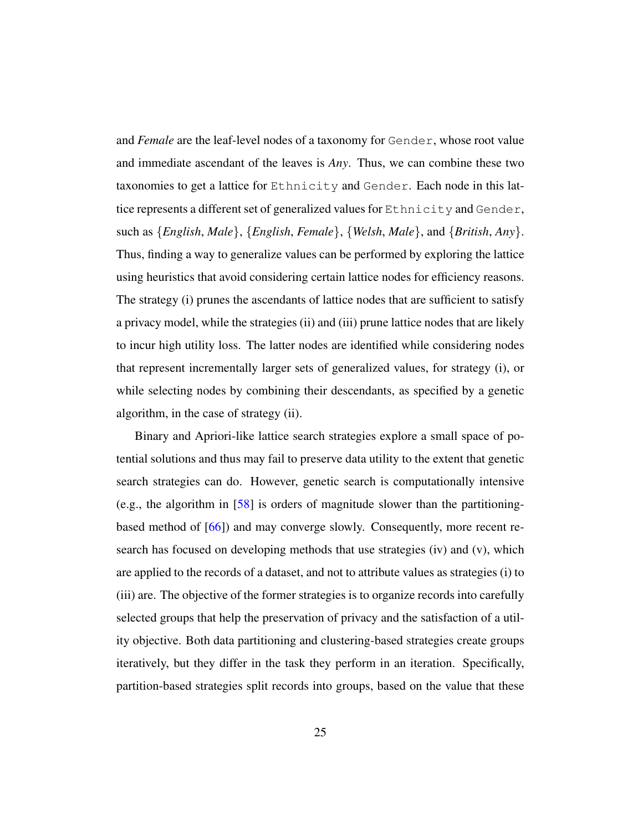and *Female* are the leaf-level nodes of a taxonomy for Gender, whose root value and immediate ascendant of the leaves is *Any*. Thus, we can combine these two taxonomies to get a lattice for Ethnicity and Gender. Each node in this lattice represents a different set of generalized values for Ethnicity and Gender, such as {*English*, *Male*}, {*English*, *Female*}, {*Welsh*, *Male*}, and {*British*, *Any*}. Thus, finding a way to generalize values can be performed by exploring the lattice using heuristics that avoid considering certain lattice nodes for efficiency reasons. The strategy (i) prunes the ascendants of lattice nodes that are sufficient to satisfy a privacy model, while the strategies (ii) and (iii) prune lattice nodes that are likely to incur high utility loss. The latter nodes are identified while considering nodes that represent incrementally larger sets of generalized values, for strategy (i), or while selecting nodes by combining their descendants, as specified by a genetic algorithm, in the case of strategy (ii).

Binary and Apriori-like lattice search strategies explore a small space of potential solutions and thus may fail to preserve data utility to the extent that genetic search strategies can do. However, genetic search is computationally intensive (e.g., the algorithm in [\[58\]](#page-56-3) is orders of magnitude slower than the partitioningbased method of [\[66\]](#page-57-4)) and may converge slowly. Consequently, more recent research has focused on developing methods that use strategies (iv) and (v), which are applied to the records of a dataset, and not to attribute values as strategies (i) to (iii) are. The objective of the former strategies is to organize records into carefully selected groups that help the preservation of privacy and the satisfaction of a utility objective. Both data partitioning and clustering-based strategies create groups iteratively, but they differ in the task they perform in an iteration. Specifically, partition-based strategies split records into groups, based on the value that these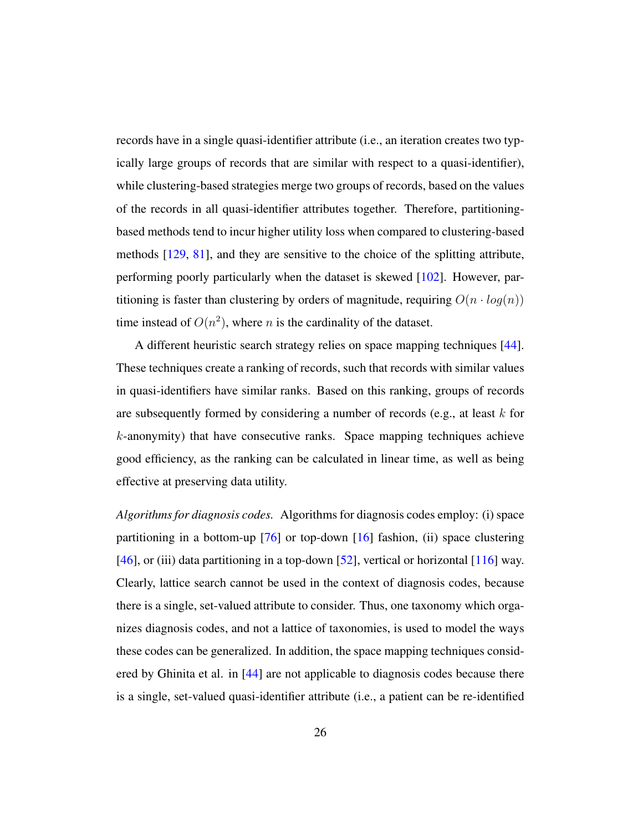records have in a single quasi-identifier attribute (i.e., an iteration creates two typically large groups of records that are similar with respect to a quasi-identifier), while clustering-based strategies merge two groups of records, based on the values of the records in all quasi-identifier attributes together. Therefore, partitioningbased methods tend to incur higher utility loss when compared to clustering-based methods [\[129,](#page-64-3) [81\]](#page-59-2), and they are sensitive to the choice of the splitting attribute, performing poorly particularly when the dataset is skewed [\[102\]](#page-61-4). However, partitioning is faster than clustering by orders of magnitude, requiring  $O(n \cdot log(n))$ time instead of  $O(n^2)$ , where *n* is the cardinality of the dataset.

A different heuristic search strategy relies on space mapping techniques [\[44\]](#page-54-3). These techniques create a ranking of records, such that records with similar values in quasi-identifiers have similar ranks. Based on this ranking, groups of records are subsequently formed by considering a number of records (e.g., at least  $k$  for k-anonymity) that have consecutive ranks. Space mapping techniques achieve good efficiency, as the ranking can be calculated in linear time, as well as being effective at preserving data utility.

*Algorithms for diagnosis codes.* Algorithms for diagnosis codes employ: (i) space partitioning in a bottom-up  $[76]$  or top-down  $[16]$  fashion, (ii) space clustering [\[46\]](#page-54-5), or (iii) data partitioning in a top-down [\[52\]](#page-55-1), vertical or horizontal [\[116\]](#page-63-6) way. Clearly, lattice search cannot be used in the context of diagnosis codes, because there is a single, set-valued attribute to consider. Thus, one taxonomy which organizes diagnosis codes, and not a lattice of taxonomies, is used to model the ways these codes can be generalized. In addition, the space mapping techniques considered by Ghinita et al. in [\[44\]](#page-54-3) are not applicable to diagnosis codes because there is a single, set-valued quasi-identifier attribute (i.e., a patient can be re-identified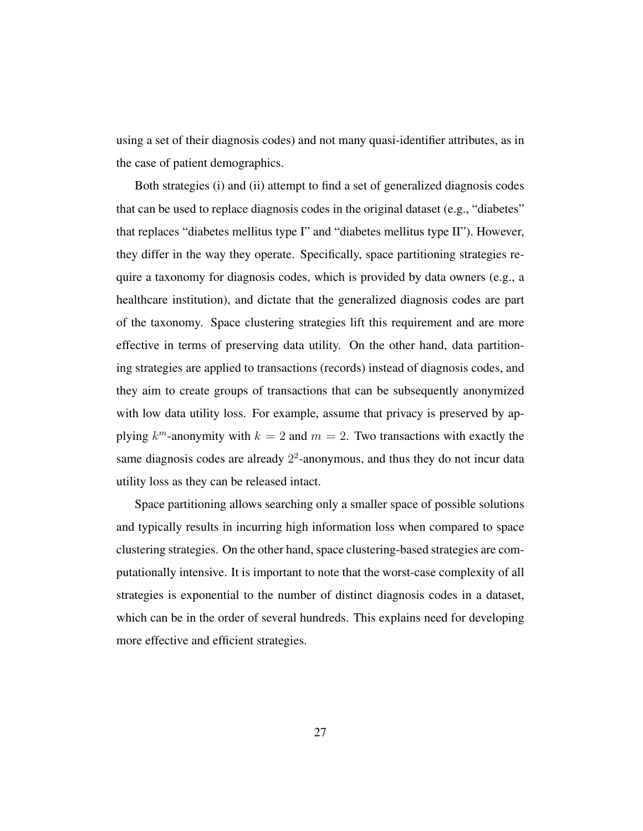using a set of their diagnosis codes) and not many quasi-identifier attributes, as in the case of patient demographics.

Both strategies (i) and (ii) attempt to find a set of generalized diagnosis codes that can be used to replace diagnosis codes in the original dataset (e.g., "diabetes" that replaces "diabetes mellitus type I" and "diabetes mellitus type II"). However, they differ in the way they operate. Specifically, space partitioning strategies require a taxonomy for diagnosis codes, which is provided by data owners (e.g., a healthcare institution), and dictate that the generalized diagnosis codes are part of the taxonomy. Space clustering strategies lift this requirement and are more effective in terms of preserving data utility. On the other hand, data partitioning strategies are applied to transactions (records) instead of diagnosis codes, and they aim to create groups of transactions that can be subsequently anonymized with low data utility loss. For example, assume that privacy is preserved by applying  $k^m$ -anonymity with  $k = 2$  and  $m = 2$ . Two transactions with exactly the same diagnosis codes are already  $2<sup>2</sup>$ -anonymous, and thus they do not incur data utility loss as they can be released intact.

Space partitioning allows searching only a smaller space of possible solutions and typically results in incurring high information loss when compared to space clustering strategies. On the other hand, space clustering-based strategies are computationally intensive. It is important to note that the worst-case complexity of all strategies is exponential to the number of distinct diagnosis codes in a dataset, which can be in the order of several hundreds. This explains need for developing more effective and efficient strategies.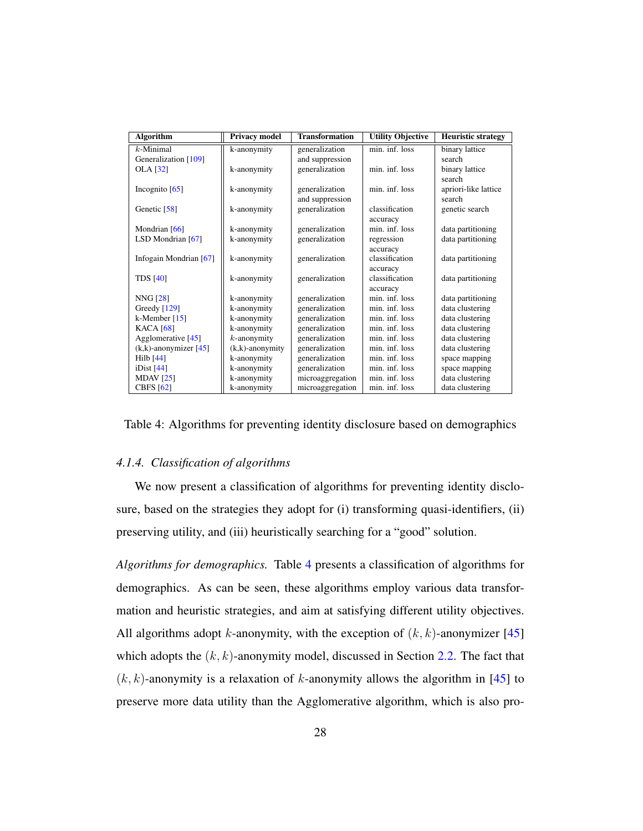<span id="page-28-0"></span>

| <b>Algorithm</b>         | <b>Privacy model</b> | <b>Transformation</b> | <b>Utility Objective</b> | <b>Heuristic strategy</b> |
|--------------------------|----------------------|-----------------------|--------------------------|---------------------------|
| $k$ -Minimal             | k-anonymity          | generalization        | min. inf. loss           | binary lattice            |
| Generalization [109]     |                      | and suppression       |                          | search                    |
| <b>OLA</b> [32]          | k-anonymity          | generalization        | min. inf. loss           | binary lattice            |
|                          |                      |                       |                          | search                    |
| Incognito $[65]$         | k-anonymity          | generalization        | min. inf. loss           | apriori-like lattice      |
|                          |                      | and suppression       |                          | search                    |
| Genetic $[58]$           | k-anonymity          | generalization        | classification           | genetic search            |
|                          |                      |                       | accuracy                 |                           |
| Mondrian [66]            | k-anonymity          | generalization        | min. inf. loss           | data partitioning         |
| LSD Mondrian [67]        | k-anonymity          | generalization        | regression               | data partitioning         |
|                          |                      |                       | accuracy                 |                           |
| Infogain Mondrian [67]   | k-anonymity          | generalization        | classification           | data partitioning         |
|                          |                      |                       | accuracy                 |                           |
| <b>TDS</b> [40]          | k-anonymity          | generalization        | classification           | data partitioning         |
|                          |                      |                       | accuracy                 |                           |
| <b>NNG [28]</b>          | k-anonymity          | generalization        | min. inf. loss           | data partitioning         |
| Greedy [129]             | k-anonymity          | generalization        | min. inf. loss           | data clustering           |
| k-Member $[15]$          | k-anonymity          | generalization        | min. inf. loss           | data clustering           |
| <b>KACA</b> [68]         | k-anonymity          | generalization        | min. inf. loss           | data clustering           |
| Agglomerative [45]       | $k$ -anonymity       | generalization        | min. inf. loss           | data clustering           |
| $(k,k)$ -anonymizer [45] | $(k,k)$ -anonymity   | generalization        | min. inf. loss           | data clustering           |
| $Hilb$ $[44]$            | k-anonymity          | generalization        | min. inf. loss           | space mapping             |
| iDist $[44]$             | k-anonymity          | generalization        | min. inf. loss           | space mapping             |
| MDAV $[25]$              | k-anonymity          | microaggregation      | min. inf. loss           | data clustering           |
| <b>CBFS</b> [62]         | k-anonymity          | microaggregation      | min. inf. loss           | data clustering           |

Table 4: Algorithms for preventing identity disclosure based on demographics

#### *4.1.4. Classification of algorithms*

We now present a classification of algorithms for preventing identity disclosure, based on the strategies they adopt for (i) transforming quasi-identifiers, (ii) preserving utility, and (iii) heuristically searching for a "good" solution.

*Algorithms for demographics.* Table [4](#page-28-0) presents a classification of algorithms for demographics. As can be seen, these algorithms employ various data transformation and heuristic strategies, and aim at satisfying different utility objectives. All algorithms adopt k-anonymity, with the exception of  $(k, k)$ -anonymizer [\[45\]](#page-54-1) which adopts the  $(k, k)$ -anonymity model, discussed in Section [2.2.](#page-8-0) The fact that  $(k, k)$ -anonymity is a relaxation of k-anonymity allows the algorithm in [\[45\]](#page-54-1) to preserve more data utility than the Agglomerative algorithm, which is also pro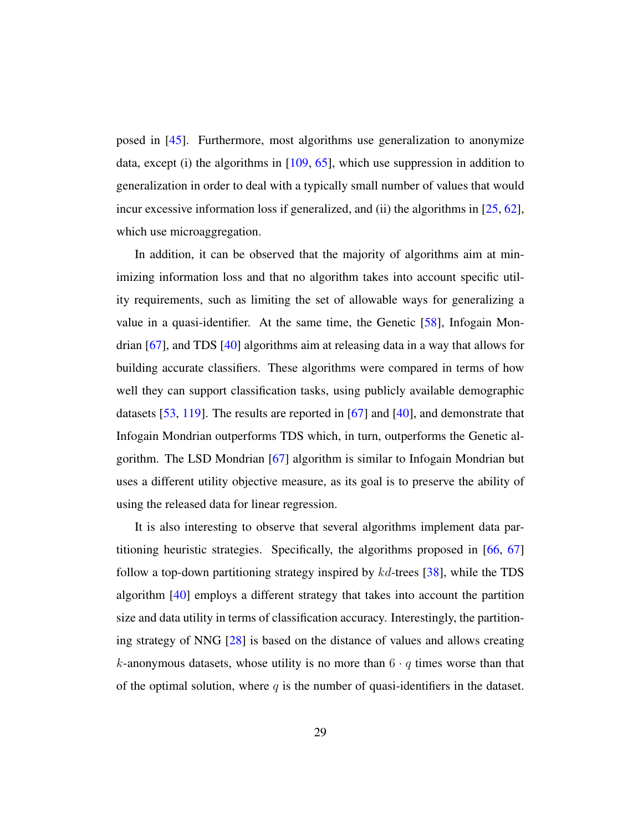posed in [\[45\]](#page-54-1). Furthermore, most algorithms use generalization to anonymize data, except (i) the algorithms in  $[109, 65]$  $[109, 65]$  $[109, 65]$ , which use suppression in addition to generalization in order to deal with a typically small number of values that would incur excessive information loss if generalized, and (ii) the algorithms in [\[25,](#page-52-4) [62\]](#page-56-4), which use microaggregation.

In addition, it can be observed that the majority of algorithms aim at minimizing information loss and that no algorithm takes into account specific utility requirements, such as limiting the set of allowable ways for generalizing a value in a quasi-identifier. At the same time, the Genetic [\[58\]](#page-56-3), Infogain Mondrian [\[67\]](#page-57-5), and TDS [\[40\]](#page-54-2) algorithms aim at releasing data in a way that allows for building accurate classifiers. These algorithms were compared in terms of how well they can support classification tasks, using publicly available demographic datasets [\[53,](#page-55-2) [119\]](#page-63-7). The results are reported in [\[67\]](#page-57-5) and [\[40\]](#page-54-2), and demonstrate that Infogain Mondrian outperforms TDS which, in turn, outperforms the Genetic algorithm. The LSD Mondrian [\[67\]](#page-57-5) algorithm is similar to Infogain Mondrian but uses a different utility objective measure, as its goal is to preserve the ability of using the released data for linear regression.

It is also interesting to observe that several algorithms implement data partitioning heuristic strategies. Specifically, the algorithms proposed in [\[66,](#page-57-4) [67\]](#page-57-5) follow a top-down partitioning strategy inspired by  $kd$ -trees [\[38\]](#page-53-4), while the TDS algorithm [\[40\]](#page-54-2) employs a different strategy that takes into account the partition size and data utility in terms of classification accuracy. Interestingly, the partitioning strategy of NNG [\[28\]](#page-52-3) is based on the distance of values and allows creating k-anonymous datasets, whose utility is no more than  $6 \cdot q$  times worse than that of the optimal solution, where  $q$  is the number of quasi-identifiers in the dataset.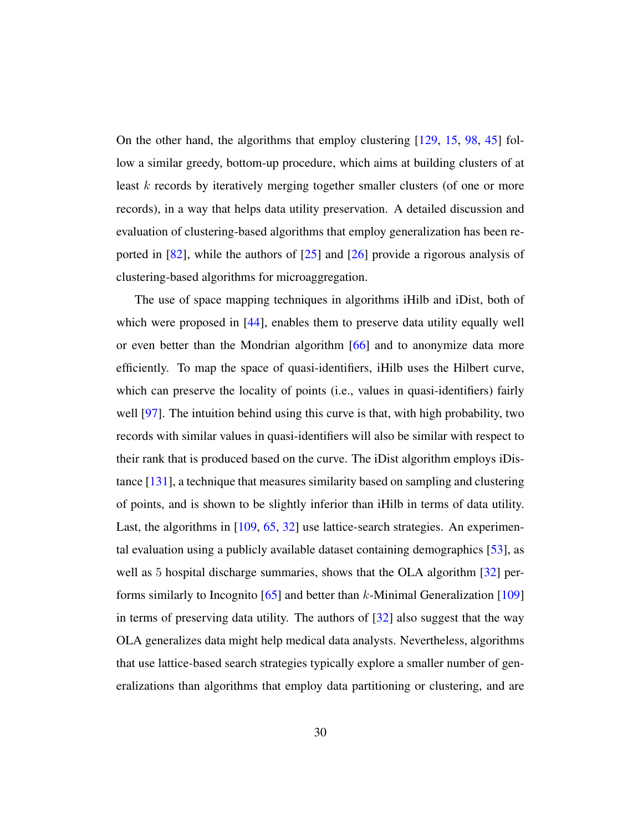On the other hand, the algorithms that employ clustering [\[129,](#page-64-3) [15,](#page-50-1) [98,](#page-61-5) [45\]](#page-54-1) follow a similar greedy, bottom-up procedure, which aims at building clusters of at least k records by iteratively merging together smaller clusters (of one or more records), in a way that helps data utility preservation. A detailed discussion and evaluation of clustering-based algorithms that employ generalization has been reported in [\[82\]](#page-59-7), while the authors of [\[25\]](#page-52-4) and [\[26\]](#page-52-6) provide a rigorous analysis of clustering-based algorithms for microaggregation.

The use of space mapping techniques in algorithms iHilb and iDist, both of which were proposed in [\[44\]](#page-54-3), enables them to preserve data utility equally well or even better than the Mondrian algorithm [\[66\]](#page-57-4) and to anonymize data more efficiently. To map the space of quasi-identifiers, iHilb uses the Hilbert curve, which can preserve the locality of points (i.e., values in quasi-identifiers) fairly well [\[97\]](#page-61-6). The intuition behind using this curve is that, with high probability, two records with similar values in quasi-identifiers will also be similar with respect to their rank that is produced based on the curve. The iDist algorithm employs iDistance [\[131\]](#page-65-1), a technique that measures similarity based on sampling and clustering of points, and is shown to be slightly inferior than iHilb in terms of data utility. Last, the algorithms in [\[109,](#page-62-3) [65,](#page-57-3) [32\]](#page-52-2) use lattice-search strategies. An experimental evaluation using a publicly available dataset containing demographics [\[53\]](#page-55-2), as well as 5 hospital discharge summaries, shows that the OLA algorithm [\[32\]](#page-52-2) performs similarly to Incognito  $[65]$  and better than k-Minimal Generalization  $[109]$ in terms of preserving data utility. The authors of [\[32\]](#page-52-2) also suggest that the way OLA generalizes data might help medical data analysts. Nevertheless, algorithms that use lattice-based search strategies typically explore a smaller number of generalizations than algorithms that employ data partitioning or clustering, and are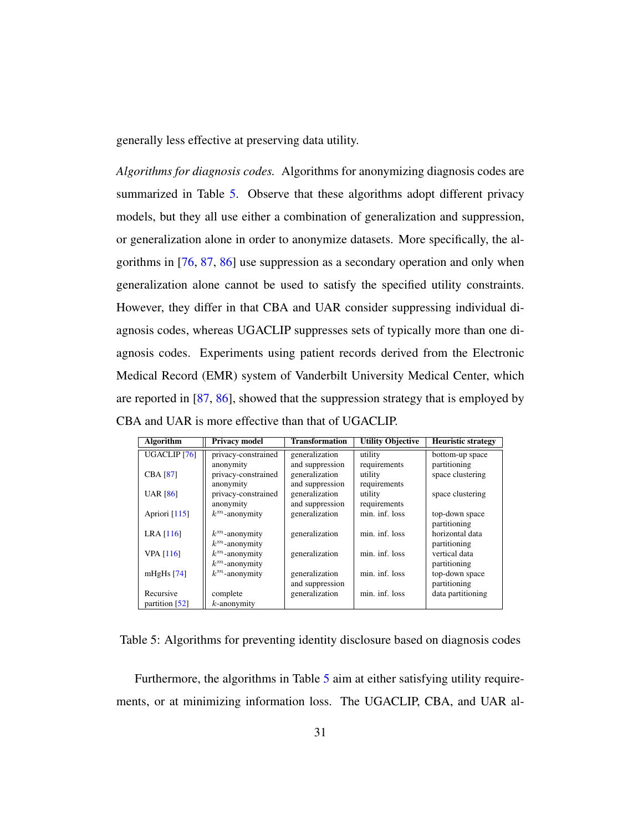generally less effective at preserving data utility.

*Algorithms for diagnosis codes.* Algorithms for anonymizing diagnosis codes are summarized in Table [5.](#page-31-0) Observe that these algorithms adopt different privacy models, but they all use either a combination of generalization and suppression, or generalization alone in order to anonymize datasets. More specifically, the algorithms in [\[76,](#page-58-2) [87,](#page-59-0) [86\]](#page-59-5) use suppression as a secondary operation and only when generalization alone cannot be used to satisfy the specified utility constraints. However, they differ in that CBA and UAR consider suppressing individual diagnosis codes, whereas UGACLIP suppresses sets of typically more than one diagnosis codes. Experiments using patient records derived from the Electronic Medical Record (EMR) system of Vanderbilt University Medical Center, which are reported in [\[87,](#page-59-0) [86\]](#page-59-5), showed that the suppression strategy that is employed by CBA and UAR is more effective than that of UGACLIP.

<span id="page-31-0"></span>

| <b>Algorithm</b>        | <b>Privacy model</b> | <b>Transformation</b> | <b>Utility Objective</b> | <b>Heuristic strategy</b> |
|-------------------------|----------------------|-----------------------|--------------------------|---------------------------|
| UGACLIP <sub>[76]</sub> | privacy-constrained  | generalization        | utility                  | bottom-up space           |
|                         | anonymity            | and suppression       | requirements             | partitioning              |
| <b>CBA [87]</b>         | privacy-constrained  | generalization        | utility                  | space clustering          |
|                         | anonymity            | and suppression       | requirements             |                           |
| <b>UAR</b> [86]         | privacy-constrained  | generalization        | utility                  | space clustering          |
|                         | anonymity            | and suppression       | requirements             |                           |
| Apriori $[115]$         | $k^m$ -anonymity     | generalization        | min. inf. loss           | top-down space            |
|                         |                      |                       |                          | partitioning              |
| LRA $[116]$             | $k^m$ -anonymity     | generalization        | min. inf. loss           | horizontal data           |
|                         | $k^m$ -anonymity     |                       |                          | partitioning              |
| <b>VPA</b> [116]        | $k^m$ -anonymity     | generalization        | min. inf. loss           | vertical data             |
|                         | $k^m$ -anonymity     |                       |                          | partitioning              |
| mHgHs $[74]$            | $k^m$ -anonymity     | generalization        | min. inf. loss           | top-down space            |
|                         |                      | and suppression       |                          | partitioning              |
| Recursive               | complete             | generalization        | min. inf. loss           | data partitioning         |
| partition $[52]$        | $k$ -anonymity       |                       |                          |                           |

Table 5: Algorithms for preventing identity disclosure based on diagnosis codes

Furthermore, the algorithms in Table [5](#page-31-0) aim at either satisfying utility requirements, or at minimizing information loss. The UGACLIP, CBA, and UAR al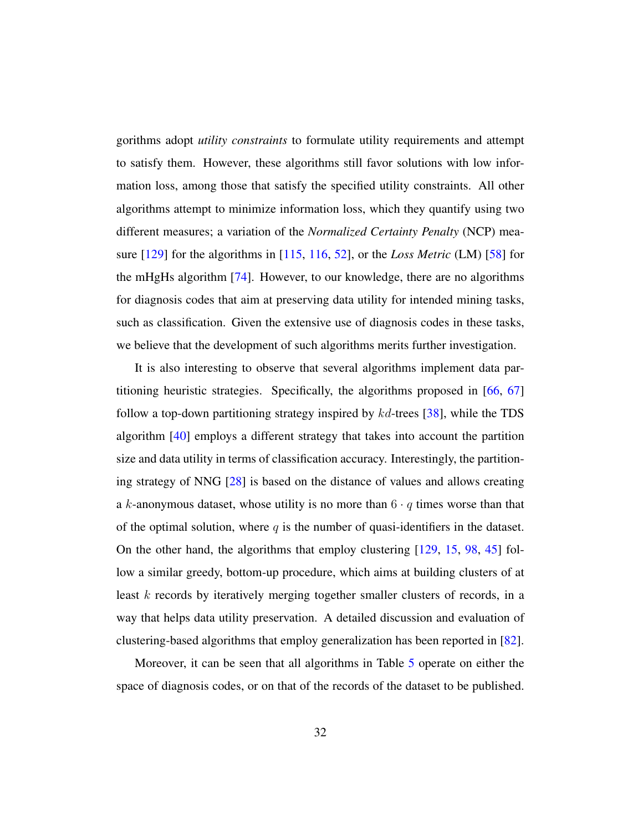gorithms adopt *utility constraints* to formulate utility requirements and attempt to satisfy them. However, these algorithms still favor solutions with low information loss, among those that satisfy the specified utility constraints. All other algorithms attempt to minimize information loss, which they quantify using two different measures; a variation of the *Normalized Certainty Penalty* (NCP) measure [\[129\]](#page-64-3) for the algorithms in [\[115,](#page-63-3) [116,](#page-63-6) [52\]](#page-55-1), or the *Loss Metric* (LM) [\[58\]](#page-56-3) for the mHgHs algorithm [\[74\]](#page-58-4). However, to our knowledge, there are no algorithms for diagnosis codes that aim at preserving data utility for intended mining tasks, such as classification. Given the extensive use of diagnosis codes in these tasks, we believe that the development of such algorithms merits further investigation.

It is also interesting to observe that several algorithms implement data partitioning heuristic strategies. Specifically, the algorithms proposed in [\[66,](#page-57-4) [67\]](#page-57-5) follow a top-down partitioning strategy inspired by  $kd$ -trees [\[38\]](#page-53-4), while the TDS algorithm [\[40\]](#page-54-2) employs a different strategy that takes into account the partition size and data utility in terms of classification accuracy. Interestingly, the partitioning strategy of NNG [\[28\]](#page-52-3) is based on the distance of values and allows creating a k-anonymous dataset, whose utility is no more than  $6 \cdot q$  times worse than that of the optimal solution, where  $q$  is the number of quasi-identifiers in the dataset. On the other hand, the algorithms that employ clustering [\[129,](#page-64-3) [15,](#page-50-1) [98,](#page-61-5) [45\]](#page-54-1) follow a similar greedy, bottom-up procedure, which aims at building clusters of at least k records by iteratively merging together smaller clusters of records, in a way that helps data utility preservation. A detailed discussion and evaluation of clustering-based algorithms that employ generalization has been reported in [\[82\]](#page-59-7).

Moreover, it can be seen that all algorithms in Table [5](#page-31-0) operate on either the space of diagnosis codes, or on that of the records of the dataset to be published.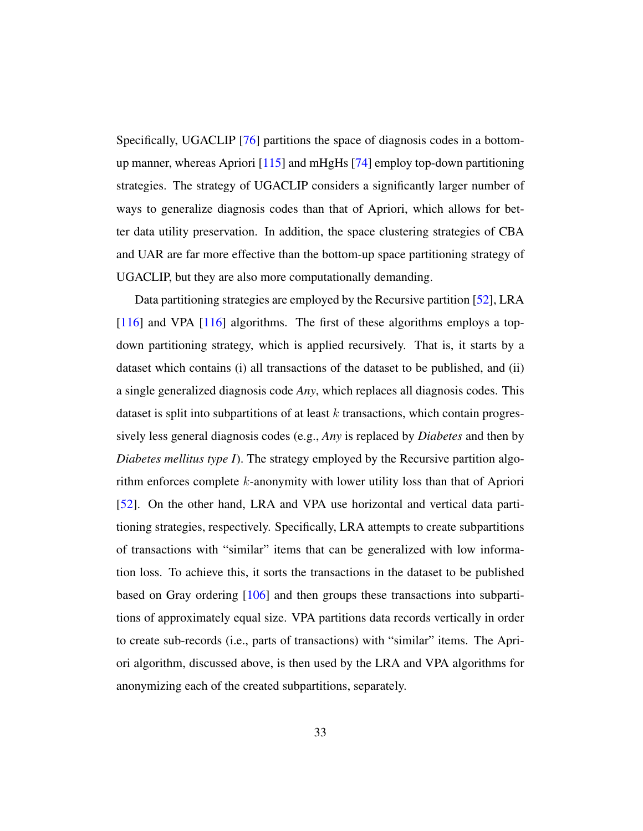Specifically, UGACLIP [\[76\]](#page-58-2) partitions the space of diagnosis codes in a bottomup manner, whereas Apriori [\[115\]](#page-63-3) and mHgHs [\[74\]](#page-58-4) employ top-down partitioning strategies. The strategy of UGACLIP considers a significantly larger number of ways to generalize diagnosis codes than that of Apriori, which allows for better data utility preservation. In addition, the space clustering strategies of CBA and UAR are far more effective than the bottom-up space partitioning strategy of UGACLIP, but they are also more computationally demanding.

Data partitioning strategies are employed by the Recursive partition [\[52\]](#page-55-1), LRA [\[116\]](#page-63-6) and VPA [116] algorithms. The first of these algorithms employs a topdown partitioning strategy, which is applied recursively. That is, it starts by a dataset which contains (i) all transactions of the dataset to be published, and (ii) a single generalized diagnosis code *Any*, which replaces all diagnosis codes. This dataset is split into subpartitions of at least  $k$  transactions, which contain progressively less general diagnosis codes (e.g., *Any* is replaced by *Diabetes* and then by *Diabetes mellitus type I*). The strategy employed by the Recursive partition algorithm enforces complete k-anonymity with lower utility loss than that of Apriori [\[52\]](#page-55-1). On the other hand, LRA and VPA use horizontal and vertical data partitioning strategies, respectively. Specifically, LRA attempts to create subpartitions of transactions with "similar" items that can be generalized with low information loss. To achieve this, it sorts the transactions in the dataset to be published based on Gray ordering [\[106\]](#page-62-4) and then groups these transactions into subpartitions of approximately equal size. VPA partitions data records vertically in order to create sub-records (i.e., parts of transactions) with "similar" items. The Apriori algorithm, discussed above, is then used by the LRA and VPA algorithms for anonymizing each of the created subpartitions, separately.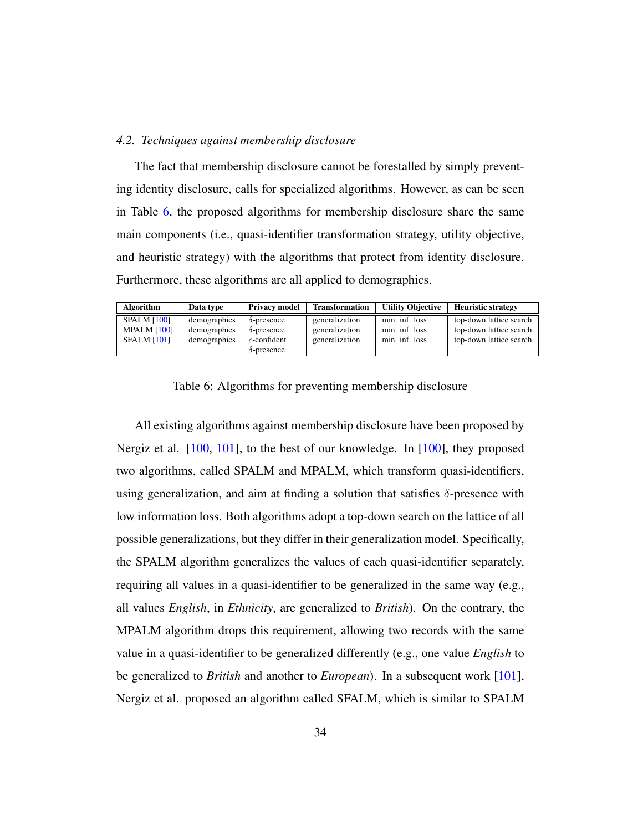#### *4.2. Techniques against membership disclosure*

The fact that membership disclosure cannot be forestalled by simply preventing identity disclosure, calls for specialized algorithms. However, as can be seen in Table [6,](#page-34-0) the proposed algorithms for membership disclosure share the same main components (i.e., quasi-identifier transformation strategy, utility objective, and heuristic strategy) with the algorithms that protect from identity disclosure. Furthermore, these algorithms are all applied to demographics.

<span id="page-34-0"></span>

| <b>Algorithm</b>                                               | Data type                                    | <b>Privacy model</b>                                                             | <b>Transformation</b>                              | <b>Utility Objective</b>                           | <b>Heuristic strategy</b>                                                     |
|----------------------------------------------------------------|----------------------------------------------|----------------------------------------------------------------------------------|----------------------------------------------------|----------------------------------------------------|-------------------------------------------------------------------------------|
| <b>SPALM [100]</b><br><b>MPALM [100]</b><br><b>SFALM [101]</b> | demographics<br>demographics<br>demographics | $\delta$ -presence<br>$\delta$ -presence<br>$c$ -confident<br>$\delta$ -presence | generalization<br>generalization<br>generalization | min. inf. loss<br>min. inf. loss<br>min. inf. loss | top-down lattice search<br>top-down lattice search<br>top-down lattice search |

Table 6: Algorithms for preventing membership disclosure

All existing algorithms against membership disclosure have been proposed by Nergiz et al. [\[100,](#page-61-0) [101\]](#page-61-1), to the best of our knowledge. In [\[100\]](#page-61-0), they proposed two algorithms, called SPALM and MPALM, which transform quasi-identifiers, using generalization, and aim at finding a solution that satisfies  $\delta$ -presence with low information loss. Both algorithms adopt a top-down search on the lattice of all possible generalizations, but they differ in their generalization model. Specifically, the SPALM algorithm generalizes the values of each quasi-identifier separately, requiring all values in a quasi-identifier to be generalized in the same way (e.g., all values *English*, in *Ethnicity*, are generalized to *British*). On the contrary, the MPALM algorithm drops this requirement, allowing two records with the same value in a quasi-identifier to be generalized differently (e.g., one value *English* to be generalized to *British* and another to *European*). In a subsequent work [\[101\]](#page-61-1), Nergiz et al. proposed an algorithm called SFALM, which is similar to SPALM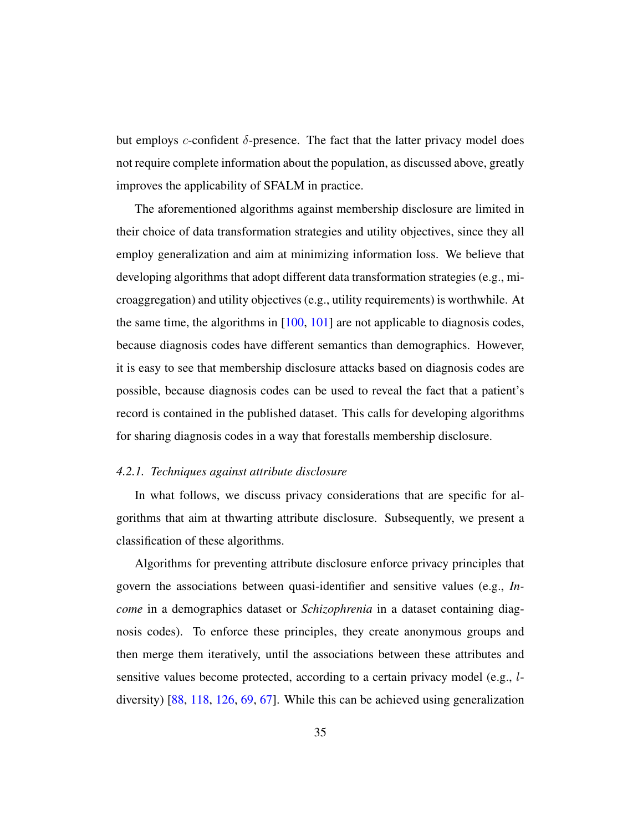but employs c-confident  $\delta$ -presence. The fact that the latter privacy model does not require complete information about the population, as discussed above, greatly improves the applicability of SFALM in practice.

The aforementioned algorithms against membership disclosure are limited in their choice of data transformation strategies and utility objectives, since they all employ generalization and aim at minimizing information loss. We believe that developing algorithms that adopt different data transformation strategies (e.g., microaggregation) and utility objectives (e.g., utility requirements) is worthwhile. At the same time, the algorithms in [\[100,](#page-61-0) [101\]](#page-61-1) are not applicable to diagnosis codes, because diagnosis codes have different semantics than demographics. However, it is easy to see that membership disclosure attacks based on diagnosis codes are possible, because diagnosis codes can be used to reveal the fact that a patient's record is contained in the published dataset. This calls for developing algorithms for sharing diagnosis codes in a way that forestalls membership disclosure.

#### *4.2.1. Techniques against attribute disclosure*

In what follows, we discuss privacy considerations that are specific for algorithms that aim at thwarting attribute disclosure. Subsequently, we present a classification of these algorithms.

Algorithms for preventing attribute disclosure enforce privacy principles that govern the associations between quasi-identifier and sensitive values (e.g., *Income* in a demographics dataset or *Schizophrenia* in a dataset containing diagnosis codes). To enforce these principles, they create anonymous groups and then merge them iteratively, until the associations between these attributes and sensitive values become protected, according to a certain privacy model (e.g., ldiversity) [\[88,](#page-59-1) [118,](#page-63-4) [126,](#page-64-2) [69,](#page-57-1) [67\]](#page-57-5). While this can be achieved using generalization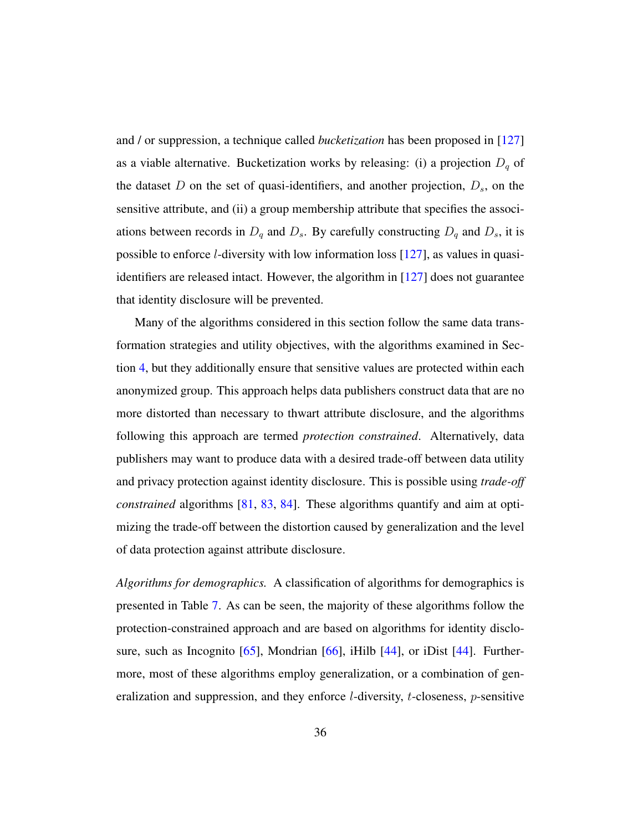and / or suppression, a technique called *bucketization* has been proposed in [\[127\]](#page-64-4) as a viable alternative. Bucketization works by releasing: (i) a projection  $D_q$  of the dataset D on the set of quasi-identifiers, and another projection,  $D_s$ , on the sensitive attribute, and (ii) a group membership attribute that specifies the associations between records in  $D_q$  and  $D_s$ . By carefully constructing  $D_q$  and  $D_s$ , it is possible to enforce l-diversity with low information loss [\[127\]](#page-64-4), as values in quasiidentifiers are released intact. However, the algorithm in [\[127\]](#page-64-4) does not guarantee that identity disclosure will be prevented.

Many of the algorithms considered in this section follow the same data transformation strategies and utility objectives, with the algorithms examined in Section [4,](#page-18-0) but they additionally ensure that sensitive values are protected within each anonymized group. This approach helps data publishers construct data that are no more distorted than necessary to thwart attribute disclosure, and the algorithms following this approach are termed *protection constrained*. Alternatively, data publishers may want to produce data with a desired trade-off between data utility and privacy protection against identity disclosure. This is possible using *trade-off constrained* algorithms [\[81,](#page-59-2) [83,](#page-59-8) [84\]](#page-59-4). These algorithms quantify and aim at optimizing the trade-off between the distortion caused by generalization and the level of data protection against attribute disclosure.

*Algorithms for demographics.* A classification of algorithms for demographics is presented in Table [7.](#page-37-0) As can be seen, the majority of these algorithms follow the protection-constrained approach and are based on algorithms for identity disclo-sure, such as Incognito [\[65\]](#page-57-3), Mondrian [\[66\]](#page-57-4), iHilb [\[44\]](#page-54-3), or iDist [\[44\]](#page-54-3). Furthermore, most of these algorithms employ generalization, or a combination of generalization and suppression, and they enforce  $l$ -diversity,  $t$ -closeness,  $p$ -sensitive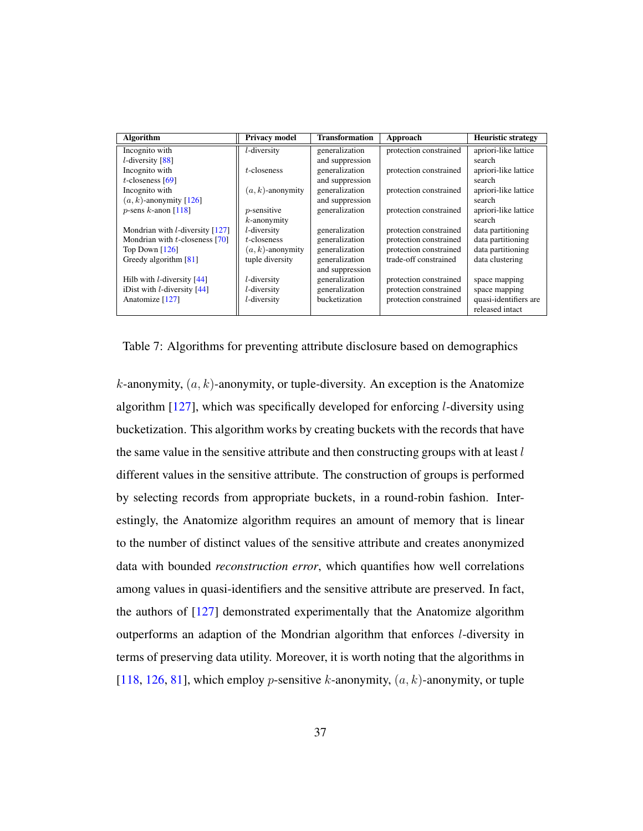<span id="page-37-0"></span>

| Algorithm                            | <b>Privacy model</b> | <b>Transformation</b> | Approach               | <b>Heuristic strategy</b> |
|--------------------------------------|----------------------|-----------------------|------------------------|---------------------------|
| Incognito with                       | $l$ -diversity       | generalization        | protection constrained | apriori-like lattice      |
| $l$ -diversity [88]                  |                      | and suppression       |                        | search                    |
| Incognito with                       | $t$ -closeness       | generalization        | protection constrained | apriori-like lattice      |
| $t$ -closeness [69]                  |                      | and suppression       |                        | search                    |
| Incognito with                       | $(a, k)$ -anonymity  | generalization        | protection constrained | apriori-like lattice      |
| $(a, k)$ -anonymity [126]            |                      | and suppression       |                        | search                    |
| $p$ -sens k-anon [118]               | $p$ -sensitive       | generalization        | protection constrained | apriori-like lattice      |
|                                      | $k$ -anonymity       |                       |                        | search                    |
| Mondrian with $l$ -diversity $[127]$ | l-diversity          | generalization        | protection constrained | data partitioning         |
| Mondrian with $t$ -closeness [70]    | $t$ -closeness       | generalization        | protection constrained | data partitioning         |
| Top Down $[126]$                     | $(a, k)$ -anonymity  | generalization        | protection constrained | data partitioning         |
| Greedy algorithm $[81]$              | tuple diversity      | generalization        | trade-off constrained  | data clustering           |
|                                      |                      | and suppression       |                        |                           |
| Hilb with $l$ -diversity $[44]$      | $l$ -diversity       | generalization        | protection constrained | space mapping             |
| iDist with $l$ -diversity $[44]$     | l-diversity          | generalization        | protection constrained | space mapping             |
| Anatomize [127]                      | l-diversity          | bucketization         | protection constrained | quasi-identifiers are     |
|                                      |                      |                       |                        | released intact           |

Table 7: Algorithms for preventing attribute disclosure based on demographics

k-anonymity,  $(a, k)$ -anonymity, or tuple-diversity. An exception is the Anatomize algorithm [\[127\]](#page-64-4), which was specifically developed for enforcing l-diversity using bucketization. This algorithm works by creating buckets with the records that have the same value in the sensitive attribute and then constructing groups with at least  $l$ different values in the sensitive attribute. The construction of groups is performed by selecting records from appropriate buckets, in a round-robin fashion. Interestingly, the Anatomize algorithm requires an amount of memory that is linear to the number of distinct values of the sensitive attribute and creates anonymized data with bounded *reconstruction error*, which quantifies how well correlations among values in quasi-identifiers and the sensitive attribute are preserved. In fact, the authors of [\[127\]](#page-64-4) demonstrated experimentally that the Anatomize algorithm outperforms an adaption of the Mondrian algorithm that enforces l-diversity in terms of preserving data utility. Moreover, it is worth noting that the algorithms in [\[118,](#page-63-4) [126,](#page-64-2) [81\]](#page-59-2), which employ *p*-sensitive *k*-anonymity,  $(a, k)$ -anonymity, or tuple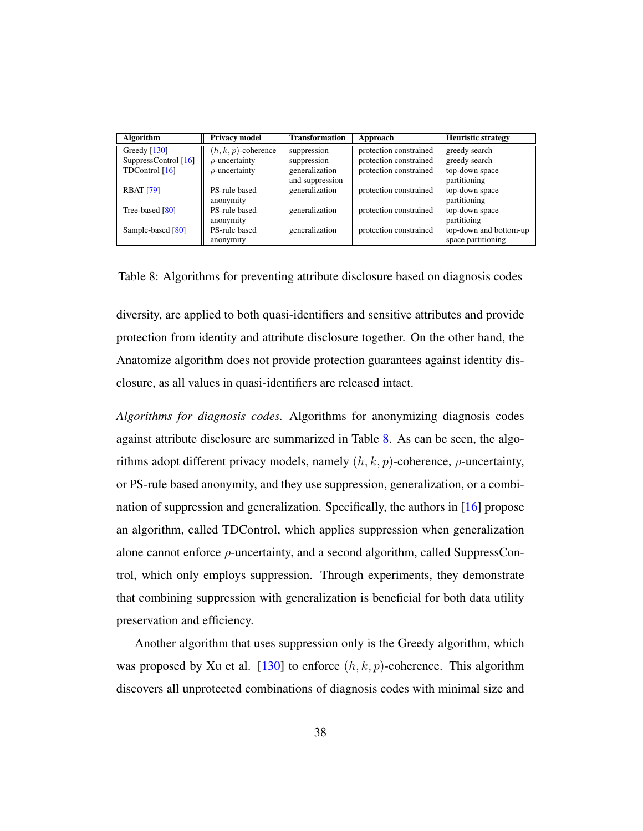<span id="page-38-0"></span>

| <b>Algorithm</b>     | <b>Privacy model</b>   | <b>Transformation</b> | Approach               | <b>Heuristic strategy</b> |
|----------------------|------------------------|-----------------------|------------------------|---------------------------|
| Greedy $[130]$       | $(h, k, p)$ -coherence | suppression           | protection constrained | greedy search             |
| SuppressControl [16] | $\rho$ -uncertainty    | suppression           | protection constrained | greedy search             |
| TDControl [16]       | $\rho$ -uncertainty    | generalization        | protection constrained | top-down space            |
|                      |                        | and suppression       |                        | partitioning              |
| <b>RBAT [79]</b>     | PS-rule based          | generalization        | protection constrained | top-down space            |
|                      | anonymity              |                       |                        | partitioning              |
| Tree-based [80]      | PS-rule based          | generalization        | protection constrained | top-down space            |
|                      | anonymity              |                       |                        | partitioing               |
| Sample-based [80]    | PS-rule based          | generalization        | protection constrained | top-down and bottom-up    |
|                      | anonymity              |                       |                        | space partitioning        |

Table 8: Algorithms for preventing attribute disclosure based on diagnosis codes

diversity, are applied to both quasi-identifiers and sensitive attributes and provide protection from identity and attribute disclosure together. On the other hand, the Anatomize algorithm does not provide protection guarantees against identity disclosure, as all values in quasi-identifiers are released intact.

*Algorithms for diagnosis codes.* Algorithms for anonymizing diagnosis codes against attribute disclosure are summarized in Table [8.](#page-38-0) As can be seen, the algorithms adopt different privacy models, namely  $(h, k, p)$ -coherence,  $\rho$ -uncertainty, or PS-rule based anonymity, and they use suppression, generalization, or a combination of suppression and generalization. Specifically, the authors in [\[16\]](#page-51-1) propose an algorithm, called TDControl, which applies suppression when generalization alone cannot enforce  $\rho$ -uncertainty, and a second algorithm, called SuppressControl, which only employs suppression. Through experiments, they demonstrate that combining suppression with generalization is beneficial for both data utility preservation and efficiency.

Another algorithm that uses suppression only is the Greedy algorithm, which was proposed by Xu et al. [\[130\]](#page-65-0) to enforce  $(h, k, p)$ -coherence. This algorithm discovers all unprotected combinations of diagnosis codes with minimal size and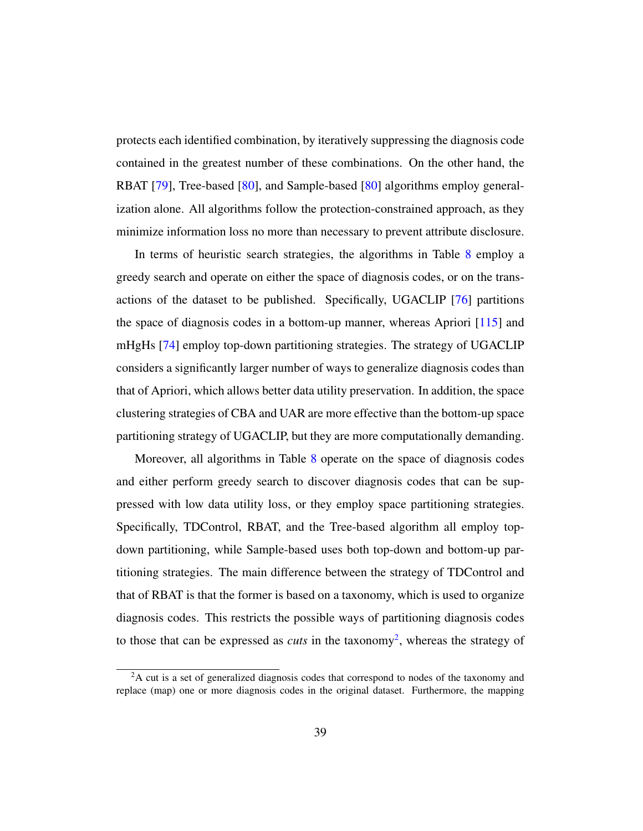protects each identified combination, by iteratively suppressing the diagnosis code contained in the greatest number of these combinations. On the other hand, the RBAT [\[79\]](#page-58-5), Tree-based [\[80\]](#page-59-3), and Sample-based [\[80\]](#page-59-3) algorithms employ generalization alone. All algorithms follow the protection-constrained approach, as they minimize information loss no more than necessary to prevent attribute disclosure.

In terms of heuristic search strategies, the algorithms in Table [8](#page-38-0) employ a greedy search and operate on either the space of diagnosis codes, or on the transactions of the dataset to be published. Specifically, UGACLIP [\[76\]](#page-58-2) partitions the space of diagnosis codes in a bottom-up manner, whereas Apriori [\[115\]](#page-63-3) and mHgHs [\[74\]](#page-58-4) employ top-down partitioning strategies. The strategy of UGACLIP considers a significantly larger number of ways to generalize diagnosis codes than that of Apriori, which allows better data utility preservation. In addition, the space clustering strategies of CBA and UAR are more effective than the bottom-up space partitioning strategy of UGACLIP, but they are more computationally demanding.

Moreover, all algorithms in Table [8](#page-38-0) operate on the space of diagnosis codes and either perform greedy search to discover diagnosis codes that can be suppressed with low data utility loss, or they employ space partitioning strategies. Specifically, TDControl, RBAT, and the Tree-based algorithm all employ topdown partitioning, while Sample-based uses both top-down and bottom-up partitioning strategies. The main difference between the strategy of TDControl and that of RBAT is that the former is based on a taxonomy, which is used to organize diagnosis codes. This restricts the possible ways of partitioning diagnosis codes to those that can be expressed as *cuts* in the taxonomy<sup>[2](#page-1-0)</sup>, whereas the strategy of

<sup>&</sup>lt;sup>2</sup>A cut is a set of generalized diagnosis codes that correspond to nodes of the taxonomy and replace (map) one or more diagnosis codes in the original dataset. Furthermore, the mapping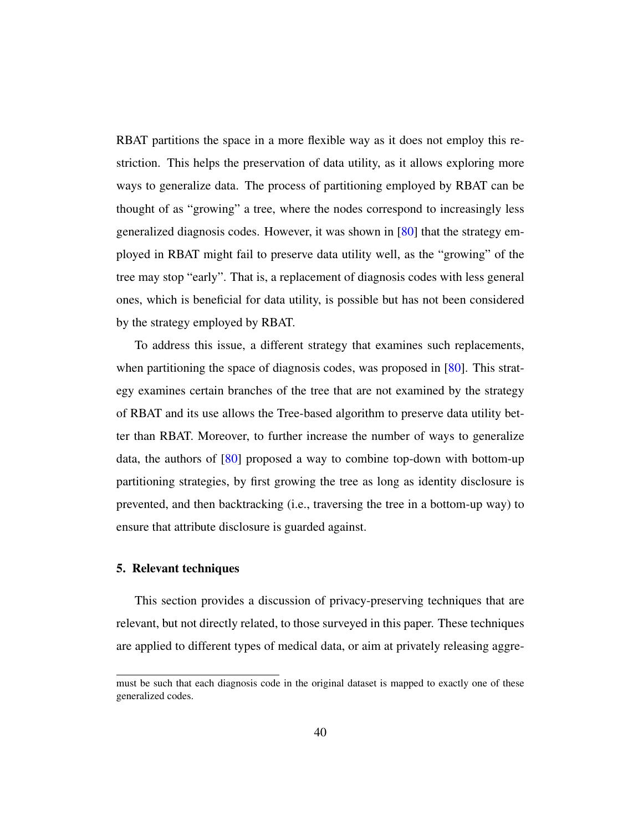RBAT partitions the space in a more flexible way as it does not employ this restriction. This helps the preservation of data utility, as it allows exploring more ways to generalize data. The process of partitioning employed by RBAT can be thought of as "growing" a tree, where the nodes correspond to increasingly less generalized diagnosis codes. However, it was shown in [\[80\]](#page-59-3) that the strategy employed in RBAT might fail to preserve data utility well, as the "growing" of the tree may stop "early". That is, a replacement of diagnosis codes with less general ones, which is beneficial for data utility, is possible but has not been considered by the strategy employed by RBAT.

To address this issue, a different strategy that examines such replacements, when partitioning the space of diagnosis codes, was proposed in [\[80\]](#page-59-3). This strategy examines certain branches of the tree that are not examined by the strategy of RBAT and its use allows the Tree-based algorithm to preserve data utility better than RBAT. Moreover, to further increase the number of ways to generalize data, the authors of [\[80\]](#page-59-3) proposed a way to combine top-down with bottom-up partitioning strategies, by first growing the tree as long as identity disclosure is prevented, and then backtracking (i.e., traversing the tree in a bottom-up way) to ensure that attribute disclosure is guarded against.

#### <span id="page-40-0"></span>5. Relevant techniques

This section provides a discussion of privacy-preserving techniques that are relevant, but not directly related, to those surveyed in this paper. These techniques are applied to different types of medical data, or aim at privately releasing aggre-

must be such that each diagnosis code in the original dataset is mapped to exactly one of these generalized codes.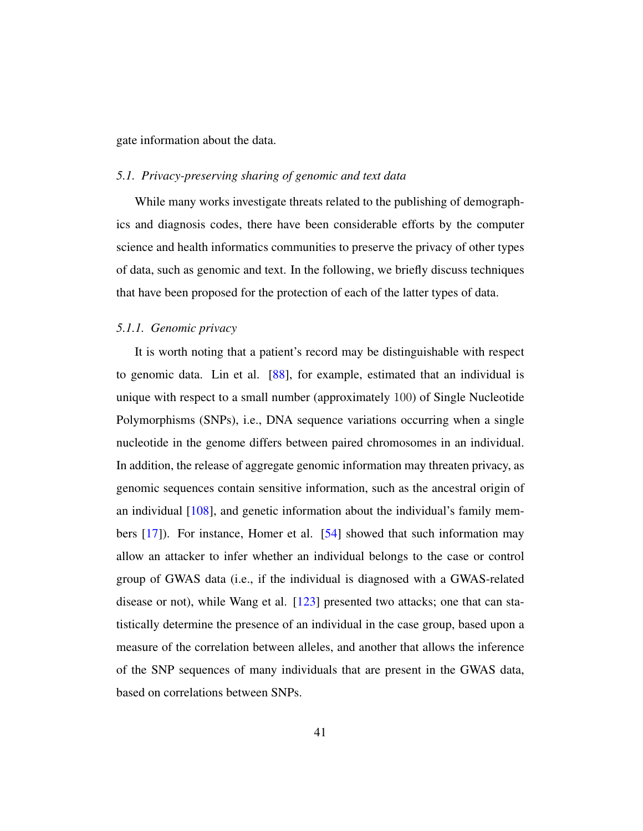gate information about the data.

#### *5.1. Privacy-preserving sharing of genomic and text data*

While many works investigate threats related to the publishing of demographics and diagnosis codes, there have been considerable efforts by the computer science and health informatics communities to preserve the privacy of other types of data, such as genomic and text. In the following, we briefly discuss techniques that have been proposed for the protection of each of the latter types of data.

#### *5.1.1. Genomic privacy*

It is worth noting that a patient's record may be distinguishable with respect to genomic data. Lin et al. [\[88\]](#page-59-1), for example, estimated that an individual is unique with respect to a small number (approximately 100) of Single Nucleotide Polymorphisms (SNPs), i.e., DNA sequence variations occurring when a single nucleotide in the genome differs between paired chromosomes in an individual. In addition, the release of aggregate genomic information may threaten privacy, as genomic sequences contain sensitive information, such as the ancestral origin of an individual [\[108\]](#page-62-5), and genetic information about the individual's family members [\[17\]](#page-51-2)). For instance, Homer et al. [\[54\]](#page-55-3) showed that such information may allow an attacker to infer whether an individual belongs to the case or control group of GWAS data (i.e., if the individual is diagnosed with a GWAS-related disease or not), while Wang et al. [\[123\]](#page-64-6) presented two attacks; one that can statistically determine the presence of an individual in the case group, based upon a measure of the correlation between alleles, and another that allows the inference of the SNP sequences of many individuals that are present in the GWAS data, based on correlations between SNPs.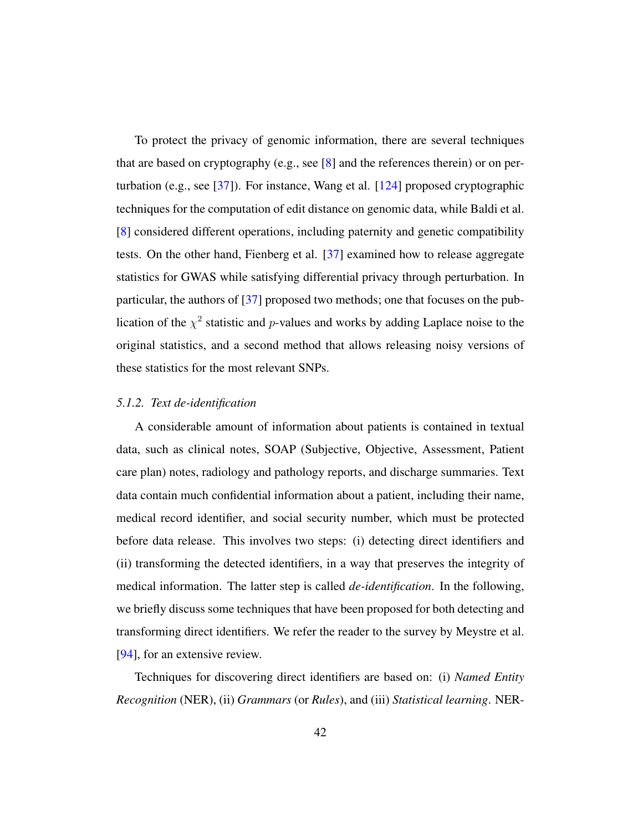To protect the privacy of genomic information, there are several techniques that are based on cryptography (e.g., see [\[8\]](#page-50-3) and the references therein) or on perturbation (e.g., see [\[37\]](#page-53-5)). For instance, Wang et al. [\[124\]](#page-64-7) proposed cryptographic techniques for the computation of edit distance on genomic data, while Baldi et al. [\[8\]](#page-50-3) considered different operations, including paternity and genetic compatibility tests. On the other hand, Fienberg et al. [\[37\]](#page-53-5) examined how to release aggregate statistics for GWAS while satisfying differential privacy through perturbation. In particular, the authors of [\[37\]](#page-53-5) proposed two methods; one that focuses on the publication of the  $\chi^2$  statistic and p-values and works by adding Laplace noise to the original statistics, and a second method that allows releasing noisy versions of these statistics for the most relevant SNPs.

#### *5.1.2. Text de-identification*

A considerable amount of information about patients is contained in textual data, such as clinical notes, SOAP (Subjective, Objective, Assessment, Patient care plan) notes, radiology and pathology reports, and discharge summaries. Text data contain much confidential information about a patient, including their name, medical record identifier, and social security number, which must be protected before data release. This involves two steps: (i) detecting direct identifiers and (ii) transforming the detected identifiers, in a way that preserves the integrity of medical information. The latter step is called *de-identification*. In the following, we briefly discuss some techniques that have been proposed for both detecting and transforming direct identifiers. We refer the reader to the survey by Meystre et al. [\[94\]](#page-60-3), for an extensive review.

Techniques for discovering direct identifiers are based on: (i) *Named Entity Recognition* (NER), (ii) *Grammars* (or *Rules*), and (iii) *Statistical learning*. NER-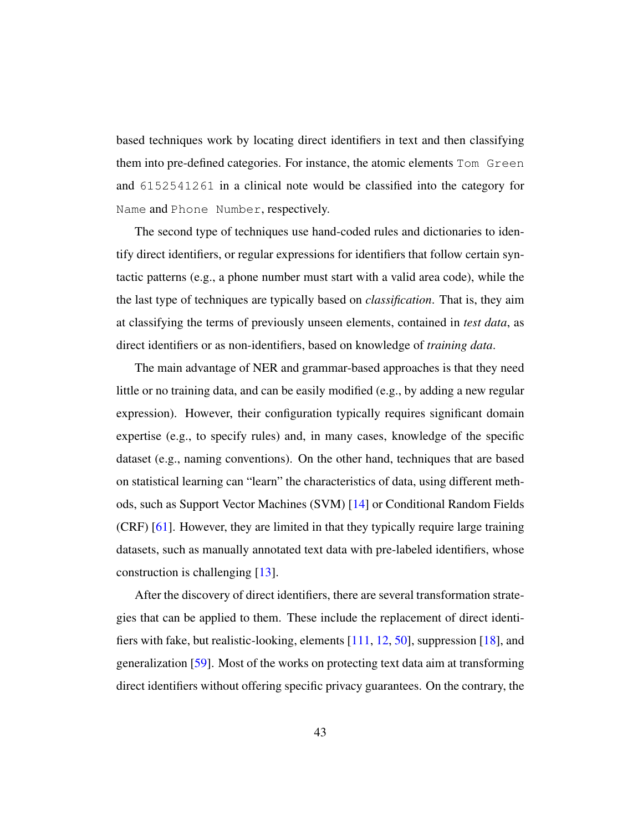based techniques work by locating direct identifiers in text and then classifying them into pre-defined categories. For instance, the atomic elements Tom Green and 6152541261 in a clinical note would be classified into the category for Name and Phone Number, respectively.

The second type of techniques use hand-coded rules and dictionaries to identify direct identifiers, or regular expressions for identifiers that follow certain syntactic patterns (e.g., a phone number must start with a valid area code), while the the last type of techniques are typically based on *classification*. That is, they aim at classifying the terms of previously unseen elements, contained in *test data*, as direct identifiers or as non-identifiers, based on knowledge of *training data*.

The main advantage of NER and grammar-based approaches is that they need little or no training data, and can be easily modified (e.g., by adding a new regular expression). However, their configuration typically requires significant domain expertise (e.g., to specify rules) and, in many cases, knowledge of the specific dataset (e.g., naming conventions). On the other hand, techniques that are based on statistical learning can "learn" the characteristics of data, using different methods, such as Support Vector Machines (SVM) [\[14\]](#page-50-4) or Conditional Random Fields (CRF) [\[61\]](#page-56-6). However, they are limited in that they typically require large training datasets, such as manually annotated text data with pre-labeled identifiers, whose construction is challenging [\[13\]](#page-50-5).

After the discovery of direct identifiers, there are several transformation strategies that can be applied to them. These include the replacement of direct identifiers with fake, but realistic-looking, elements [\[111,](#page-62-6) [12,](#page-50-6) [50\]](#page-55-4), suppression [\[18\]](#page-51-3), and generalization [\[59\]](#page-56-7). Most of the works on protecting text data aim at transforming direct identifiers without offering specific privacy guarantees. On the contrary, the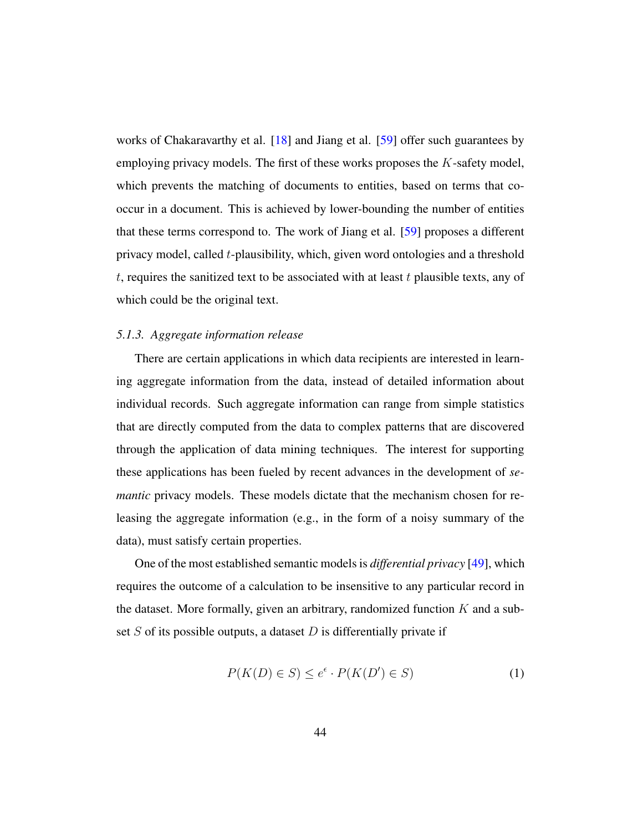works of Chakaravarthy et al. [\[18\]](#page-51-3) and Jiang et al. [\[59\]](#page-56-7) offer such guarantees by employing privacy models. The first of these works proposes the  $K$ -safety model, which prevents the matching of documents to entities, based on terms that cooccur in a document. This is achieved by lower-bounding the number of entities that these terms correspond to. The work of Jiang et al. [\[59\]](#page-56-7) proposes a different privacy model, called  $t$ -plausibility, which, given word ontologies and a threshold  $t$ , requires the sanitized text to be associated with at least  $t$  plausible texts, any of which could be the original text.

#### *5.1.3. Aggregate information release*

There are certain applications in which data recipients are interested in learning aggregate information from the data, instead of detailed information about individual records. Such aggregate information can range from simple statistics that are directly computed from the data to complex patterns that are discovered through the application of data mining techniques. The interest for supporting these applications has been fueled by recent advances in the development of *semantic* privacy models. These models dictate that the mechanism chosen for releasing the aggregate information (e.g., in the form of a noisy summary of the data), must satisfy certain properties.

One of the most established semantic models is *differential privacy* [\[49\]](#page-55-5), which requires the outcome of a calculation to be insensitive to any particular record in the dataset. More formally, given an arbitrary, randomized function  $K$  and a subset  $S$  of its possible outputs, a dataset  $D$  is differentially private if

<span id="page-44-0"></span>
$$
P(K(D) \in S) \le e^{\epsilon} \cdot P(K(D') \in S)
$$
 (1)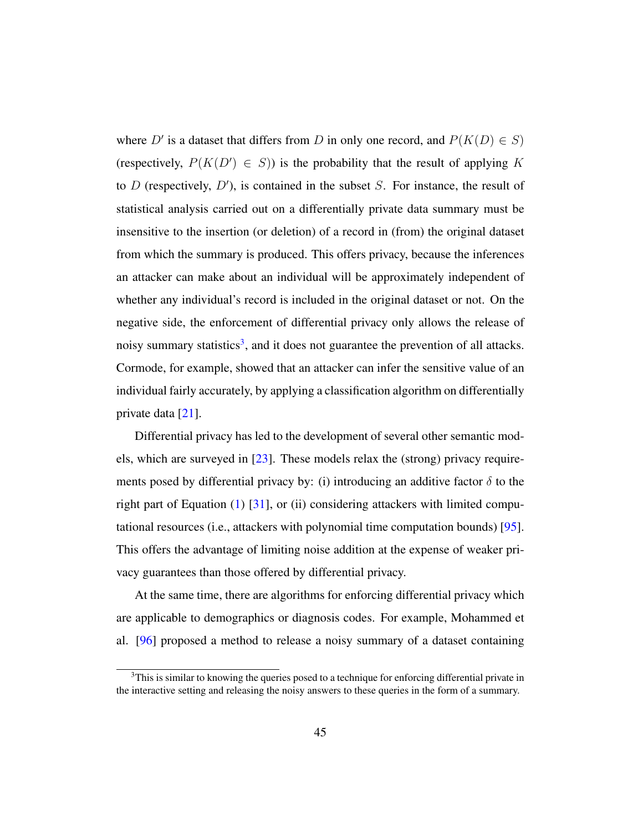where D' is a dataset that differs from D in only one record, and  $P(K(D) \in S)$ (respectively,  $P(K(D') \in S)$ ) is the probability that the result of applying K to  $D$  (respectively,  $D'$ ), is contained in the subset  $S$ . For instance, the result of statistical analysis carried out on a differentially private data summary must be insensitive to the insertion (or deletion) of a record in (from) the original dataset from which the summary is produced. This offers privacy, because the inferences an attacker can make about an individual will be approximately independent of whether any individual's record is included in the original dataset or not. On the negative side, the enforcement of differential privacy only allows the release of noisy summary statistics<sup>[3](#page-1-0)</sup>, and it does not guarantee the prevention of all attacks. Cormode, for example, showed that an attacker can infer the sensitive value of an individual fairly accurately, by applying a classification algorithm on differentially private data [\[21\]](#page-51-4).

Differential privacy has led to the development of several other semantic models, which are surveyed in [\[23\]](#page-51-5). These models relax the (strong) privacy requirements posed by differential privacy by: (i) introducing an additive factor  $\delta$  to the right part of Equation  $(1)$  [\[31\]](#page-52-7), or (ii) considering attackers with limited computational resources (i.e., attackers with polynomial time computation bounds) [\[95\]](#page-60-6). This offers the advantage of limiting noise addition at the expense of weaker privacy guarantees than those offered by differential privacy.

At the same time, there are algorithms for enforcing differential privacy which are applicable to demographics or diagnosis codes. For example, Mohammed et al. [\[96\]](#page-61-7) proposed a method to release a noisy summary of a dataset containing

 $3$ This is similar to knowing the queries posed to a technique for enforcing differential private in the interactive setting and releasing the noisy answers to these queries in the form of a summary.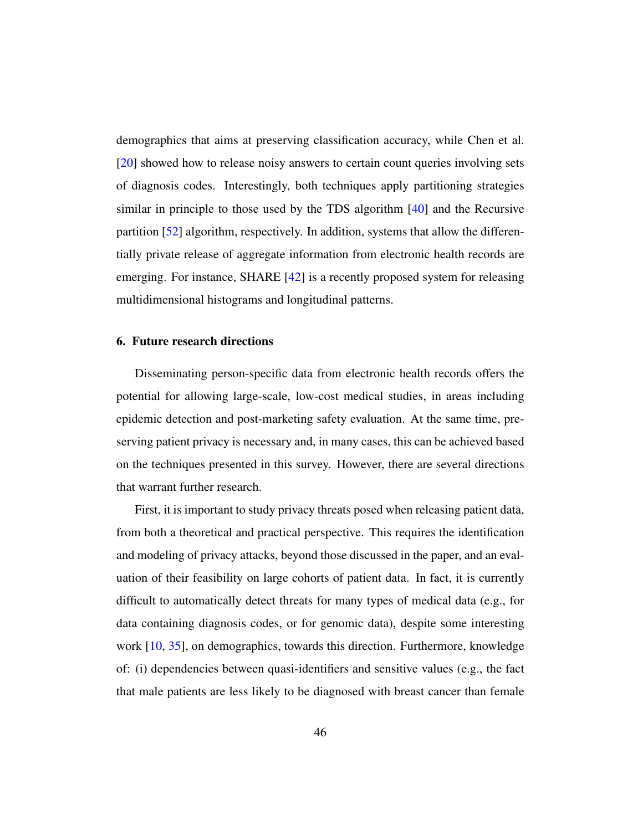demographics that aims at preserving classification accuracy, while Chen et al. [\[20\]](#page-51-6) showed how to release noisy answers to certain count queries involving sets of diagnosis codes. Interestingly, both techniques apply partitioning strategies similar in principle to those used by the TDS algorithm [\[40\]](#page-54-2) and the Recursive partition [\[52\]](#page-55-1) algorithm, respectively. In addition, systems that allow the differentially private release of aggregate information from electronic health records are emerging. For instance, SHARE [\[42\]](#page-54-6) is a recently proposed system for releasing multidimensional histograms and longitudinal patterns.

# <span id="page-46-0"></span>6. Future research directions

Disseminating person-specific data from electronic health records offers the potential for allowing large-scale, low-cost medical studies, in areas including epidemic detection and post-marketing safety evaluation. At the same time, preserving patient privacy is necessary and, in many cases, this can be achieved based on the techniques presented in this survey. However, there are several directions that warrant further research.

First, it is important to study privacy threats posed when releasing patient data, from both a theoretical and practical perspective. This requires the identification and modeling of privacy attacks, beyond those discussed in the paper, and an evaluation of their feasibility on large cohorts of patient data. In fact, it is currently difficult to automatically detect threats for many types of medical data (e.g., for data containing diagnosis codes, or for genomic data), despite some interesting work [\[10,](#page-50-7) [35\]](#page-53-6), on demographics, towards this direction. Furthermore, knowledge of: (i) dependencies between quasi-identifiers and sensitive values (e.g., the fact that male patients are less likely to be diagnosed with breast cancer than female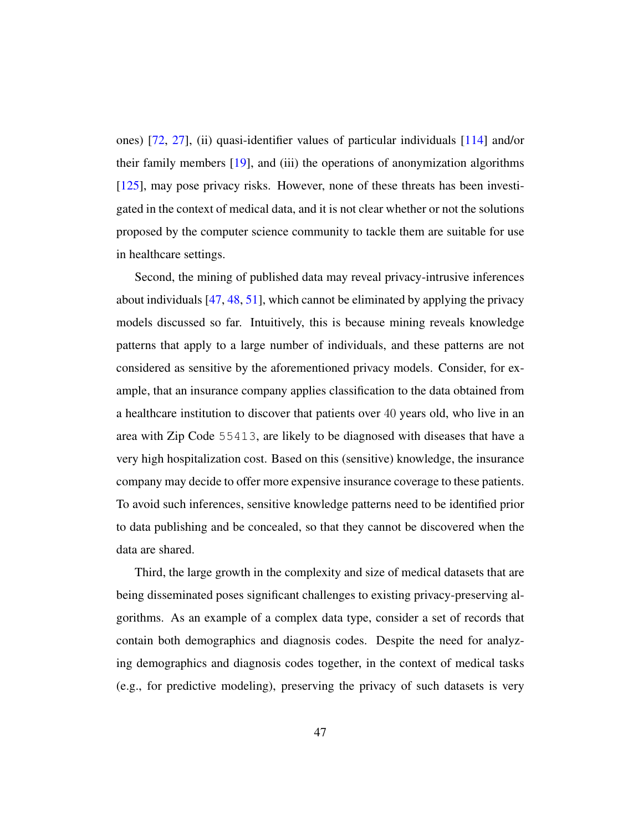ones) [\[72,](#page-57-8) [27\]](#page-52-8), (ii) quasi-identifier values of particular individuals [\[114\]](#page-63-8) and/or their family members [\[19\]](#page-51-7), and (iii) the operations of anonymization algorithms [\[125\]](#page-64-8), may pose privacy risks. However, none of these threats has been investigated in the context of medical data, and it is not clear whether or not the solutions proposed by the computer science community to tackle them are suitable for use in healthcare settings.

Second, the mining of published data may reveal privacy-intrusive inferences about individuals [\[47,](#page-54-7) [48,](#page-55-6) [51\]](#page-55-7), which cannot be eliminated by applying the privacy models discussed so far. Intuitively, this is because mining reveals knowledge patterns that apply to a large number of individuals, and these patterns are not considered as sensitive by the aforementioned privacy models. Consider, for example, that an insurance company applies classification to the data obtained from a healthcare institution to discover that patients over 40 years old, who live in an area with Zip Code 55413, are likely to be diagnosed with diseases that have a very high hospitalization cost. Based on this (sensitive) knowledge, the insurance company may decide to offer more expensive insurance coverage to these patients. To avoid such inferences, sensitive knowledge patterns need to be identified prior to data publishing and be concealed, so that they cannot be discovered when the data are shared.

Third, the large growth in the complexity and size of medical datasets that are being disseminated poses significant challenges to existing privacy-preserving algorithms. As an example of a complex data type, consider a set of records that contain both demographics and diagnosis codes. Despite the need for analyzing demographics and diagnosis codes together, in the context of medical tasks (e.g., for predictive modeling), preserving the privacy of such datasets is very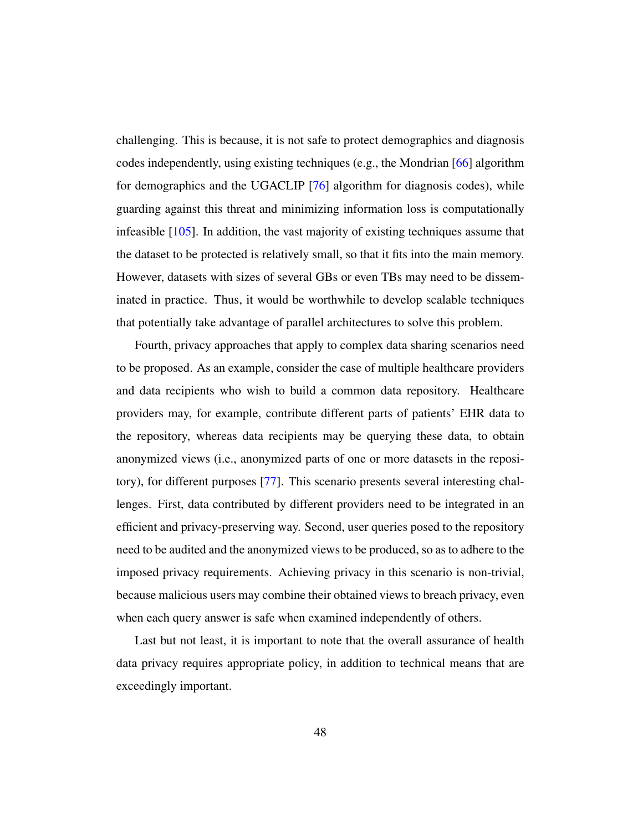challenging. This is because, it is not safe to protect demographics and diagnosis codes independently, using existing techniques (e.g., the Mondrian [\[66\]](#page-57-4) algorithm for demographics and the UGACLIP [\[76\]](#page-58-2) algorithm for diagnosis codes), while guarding against this threat and minimizing information loss is computationally infeasible [\[105\]](#page-62-7). In addition, the vast majority of existing techniques assume that the dataset to be protected is relatively small, so that it fits into the main memory. However, datasets with sizes of several GBs or even TBs may need to be disseminated in practice. Thus, it would be worthwhile to develop scalable techniques that potentially take advantage of parallel architectures to solve this problem.

Fourth, privacy approaches that apply to complex data sharing scenarios need to be proposed. As an example, consider the case of multiple healthcare providers and data recipients who wish to build a common data repository. Healthcare providers may, for example, contribute different parts of patients' EHR data to the repository, whereas data recipients may be querying these data, to obtain anonymized views (i.e., anonymized parts of one or more datasets in the repository), for different purposes [\[77\]](#page-58-6). This scenario presents several interesting challenges. First, data contributed by different providers need to be integrated in an efficient and privacy-preserving way. Second, user queries posed to the repository need to be audited and the anonymized views to be produced, so as to adhere to the imposed privacy requirements. Achieving privacy in this scenario is non-trivial, because malicious users may combine their obtained views to breach privacy, even when each query answer is safe when examined independently of others.

Last but not least, it is important to note that the overall assurance of health data privacy requires appropriate policy, in addition to technical means that are exceedingly important.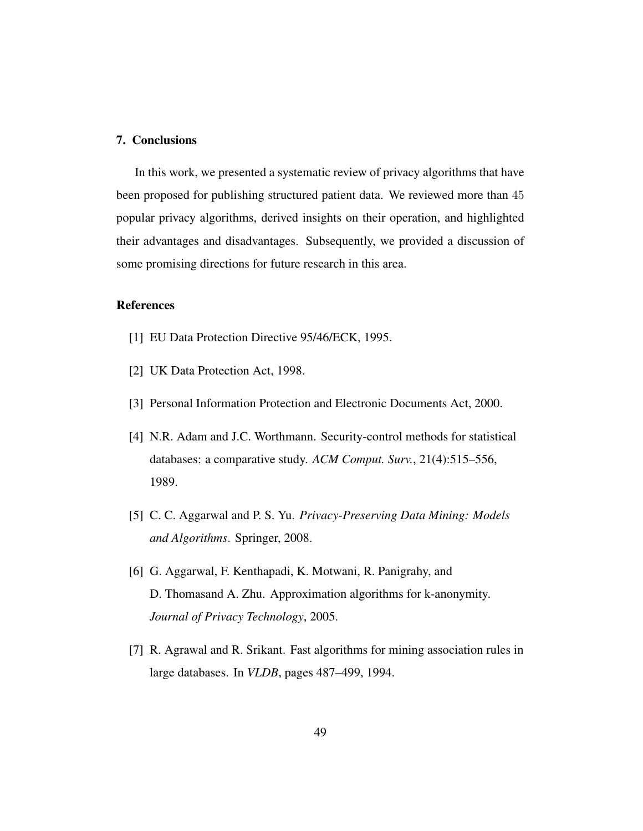# <span id="page-49-4"></span>7. Conclusions

In this work, we presented a systematic review of privacy algorithms that have been proposed for publishing structured patient data. We reviewed more than 45 popular privacy algorithms, derived insights on their operation, and highlighted their advantages and disadvantages. Subsequently, we provided a discussion of some promising directions for future research in this area.

# References

- <span id="page-49-3"></span>[1] EU Data Protection Directive 95/46/ECK, 1995.
- <span id="page-49-1"></span>[2] UK Data Protection Act, 1998.
- <span id="page-49-2"></span>[3] Personal Information Protection and Electronic Documents Act, 2000.
- <span id="page-49-6"></span>[4] N.R. Adam and J.C. Worthmann. Security-control methods for statistical databases: a comparative study. *ACM Comput. Surv.*, 21(4):515–556, 1989.
- <span id="page-49-0"></span>[5] C. C. Aggarwal and P. S. Yu. *Privacy-Preserving Data Mining: Models and Algorithms*. Springer, 2008.
- <span id="page-49-7"></span>[6] G. Aggarwal, F. Kenthapadi, K. Motwani, R. Panigrahy, and D. Thomasand A. Zhu. Approximation algorithms for k-anonymity. *Journal of Privacy Technology*, 2005.
- <span id="page-49-5"></span>[7] R. Agrawal and R. Srikant. Fast algorithms for mining association rules in large databases. In *VLDB*, pages 487–499, 1994.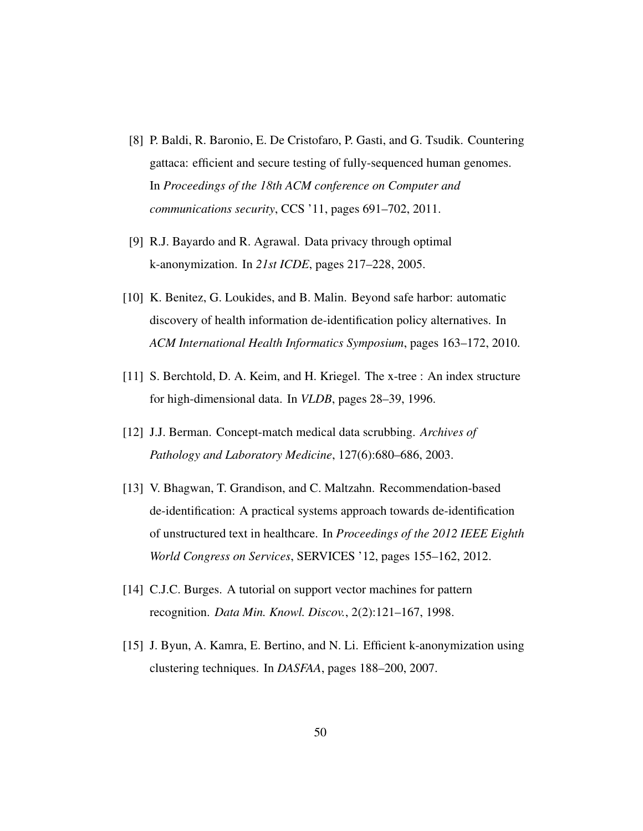- <span id="page-50-3"></span>[8] P. Baldi, R. Baronio, E. De Cristofaro, P. Gasti, and G. Tsudik. Countering gattaca: efficient and secure testing of fully-sequenced human genomes. In *Proceedings of the 18th ACM conference on Computer and communications security*, CCS '11, pages 691–702, 2011.
- <span id="page-50-2"></span>[9] R.J. Bayardo and R. Agrawal. Data privacy through optimal k-anonymization. In *21st ICDE*, pages 217–228, 2005.
- <span id="page-50-7"></span>[10] K. Benitez, G. Loukides, and B. Malin. Beyond safe harbor: automatic discovery of health information de-identification policy alternatives. In *ACM International Health Informatics Symposium*, pages 163–172, 2010.
- <span id="page-50-0"></span>[11] S. Berchtold, D. A. Keim, and H. Kriegel. The x-tree : An index structure for high-dimensional data. In *VLDB*, pages 28–39, 1996.
- <span id="page-50-6"></span>[12] J.J. Berman. Concept-match medical data scrubbing. *Archives of Pathology and Laboratory Medicine*, 127(6):680–686, 2003.
- <span id="page-50-5"></span>[13] V. Bhagwan, T. Grandison, and C. Maltzahn. Recommendation-based de-identification: A practical systems approach towards de-identification of unstructured text in healthcare. In *Proceedings of the 2012 IEEE Eighth World Congress on Services*, SERVICES '12, pages 155–162, 2012.
- <span id="page-50-4"></span>[14] C.J.C. Burges. A tutorial on support vector machines for pattern recognition. *Data Min. Knowl. Discov.*, 2(2):121–167, 1998.
- <span id="page-50-1"></span>[15] J. Byun, A. Kamra, E. Bertino, and N. Li. Efficient k-anonymization using clustering techniques. In *DASFAA*, pages 188–200, 2007.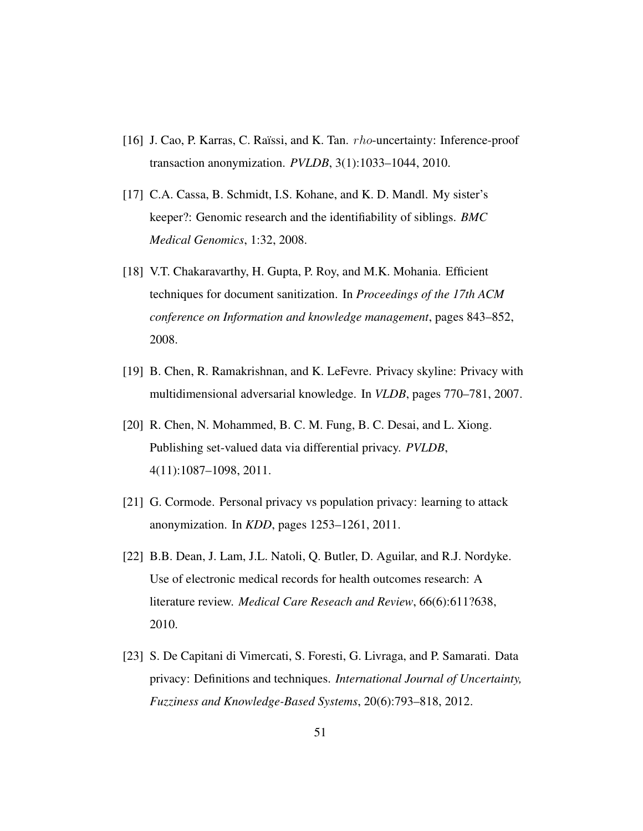- <span id="page-51-1"></span>[16] J. Cao, P. Karras, C. Ra¨ıssi, and K. Tan. rho-uncertainty: Inference-proof transaction anonymization. *PVLDB*, 3(1):1033–1044, 2010.
- <span id="page-51-2"></span>[17] C.A. Cassa, B. Schmidt, I.S. Kohane, and K. D. Mandl. My sister's keeper?: Genomic research and the identifiability of siblings. *BMC Medical Genomics*, 1:32, 2008.
- <span id="page-51-3"></span>[18] V.T. Chakaravarthy, H. Gupta, P. Roy, and M.K. Mohania. Efficient techniques for document sanitization. In *Proceedings of the 17th ACM conference on Information and knowledge management*, pages 843–852, 2008.
- <span id="page-51-7"></span>[19] B. Chen, R. Ramakrishnan, and K. LeFevre. Privacy skyline: Privacy with multidimensional adversarial knowledge. In *VLDB*, pages 770–781, 2007.
- <span id="page-51-6"></span>[20] R. Chen, N. Mohammed, B. C. M. Fung, B. C. Desai, and L. Xiong. Publishing set-valued data via differential privacy. *PVLDB*, 4(11):1087–1098, 2011.
- <span id="page-51-4"></span>[21] G. Cormode. Personal privacy vs population privacy: learning to attack anonymization. In *KDD*, pages 1253–1261, 2011.
- <span id="page-51-0"></span>[22] B.B. Dean, J. Lam, J.L. Natoli, Q. Butler, D. Aguilar, and R.J. Nordyke. Use of electronic medical records for health outcomes research: A literature review. *Medical Care Reseach and Review*, 66(6):611?638, 2010.
- <span id="page-51-5"></span>[23] S. De Capitani di Vimercati, S. Foresti, G. Livraga, and P. Samarati. Data privacy: Definitions and techniques. *International Journal of Uncertainty, Fuzziness and Knowledge-Based Systems*, 20(6):793–818, 2012.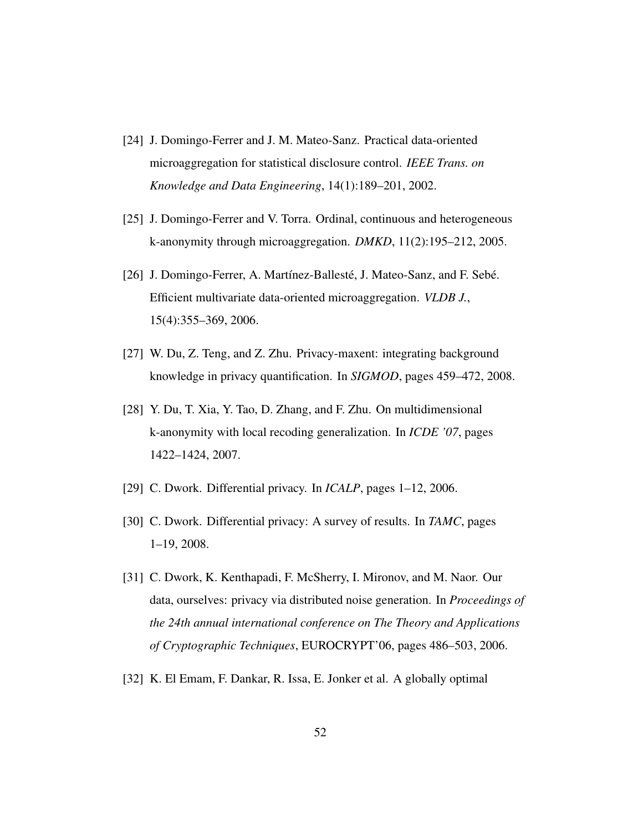- <span id="page-52-5"></span>[24] J. Domingo-Ferrer and J. M. Mateo-Sanz. Practical data-oriented microaggregation for statistical disclosure control. *IEEE Trans. on Knowledge and Data Engineering*, 14(1):189–201, 2002.
- <span id="page-52-4"></span>[25] J. Domingo-Ferrer and V. Torra. Ordinal, continuous and heterogeneous k-anonymity through microaggregation. *DMKD*, 11(2):195–212, 2005.
- <span id="page-52-6"></span>[26] J. Domingo-Ferrer, A. Martínez-Ballesté, J. Mateo-Sanz, and F. Sebé. Efficient multivariate data-oriented microaggregation. *VLDB J.*, 15(4):355–369, 2006.
- <span id="page-52-8"></span>[27] W. Du, Z. Teng, and Z. Zhu. Privacy-maxent: integrating background knowledge in privacy quantification. In *SIGMOD*, pages 459–472, 2008.
- <span id="page-52-3"></span>[28] Y. Du, T. Xia, Y. Tao, D. Zhang, and F. Zhu. On multidimensional k-anonymity with local recoding generalization. In *ICDE '07*, pages 1422–1424, 2007.
- <span id="page-52-0"></span>[29] C. Dwork. Differential privacy. In *ICALP*, pages 1–12, 2006.
- <span id="page-52-1"></span>[30] C. Dwork. Differential privacy: A survey of results. In *TAMC*, pages 1–19, 2008.
- <span id="page-52-7"></span>[31] C. Dwork, K. Kenthapadi, F. McSherry, I. Mironov, and M. Naor. Our data, ourselves: privacy via distributed noise generation. In *Proceedings of the 24th annual international conference on The Theory and Applications of Cryptographic Techniques*, EUROCRYPT'06, pages 486–503, 2006.
- <span id="page-52-2"></span>[32] K. El Emam, F. Dankar, R. Issa, E. Jonker et al. A globally optimal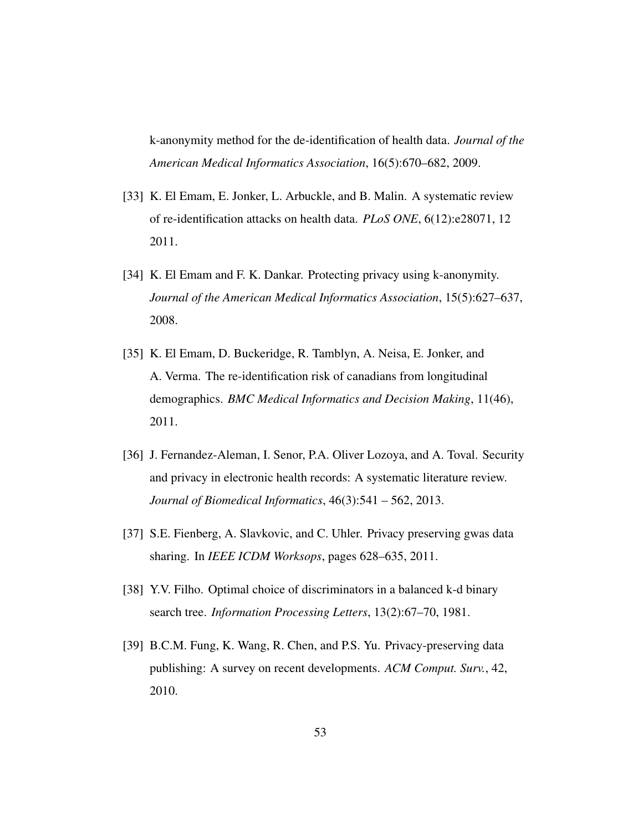k-anonymity method for the de-identification of health data. *Journal of the American Medical Informatics Association*, 16(5):670–682, 2009.

- <span id="page-53-3"></span>[33] K. El Emam, E. Jonker, L. Arbuckle, and B. Malin. A systematic review of re-identification attacks on health data. *PLoS ONE*, 6(12):e28071, 12 2011.
- <span id="page-53-1"></span>[34] K. El Emam and F. K. Dankar. Protecting privacy using k-anonymity. *Journal of the American Medical Informatics Association*, 15(5):627–637, 2008.
- <span id="page-53-6"></span>[35] K. El Emam, D. Buckeridge, R. Tamblyn, A. Neisa, E. Jonker, and A. Verma. The re-identification risk of canadians from longitudinal demographics. *BMC Medical Informatics and Decision Making*, 11(46), 2011.
- <span id="page-53-2"></span>[36] J. Fernandez-Aleman, I. Senor, P.A. Oliver Lozoya, and A. Toval. Security and privacy in electronic health records: A systematic literature review. *Journal of Biomedical Informatics*, 46(3):541 – 562, 2013.
- <span id="page-53-5"></span>[37] S.E. Fienberg, A. Slavkovic, and C. Uhler. Privacy preserving gwas data sharing. In *IEEE ICDM Worksops*, pages 628–635, 2011.
- <span id="page-53-4"></span>[38] Y.V. Filho. Optimal choice of discriminators in a balanced k-d binary search tree. *Information Processing Letters*, 13(2):67–70, 1981.
- <span id="page-53-0"></span>[39] B.C.M. Fung, K. Wang, R. Chen, and P.S. Yu. Privacy-preserving data publishing: A survey on recent developments. *ACM Comput. Surv.*, 42, 2010.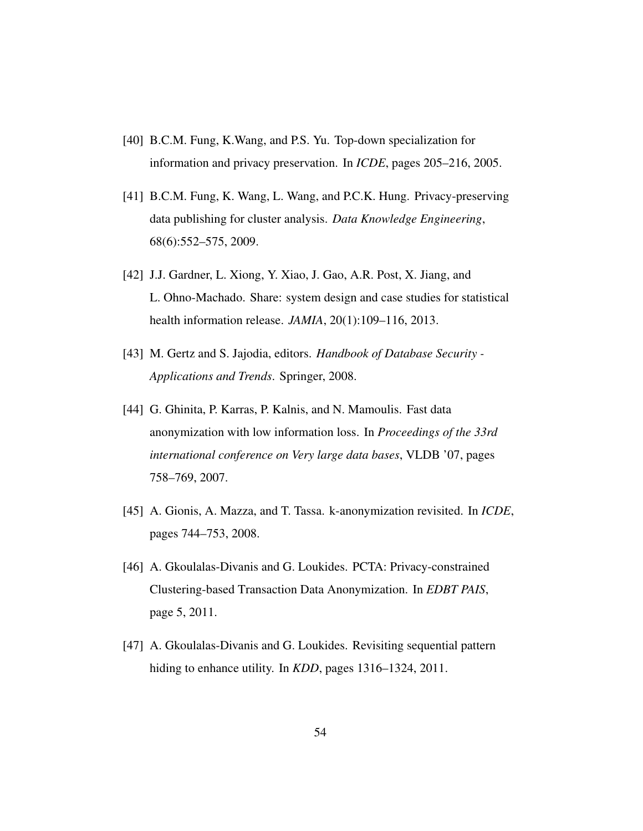- <span id="page-54-2"></span>[40] B.C.M. Fung, K.Wang, and P.S. Yu. Top-down specialization for information and privacy preservation. In *ICDE*, pages 205–216, 2005.
- <span id="page-54-4"></span>[41] B.C.M. Fung, K. Wang, L. Wang, and P.C.K. Hung. Privacy-preserving data publishing for cluster analysis. *Data Knowledge Engineering*, 68(6):552–575, 2009.
- <span id="page-54-6"></span>[42] J.J. Gardner, L. Xiong, Y. Xiao, J. Gao, A.R. Post, X. Jiang, and L. Ohno-Machado. Share: system design and case studies for statistical health information release. *JAMIA*, 20(1):109–116, 2013.
- <span id="page-54-0"></span>[43] M. Gertz and S. Jajodia, editors. *Handbook of Database Security - Applications and Trends*. Springer, 2008.
- <span id="page-54-3"></span>[44] G. Ghinita, P. Karras, P. Kalnis, and N. Mamoulis. Fast data anonymization with low information loss. In *Proceedings of the 33rd international conference on Very large data bases*, VLDB '07, pages 758–769, 2007.
- <span id="page-54-1"></span>[45] A. Gionis, A. Mazza, and T. Tassa. k-anonymization revisited. In *ICDE*, pages 744–753, 2008.
- <span id="page-54-5"></span>[46] A. Gkoulalas-Divanis and G. Loukides. PCTA: Privacy-constrained Clustering-based Transaction Data Anonymization. In *EDBT PAIS*, page 5, 2011.
- <span id="page-54-7"></span>[47] A. Gkoulalas-Divanis and G. Loukides. Revisiting sequential pattern hiding to enhance utility. In *KDD*, pages 1316–1324, 2011.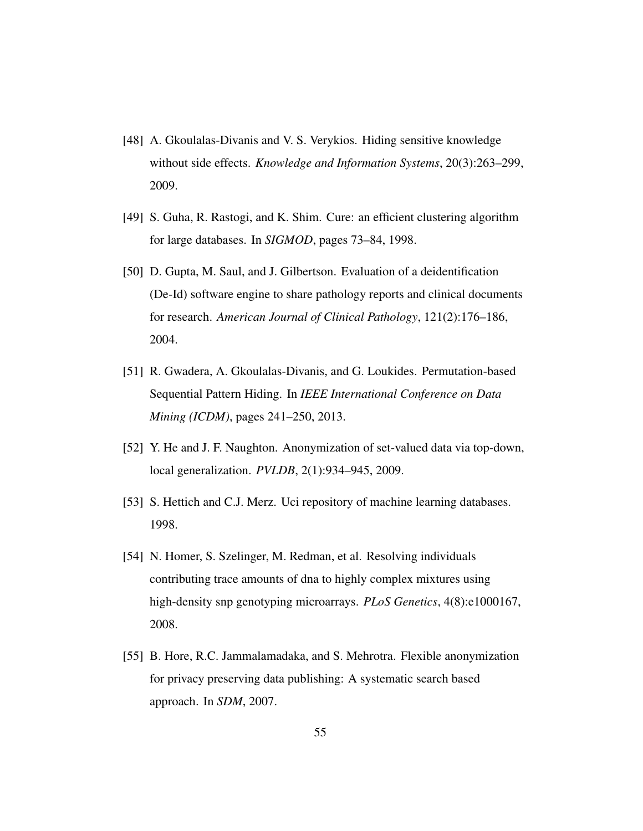- <span id="page-55-6"></span>[48] A. Gkoulalas-Divanis and V. S. Verykios. Hiding sensitive knowledge without side effects. *Knowledge and Information Systems*, 20(3):263–299, 2009.
- <span id="page-55-5"></span>[49] S. Guha, R. Rastogi, and K. Shim. Cure: an efficient clustering algorithm for large databases. In *SIGMOD*, pages 73–84, 1998.
- <span id="page-55-4"></span>[50] D. Gupta, M. Saul, and J. Gilbertson. Evaluation of a deidentification (De-Id) software engine to share pathology reports and clinical documents for research. *American Journal of Clinical Pathology*, 121(2):176–186, 2004.
- <span id="page-55-7"></span>[51] R. Gwadera, A. Gkoulalas-Divanis, and G. Loukides. Permutation-based Sequential Pattern Hiding. In *IEEE International Conference on Data Mining (ICDM)*, pages 241–250, 2013.
- <span id="page-55-1"></span>[52] Y. He and J. F. Naughton. Anonymization of set-valued data via top-down, local generalization. *PVLDB*, 2(1):934–945, 2009.
- <span id="page-55-2"></span>[53] S. Hettich and C.J. Merz. Uci repository of machine learning databases. 1998.
- <span id="page-55-3"></span>[54] N. Homer, S. Szelinger, M. Redman, et al. Resolving individuals contributing trace amounts of dna to highly complex mixtures using high-density snp genotyping microarrays. *PLoS Genetics*, 4(8):e1000167, 2008.
- <span id="page-55-0"></span>[55] B. Hore, R.C. Jammalamadaka, and S. Mehrotra. Flexible anonymization for privacy preserving data publishing: A systematic search based approach. In *SDM*, 2007.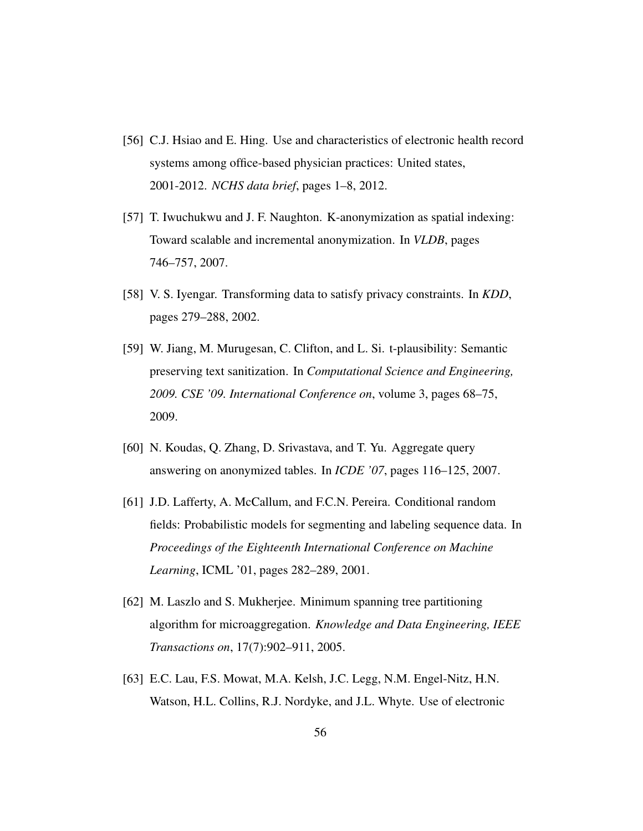- <span id="page-56-1"></span>[56] C.J. Hsiao and E. Hing. Use and characteristics of electronic health record systems among office-based physician practices: United states, 2001-2012. *NCHS data brief*, pages 1–8, 2012.
- <span id="page-56-5"></span>[57] T. Iwuchukwu and J. F. Naughton. K-anonymization as spatial indexing: Toward scalable and incremental anonymization. In *VLDB*, pages 746–757, 2007.
- <span id="page-56-3"></span>[58] V. S. Iyengar. Transforming data to satisfy privacy constraints. In *KDD*, pages 279–288, 2002.
- <span id="page-56-7"></span>[59] W. Jiang, M. Murugesan, C. Clifton, and L. Si. t-plausibility: Semantic preserving text sanitization. In *Computational Science and Engineering, 2009. CSE '09. International Conference on*, volume 3, pages 68–75, 2009.
- <span id="page-56-2"></span>[60] N. Koudas, Q. Zhang, D. Srivastava, and T. Yu. Aggregate query answering on anonymized tables. In *ICDE '07*, pages 116–125, 2007.
- <span id="page-56-6"></span>[61] J.D. Lafferty, A. McCallum, and F.C.N. Pereira. Conditional random fields: Probabilistic models for segmenting and labeling sequence data. In *Proceedings of the Eighteenth International Conference on Machine Learning*, ICML '01, pages 282–289, 2001.
- <span id="page-56-4"></span>[62] M. Laszlo and S. Mukherjee. Minimum spanning tree partitioning algorithm for microaggregation. *Knowledge and Data Engineering, IEEE Transactions on*, 17(7):902–911, 2005.
- <span id="page-56-0"></span>[63] E.C. Lau, F.S. Mowat, M.A. Kelsh, J.C. Legg, N.M. Engel-Nitz, H.N. Watson, H.L. Collins, R.J. Nordyke, and J.L. Whyte. Use of electronic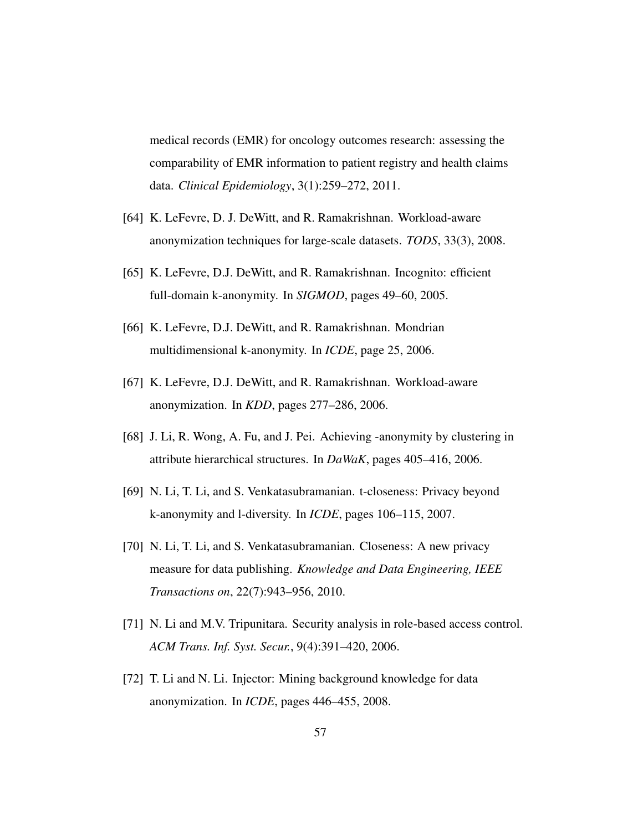medical records (EMR) for oncology outcomes research: assessing the comparability of EMR information to patient registry and health claims data. *Clinical Epidemiology*, 3(1):259–272, 2011.

- <span id="page-57-2"></span>[64] K. LeFevre, D. J. DeWitt, and R. Ramakrishnan. Workload-aware anonymization techniques for large-scale datasets. *TODS*, 33(3), 2008.
- <span id="page-57-3"></span>[65] K. LeFevre, D.J. DeWitt, and R. Ramakrishnan. Incognito: efficient full-domain k-anonymity. In *SIGMOD*, pages 49–60, 2005.
- <span id="page-57-4"></span>[66] K. LeFevre, D.J. DeWitt, and R. Ramakrishnan. Mondrian multidimensional k-anonymity. In *ICDE*, page 25, 2006.
- <span id="page-57-5"></span>[67] K. LeFevre, D.J. DeWitt, and R. Ramakrishnan. Workload-aware anonymization. In *KDD*, pages 277–286, 2006.
- <span id="page-57-6"></span>[68] J. Li, R. Wong, A. Fu, and J. Pei. Achieving -anonymity by clustering in attribute hierarchical structures. In *DaWaK*, pages 405–416, 2006.
- <span id="page-57-1"></span>[69] N. Li, T. Li, and S. Venkatasubramanian. t-closeness: Privacy beyond k-anonymity and l-diversity. In *ICDE*, pages 106–115, 2007.
- <span id="page-57-7"></span>[70] N. Li, T. Li, and S. Venkatasubramanian. Closeness: A new privacy measure for data publishing. *Knowledge and Data Engineering, IEEE Transactions on*, 22(7):943–956, 2010.
- <span id="page-57-0"></span>[71] N. Li and M.V. Tripunitara. Security analysis in role-based access control. *ACM Trans. Inf. Syst. Secur.*, 9(4):391–420, 2006.
- <span id="page-57-8"></span>[72] T. Li and N. Li. Injector: Mining background knowledge for data anonymization. In *ICDE*, pages 446–455, 2008.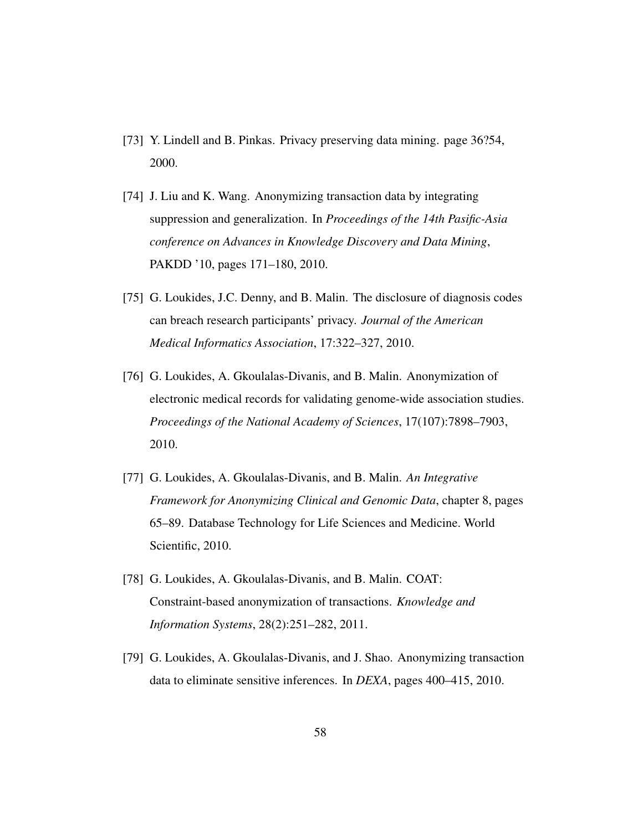- <span id="page-58-0"></span>[73] Y. Lindell and B. Pinkas. Privacy preserving data mining. page 36?54, 2000.
- <span id="page-58-4"></span>[74] J. Liu and K. Wang. Anonymizing transaction data by integrating suppression and generalization. In *Proceedings of the 14th Pasific-Asia conference on Advances in Knowledge Discovery and Data Mining*, PAKDD '10, pages 171–180, 2010.
- <span id="page-58-1"></span>[75] G. Loukides, J.C. Denny, and B. Malin. The disclosure of diagnosis codes can breach research participants' privacy. *Journal of the American Medical Informatics Association*, 17:322–327, 2010.
- <span id="page-58-2"></span>[76] G. Loukides, A. Gkoulalas-Divanis, and B. Malin. Anonymization of electronic medical records for validating genome-wide association studies. *Proceedings of the National Academy of Sciences*, 17(107):7898–7903, 2010.
- <span id="page-58-6"></span>[77] G. Loukides, A. Gkoulalas-Divanis, and B. Malin. *An Integrative Framework for Anonymizing Clinical and Genomic Data*, chapter 8, pages 65–89. Database Technology for Life Sciences and Medicine. World Scientific, 2010.
- <span id="page-58-3"></span>[78] G. Loukides, A. Gkoulalas-Divanis, and B. Malin. COAT: Constraint-based anonymization of transactions. *Knowledge and Information Systems*, 28(2):251–282, 2011.
- <span id="page-58-5"></span>[79] G. Loukides, A. Gkoulalas-Divanis, and J. Shao. Anonymizing transaction data to eliminate sensitive inferences. In *DEXA*, pages 400–415, 2010.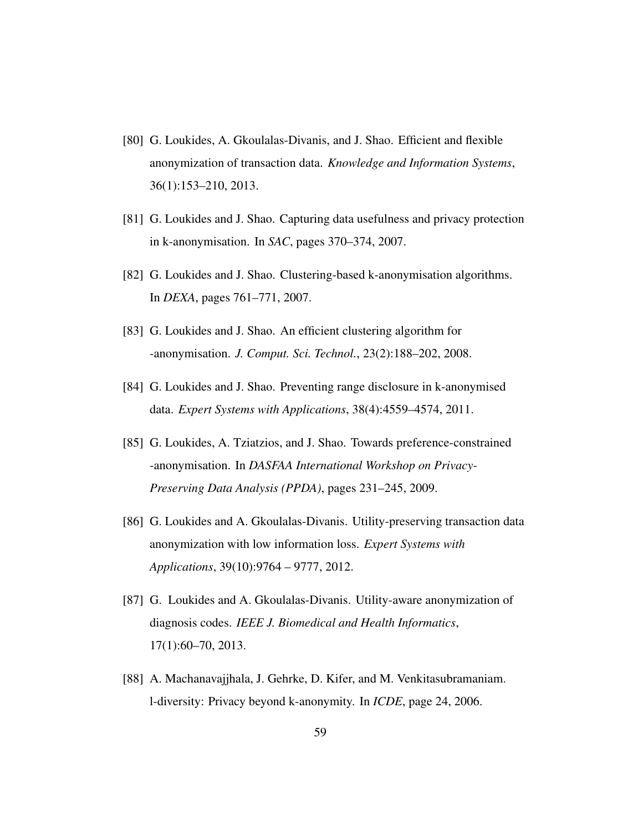- <span id="page-59-3"></span>[80] G. Loukides, A. Gkoulalas-Divanis, and J. Shao. Efficient and flexible anonymization of transaction data. *Knowledge and Information Systems*, 36(1):153–210, 2013.
- <span id="page-59-2"></span>[81] G. Loukides and J. Shao. Capturing data usefulness and privacy protection in k-anonymisation. In *SAC*, pages 370–374, 2007.
- <span id="page-59-7"></span>[82] G. Loukides and J. Shao. Clustering-based k-anonymisation algorithms. In *DEXA*, pages 761–771, 2007.
- <span id="page-59-8"></span>[83] G. Loukides and J. Shao. An efficient clustering algorithm for -anonymisation. *J. Comput. Sci. Technol.*, 23(2):188–202, 2008.
- <span id="page-59-4"></span>[84] G. Loukides and J. Shao. Preventing range disclosure in k-anonymised data. *Expert Systems with Applications*, 38(4):4559–4574, 2011.
- <span id="page-59-6"></span>[85] G. Loukides, A. Tziatzios, and J. Shao. Towards preference-constrained -anonymisation. In *DASFAA International Workshop on Privacy-Preserving Data Analysis (PPDA)*, pages 231–245, 2009.
- <span id="page-59-5"></span>[86] G. Loukides and A. Gkoulalas-Divanis. Utility-preserving transaction data anonymization with low information loss. *Expert Systems with Applications*, 39(10):9764 – 9777, 2012.
- <span id="page-59-0"></span>[87] G. Loukides and A. Gkoulalas-Divanis. Utility-aware anonymization of diagnosis codes. *IEEE J. Biomedical and Health Informatics*, 17(1):60–70, 2013.
- <span id="page-59-1"></span>[88] A. Machanavajjhala, J. Gehrke, D. Kifer, and M. Venkitasubramaniam. l-diversity: Privacy beyond k-anonymity. In *ICDE*, page 24, 2006.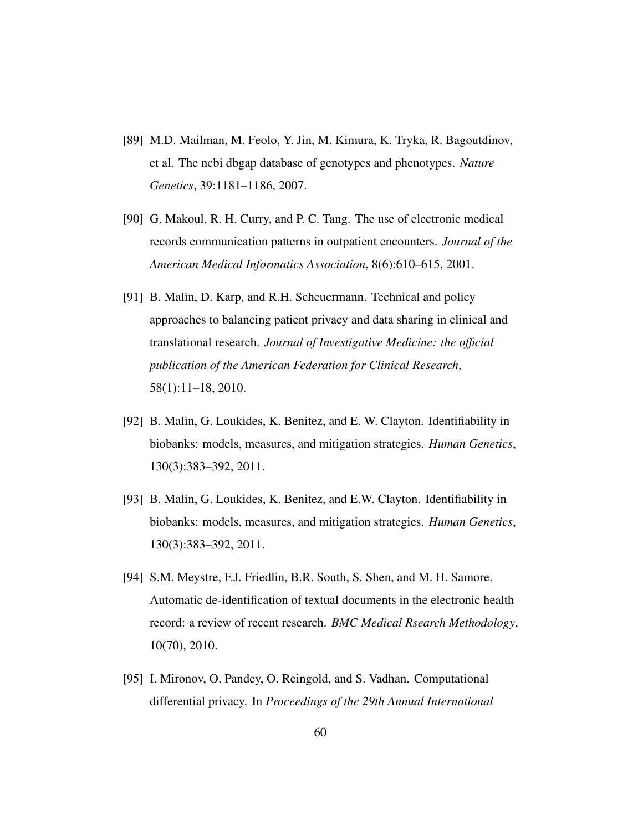- <span id="page-60-1"></span>[89] M.D. Mailman, M. Feolo, Y. Jin, M. Kimura, K. Tryka, R. Bagoutdinov, et al. The ncbi dbgap database of genotypes and phenotypes. *Nature Genetics*, 39:1181–1186, 2007.
- <span id="page-60-0"></span>[90] G. Makoul, R. H. Curry, and P. C. Tang. The use of electronic medical records communication patterns in outpatient encounters. *Journal of the American Medical Informatics Association*, 8(6):610–615, 2001.
- <span id="page-60-2"></span>[91] B. Malin, D. Karp, and R.H. Scheuermann. Technical and policy approaches to balancing patient privacy and data sharing in clinical and translational research. *Journal of Investigative Medicine: the official publication of the American Federation for Clinical Research*, 58(1):11–18, 2010.
- <span id="page-60-5"></span>[92] B. Malin, G. Loukides, K. Benitez, and E. W. Clayton. Identifiability in biobanks: models, measures, and mitigation strategies. *Human Genetics*, 130(3):383–392, 2011.
- <span id="page-60-4"></span>[93] B. Malin, G. Loukides, K. Benitez, and E.W. Clayton. Identifiability in biobanks: models, measures, and mitigation strategies. *Human Genetics*, 130(3):383–392, 2011.
- <span id="page-60-3"></span>[94] S.M. Meystre, F.J. Friedlin, B.R. South, S. Shen, and M. H. Samore. Automatic de-identification of textual documents in the electronic health record: a review of recent research. *BMC Medical Rsearch Methodology*, 10(70), 2010.
- <span id="page-60-6"></span>[95] I. Mironov, O. Pandey, O. Reingold, and S. Vadhan. Computational differential privacy. In *Proceedings of the 29th Annual International*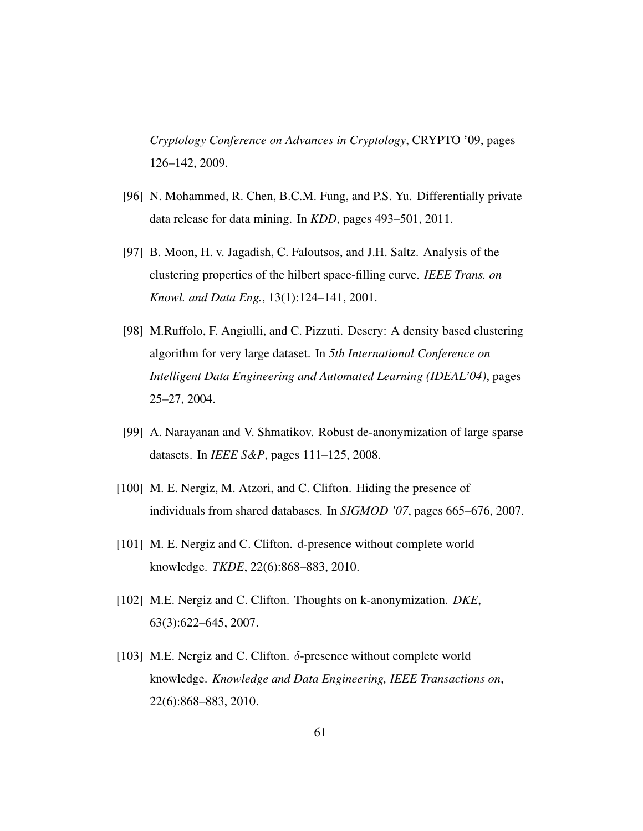*Cryptology Conference on Advances in Cryptology*, CRYPTO '09, pages 126–142, 2009.

- <span id="page-61-7"></span>[96] N. Mohammed, R. Chen, B.C.M. Fung, and P.S. Yu. Differentially private data release for data mining. In *KDD*, pages 493–501, 2011.
- <span id="page-61-6"></span>[97] B. Moon, H. v. Jagadish, C. Faloutsos, and J.H. Saltz. Analysis of the clustering properties of the hilbert space-filling curve. *IEEE Trans. on Knowl. and Data Eng.*, 13(1):124–141, 2001.
- <span id="page-61-5"></span>[98] M.Ruffolo, F. Angiulli, and C. Pizzuti. Descry: A density based clustering algorithm for very large dataset. In *5th International Conference on Intelligent Data Engineering and Automated Learning (IDEAL'04)*, pages 25–27, 2004.
- <span id="page-61-2"></span>[99] A. Narayanan and V. Shmatikov. Robust de-anonymization of large sparse datasets. In *IEEE S&P*, pages 111–125, 2008.
- <span id="page-61-0"></span>[100] M. E. Nergiz, M. Atzori, and C. Clifton. Hiding the presence of individuals from shared databases. In *SIGMOD '07*, pages 665–676, 2007.
- <span id="page-61-1"></span>[101] M. E. Nergiz and C. Clifton. d-presence without complete world knowledge. *TKDE*, 22(6):868–883, 2010.
- <span id="page-61-4"></span>[102] M.E. Nergiz and C. Clifton. Thoughts on k-anonymization. *DKE*, 63(3):622–645, 2007.
- <span id="page-61-3"></span>[103] M.E. Nergiz and C. Clifton.  $\delta$ -presence without complete world knowledge. *Knowledge and Data Engineering, IEEE Transactions on*, 22(6):868–883, 2010.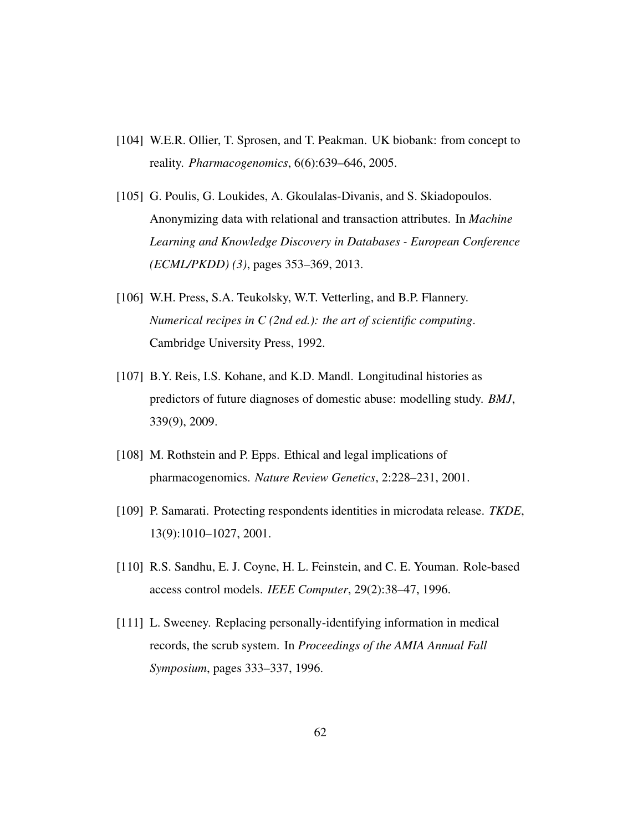- <span id="page-62-1"></span>[104] W.E.R. Ollier, T. Sprosen, and T. Peakman. UK biobank: from concept to reality. *Pharmacogenomics*, 6(6):639–646, 2005.
- <span id="page-62-7"></span>[105] G. Poulis, G. Loukides, A. Gkoulalas-Divanis, and S. Skiadopoulos. Anonymizing data with relational and transaction attributes. In *Machine Learning and Knowledge Discovery in Databases - European Conference (ECML/PKDD) (3)*, pages 353–369, 2013.
- <span id="page-62-4"></span>[106] W.H. Press, S.A. Teukolsky, W.T. Vetterling, and B.P. Flannery. *Numerical recipes in C (2nd ed.): the art of scientific computing*. Cambridge University Press, 1992.
- <span id="page-62-0"></span>[107] B.Y. Reis, I.S. Kohane, and K.D. Mandl. Longitudinal histories as predictors of future diagnoses of domestic abuse: modelling study. *BMJ*, 339(9), 2009.
- <span id="page-62-5"></span>[108] M. Rothstein and P. Epps. Ethical and legal implications of pharmacogenomics. *Nature Review Genetics*, 2:228–231, 2001.
- <span id="page-62-3"></span>[109] P. Samarati. Protecting respondents identities in microdata release. *TKDE*, 13(9):1010–1027, 2001.
- <span id="page-62-2"></span>[110] R.S. Sandhu, E. J. Coyne, H. L. Feinstein, and C. E. Youman. Role-based access control models. *IEEE Computer*, 29(2):38–47, 1996.
- <span id="page-62-6"></span>[111] L. Sweeney. Replacing personally-identifying information in medical records, the scrub system. In *Proceedings of the AMIA Annual Fall Symposium*, pages 333–337, 1996.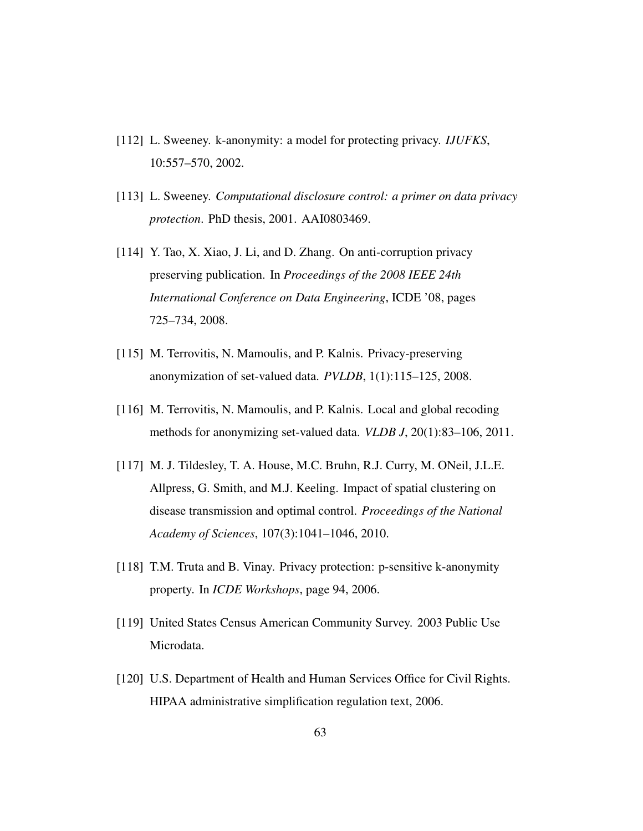- <span id="page-63-2"></span>[112] L. Sweeney. k-anonymity: a model for protecting privacy. *IJUFKS*, 10:557–570, 2002.
- <span id="page-63-5"></span>[113] L. Sweeney. *Computational disclosure control: a primer on data privacy protection*. PhD thesis, 2001. AAI0803469.
- <span id="page-63-8"></span>[114] Y. Tao, X. Xiao, J. Li, and D. Zhang. On anti-corruption privacy preserving publication. In *Proceedings of the 2008 IEEE 24th International Conference on Data Engineering*, ICDE '08, pages 725–734, 2008.
- <span id="page-63-3"></span>[115] M. Terrovitis, N. Mamoulis, and P. Kalnis. Privacy-preserving anonymization of set-valued data. *PVLDB*, 1(1):115–125, 2008.
- <span id="page-63-6"></span>[116] M. Terrovitis, N. Mamoulis, and P. Kalnis. Local and global recoding methods for anonymizing set-valued data. *VLDB J*, 20(1):83–106, 2011.
- <span id="page-63-0"></span>[117] M. J. Tildesley, T. A. House, M.C. Bruhn, R.J. Curry, M. ONeil, J.L.E. Allpress, G. Smith, and M.J. Keeling. Impact of spatial clustering on disease transmission and optimal control. *Proceedings of the National Academy of Sciences*, 107(3):1041–1046, 2010.
- <span id="page-63-4"></span>[118] T.M. Truta and B. Vinay. Privacy protection: p-sensitive k-anonymity property. In *ICDE Workshops*, page 94, 2006.
- <span id="page-63-7"></span>[119] United States Census American Community Survey. 2003 Public Use Microdata.
- <span id="page-63-1"></span>[120] U.S. Department of Health and Human Services Office for Civil Rights. HIPAA administrative simplification regulation text, 2006.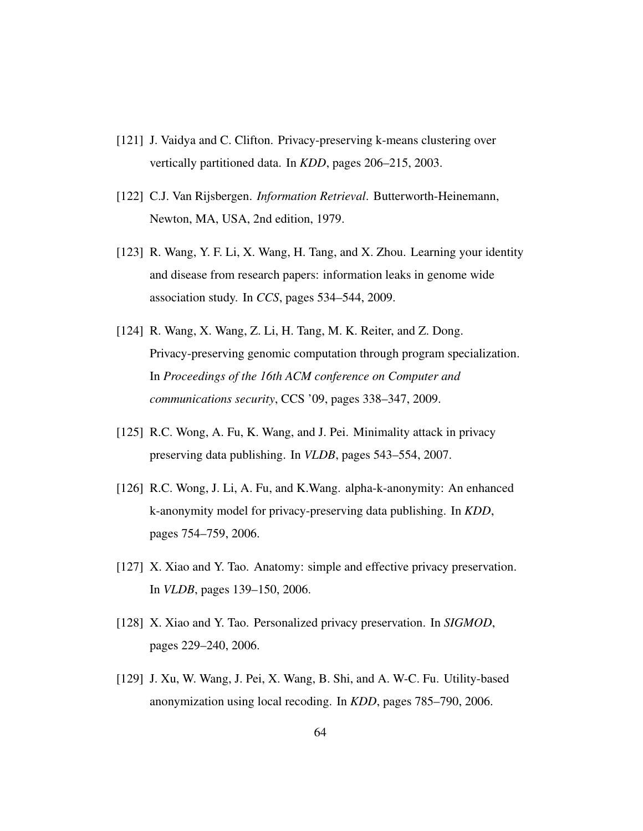- <span id="page-64-0"></span>[121] J. Vaidya and C. Clifton. Privacy-preserving k-means clustering over vertically partitioned data. In *KDD*, pages 206–215, 2003.
- <span id="page-64-5"></span>[122] C.J. Van Rijsbergen. *Information Retrieval*. Butterworth-Heinemann, Newton, MA, USA, 2nd edition, 1979.
- <span id="page-64-6"></span>[123] R. Wang, Y. F. Li, X. Wang, H. Tang, and X. Zhou. Learning your identity and disease from research papers: information leaks in genome wide association study. In *CCS*, pages 534–544, 2009.
- <span id="page-64-7"></span>[124] R. Wang, X. Wang, Z. Li, H. Tang, M. K. Reiter, and Z. Dong. Privacy-preserving genomic computation through program specialization. In *Proceedings of the 16th ACM conference on Computer and communications security*, CCS '09, pages 338–347, 2009.
- <span id="page-64-8"></span>[125] R.C. Wong, A. Fu, K. Wang, and J. Pei. Minimality attack in privacy preserving data publishing. In *VLDB*, pages 543–554, 2007.
- <span id="page-64-2"></span>[126] R.C. Wong, J. Li, A. Fu, and K.Wang. alpha-k-anonymity: An enhanced k-anonymity model for privacy-preserving data publishing. In *KDD*, pages 754–759, 2006.
- <span id="page-64-4"></span>[127] X. Xiao and Y. Tao. Anatomy: simple and effective privacy preservation. In *VLDB*, pages 139–150, 2006.
- <span id="page-64-1"></span>[128] X. Xiao and Y. Tao. Personalized privacy preservation. In *SIGMOD*, pages 229–240, 2006.
- <span id="page-64-3"></span>[129] J. Xu, W. Wang, J. Pei, X. Wang, B. Shi, and A. W-C. Fu. Utility-based anonymization using local recoding. In *KDD*, pages 785–790, 2006.